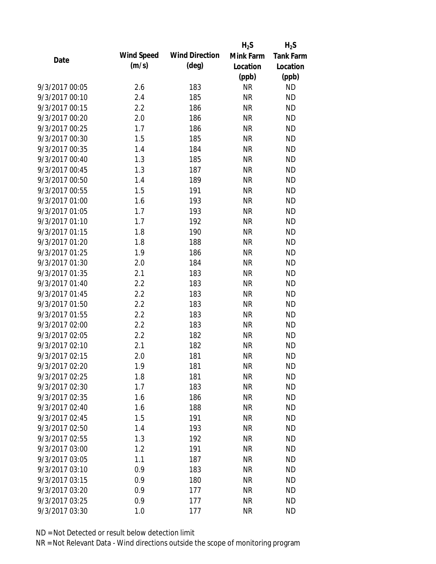|                |                   |                       | $H_2S$    | $H_2S$           |
|----------------|-------------------|-----------------------|-----------|------------------|
| Date           | <b>Wind Speed</b> | <b>Wind Direction</b> | Mink Farm | <b>Tank Farm</b> |
|                | (m/s)             | $(\text{deg})$        | Location  | Location         |
|                |                   |                       | (ppb)     | (ppb)            |
| 9/3/2017 00:05 | 2.6               | 183                   | <b>NR</b> | <b>ND</b>        |
| 9/3/2017 00:10 | 2.4               | 185                   | <b>NR</b> | <b>ND</b>        |
| 9/3/2017 00:15 | 2.2               | 186                   | <b>NR</b> | <b>ND</b>        |
| 9/3/2017 00:20 | 2.0               | 186                   | <b>NR</b> | <b>ND</b>        |
| 9/3/2017 00:25 | 1.7               | 186                   | <b>NR</b> | <b>ND</b>        |
| 9/3/2017 00:30 | 1.5               | 185                   | <b>NR</b> | <b>ND</b>        |
| 9/3/2017 00:35 | 1.4               | 184                   | <b>NR</b> | <b>ND</b>        |
| 9/3/2017 00:40 | 1.3               | 185                   | <b>NR</b> | <b>ND</b>        |
| 9/3/2017 00:45 | 1.3               | 187                   | <b>NR</b> | <b>ND</b>        |
| 9/3/2017 00:50 | 1.4               | 189                   | <b>NR</b> | <b>ND</b>        |
| 9/3/2017 00:55 | 1.5               | 191                   | <b>NR</b> | <b>ND</b>        |
| 9/3/2017 01:00 | 1.6               | 193                   | <b>NR</b> | <b>ND</b>        |
| 9/3/2017 01:05 | 1.7               | 193                   | <b>NR</b> | <b>ND</b>        |
| 9/3/2017 01:10 | 1.7               | 192                   | <b>NR</b> | <b>ND</b>        |
| 9/3/2017 01:15 | 1.8               | 190                   | <b>NR</b> | <b>ND</b>        |
| 9/3/2017 01:20 | 1.8               | 188                   | <b>NR</b> | <b>ND</b>        |
| 9/3/2017 01:25 | 1.9               | 186                   | <b>NR</b> | <b>ND</b>        |
| 9/3/2017 01:30 | 2.0               | 184                   | <b>NR</b> | <b>ND</b>        |
| 9/3/2017 01:35 | 2.1               | 183                   | <b>NR</b> | <b>ND</b>        |
| 9/3/2017 01:40 | 2.2               | 183                   | <b>NR</b> | <b>ND</b>        |
| 9/3/2017 01:45 | 2.2               | 183                   | <b>NR</b> | <b>ND</b>        |
| 9/3/2017 01:50 | 2.2               | 183                   | <b>NR</b> | <b>ND</b>        |
| 9/3/2017 01:55 | 2.2               | 183                   | <b>NR</b> | <b>ND</b>        |
| 9/3/2017 02:00 | 2.2               | 183                   | <b>NR</b> | <b>ND</b>        |
| 9/3/2017 02:05 | 2.2               | 182                   | <b>NR</b> | <b>ND</b>        |
| 9/3/2017 02:10 | 2.1               | 182                   | <b>NR</b> | <b>ND</b>        |
| 9/3/2017 02:15 | 2.0               | 181                   | <b>NR</b> | <b>ND</b>        |
| 9/3/2017 02:20 | 1.9               | 181                   | <b>NR</b> | <b>ND</b>        |
| 9/3/2017 02:25 | 1.8               | 181                   | <b>NR</b> | <b>ND</b>        |
| 9/3/2017 02:30 | 1.7               | 183                   | <b>NR</b> | <b>ND</b>        |
| 9/3/2017 02:35 | 1.6               | 186                   | <b>NR</b> | <b>ND</b>        |
| 9/3/2017 02:40 | 1.6               | 188                   | <b>NR</b> | <b>ND</b>        |
| 9/3/2017 02:45 | 1.5               | 191                   | <b>NR</b> | <b>ND</b>        |
| 9/3/2017 02:50 | 1.4               | 193                   | <b>NR</b> | <b>ND</b>        |
| 9/3/2017 02:55 | 1.3               | 192                   | <b>NR</b> | <b>ND</b>        |
| 9/3/2017 03:00 | 1.2               | 191                   | <b>NR</b> | <b>ND</b>        |
| 9/3/2017 03:05 | 1.1               | 187                   | <b>NR</b> | <b>ND</b>        |
| 9/3/2017 03:10 | 0.9               | 183                   | <b>NR</b> | <b>ND</b>        |
| 9/3/2017 03:15 | 0.9               | 180                   | <b>NR</b> | <b>ND</b>        |
| 9/3/2017 03:20 | 0.9               | 177                   | <b>NR</b> | <b>ND</b>        |
| 9/3/2017 03:25 | 0.9               | 177                   | <b>NR</b> | <b>ND</b>        |
| 9/3/2017 03:30 | 1.0               | 177                   | <b>NR</b> | <b>ND</b>        |
|                |                   |                       |           |                  |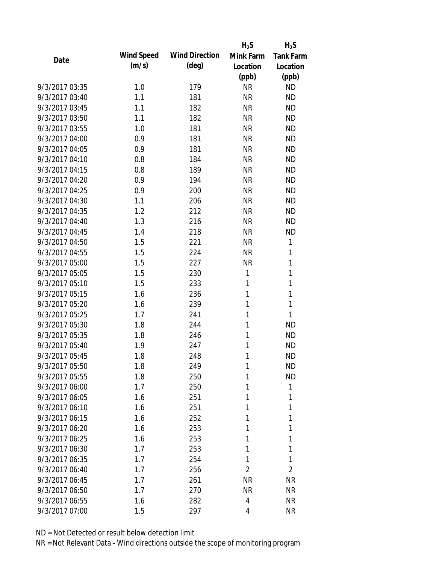| Date           |                   |                       | $H_2S$         | $H_2S$           |
|----------------|-------------------|-----------------------|----------------|------------------|
|                | <b>Wind Speed</b> | <b>Wind Direction</b> | Mink Farm      | <b>Tank Farm</b> |
|                | (m/s)             | $(\text{deg})$        | Location       | Location         |
|                |                   |                       | (ppb)          | (ppb)            |
| 9/3/2017 03:35 | 1.0               | 179                   | <b>NR</b>      | <b>ND</b>        |
| 9/3/2017 03:40 | 1.1               | 181                   | <b>NR</b>      | <b>ND</b>        |
| 9/3/2017 03:45 | 1.1               | 182                   | <b>NR</b>      | <b>ND</b>        |
| 9/3/2017 03:50 | 1.1               | 182                   | <b>NR</b>      | <b>ND</b>        |
| 9/3/2017 03:55 | 1.0               | 181                   | <b>NR</b>      | <b>ND</b>        |
| 9/3/2017 04:00 | 0.9               | 181                   | <b>NR</b>      | <b>ND</b>        |
| 9/3/2017 04:05 | 0.9               | 181                   | <b>NR</b>      | <b>ND</b>        |
| 9/3/2017 04:10 | 0.8               | 184                   | <b>NR</b>      | <b>ND</b>        |
| 9/3/2017 04:15 | 0.8               | 189                   | <b>NR</b>      | <b>ND</b>        |
| 9/3/2017 04:20 | 0.9               | 194                   | <b>NR</b>      | <b>ND</b>        |
| 9/3/2017 04:25 | 0.9               | 200                   | <b>NR</b>      | <b>ND</b>        |
| 9/3/2017 04:30 | 1.1               | 206                   | <b>NR</b>      | <b>ND</b>        |
| 9/3/2017 04:35 | 1.2               | 212                   | <b>NR</b>      | <b>ND</b>        |
| 9/3/2017 04:40 | 1.3               | 216                   | <b>NR</b>      | <b>ND</b>        |
| 9/3/2017 04:45 | 1.4               | 218                   | <b>NR</b>      | <b>ND</b>        |
| 9/3/2017 04:50 | 1.5               | 221                   | <b>NR</b>      | $\mathbf{1}$     |
| 9/3/2017 04:55 | 1.5               | 224                   | <b>NR</b>      | 1                |
| 9/3/2017 05:00 | 1.5               | 227                   | <b>NR</b>      | $\mathbf 1$      |
| 9/3/2017 05:05 | 1.5               | 230                   | 1              | 1                |
| 9/3/2017 05:10 | 1.5               | 233                   | 1              | $\mathbf{1}$     |
| 9/3/2017 05:15 | 1.6               | 236                   | 1              | 1                |
| 9/3/2017 05:20 | 1.6               | 239                   | 1              | 1                |
| 9/3/2017 05:25 | 1.7               | 241                   | 1              | 1                |
| 9/3/2017 05:30 | 1.8               | 244                   | 1              | <b>ND</b>        |
| 9/3/2017 05:35 | 1.8               | 246                   | 1              | <b>ND</b>        |
| 9/3/2017 05:40 | 1.9               | 247                   | 1              | <b>ND</b>        |
| 9/3/2017 05:45 | 1.8               | 248                   | 1              | <b>ND</b>        |
| 9/3/2017 05:50 | 1.8               | 249                   | 1              | <b>ND</b>        |
| 9/3/2017 05:55 | 1.8               | 250                   | 1              | <b>ND</b>        |
| 9/3/2017 06:00 | 1.7               | 250                   | 1              | 1                |
| 9/3/2017 06:05 | 1.6               | 251                   | 1              | 1                |
| 9/3/2017 06:10 | 1.6               | 251                   | 1              | 1                |
| 9/3/2017 06:15 | 1.6               | 252                   | 1              | 1                |
| 9/3/2017 06:20 | 1.6               | 253                   | 1              | 1                |
| 9/3/2017 06:25 | 1.6               | 253                   | 1              | 1                |
| 9/3/2017 06:30 | 1.7               | 253                   | 1              | 1                |
| 9/3/2017 06:35 | 1.7               | 254                   | 1              | 1                |
| 9/3/2017 06:40 | 1.7               | 256                   | $\overline{2}$ | $\overline{2}$   |
| 9/3/2017 06:45 | 1.7               | 261                   | <b>NR</b>      | <b>NR</b>        |
| 9/3/2017 06:50 | 1.7               | 270                   | <b>NR</b>      | <b>NR</b>        |
| 9/3/2017 06:55 | 1.6               | 282                   | 4              | <b>NR</b>        |
| 9/3/2017 07:00 | 1.5               | 297                   | 4              | <b>NR</b>        |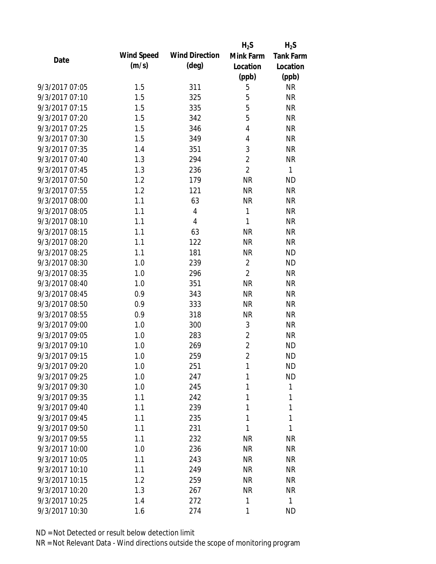|                |                   |                       | $H_2S$         | $H_2S$           |
|----------------|-------------------|-----------------------|----------------|------------------|
| Date           | <b>Wind Speed</b> | <b>Wind Direction</b> | Mink Farm      | <b>Tank Farm</b> |
|                | (m/s)             | $(\text{deg})$        | Location       | Location         |
|                |                   |                       | (ppb)          | (ppb)            |
| 9/3/2017 07:05 | 1.5               | 311                   | 5              | <b>NR</b>        |
| 9/3/2017 07:10 | 1.5               | 325                   | 5              | <b>NR</b>        |
| 9/3/2017 07:15 | 1.5               | 335                   | 5              | <b>NR</b>        |
| 9/3/2017 07:20 | 1.5               | 342                   | 5              | <b>NR</b>        |
| 9/3/2017 07:25 | 1.5               | 346                   | 4              | <b>NR</b>        |
| 9/3/2017 07:30 | 1.5               | 349                   | 4              | <b>NR</b>        |
| 9/3/2017 07:35 | 1.4               | 351                   | 3              | <b>NR</b>        |
| 9/3/2017 07:40 | 1.3               | 294                   | $\overline{2}$ | <b>NR</b>        |
| 9/3/2017 07:45 | 1.3               | 236                   | $\overline{2}$ | $\mathbf{1}$     |
| 9/3/2017 07:50 | 1.2               | 179                   | <b>NR</b>      | <b>ND</b>        |
| 9/3/2017 07:55 | 1.2               | 121                   | <b>NR</b>      | <b>NR</b>        |
| 9/3/2017 08:00 | 1.1               | 63                    | <b>NR</b>      | <b>NR</b>        |
| 9/3/2017 08:05 | 1.1               | $\overline{4}$        | $\mathbf{1}$   | <b>NR</b>        |
| 9/3/2017 08:10 | 1.1               | 4                     | 1              | <b>NR</b>        |
| 9/3/2017 08:15 | 1.1               | 63                    | <b>NR</b>      | <b>NR</b>        |
| 9/3/2017 08:20 | 1.1               | 122                   | <b>NR</b>      | <b>NR</b>        |
| 9/3/2017 08:25 | 1.1               | 181                   | <b>NR</b>      | <b>ND</b>        |
| 9/3/2017 08:30 | 1.0               | 239                   | $\overline{2}$ | <b>ND</b>        |
| 9/3/2017 08:35 | 1.0               | 296                   | $\overline{2}$ | <b>NR</b>        |
| 9/3/2017 08:40 | 1.0               | 351                   | <b>NR</b>      | <b>NR</b>        |
| 9/3/2017 08:45 | 0.9               | 343                   | <b>NR</b>      | <b>NR</b>        |
| 9/3/2017 08:50 | 0.9               | 333                   | <b>NR</b>      | <b>NR</b>        |
| 9/3/2017 08:55 | 0.9               | 318                   | <b>NR</b>      | <b>NR</b>        |
| 9/3/2017 09:00 | 1.0               | 300                   | 3              | <b>NR</b>        |
| 9/3/2017 09:05 | 1.0               | 283                   | $\sqrt{2}$     | <b>NR</b>        |
| 9/3/2017 09:10 | 1.0               | 269                   | $\overline{2}$ | <b>ND</b>        |
| 9/3/2017 09:15 | 1.0               | 259                   | $\overline{2}$ | <b>ND</b>        |
| 9/3/2017 09:20 | 1.0               | 251                   | 1              | <b>ND</b>        |
| 9/3/2017 09:25 | 1.0               | 247                   | 1              | <b>ND</b>        |
| 9/3/2017 09:30 | 1.0               | 245                   | 1              | 1                |
| 9/3/2017 09:35 | 1.1               | 242                   | 1              | 1                |
| 9/3/2017 09:40 | 1.1               | 239                   | 1              | 1                |
| 9/3/2017 09:45 | 1.1               | 235                   | 1              | 1                |
| 9/3/2017 09:50 | 1.1               | 231                   | 1              | 1                |
| 9/3/2017 09:55 | 1.1               | 232                   | <b>NR</b>      | <b>NR</b>        |
| 9/3/2017 10:00 | 1.0               | 236                   | <b>NR</b>      | <b>NR</b>        |
| 9/3/2017 10:05 | 1.1               | 243                   | <b>NR</b>      | <b>NR</b>        |
| 9/3/2017 10:10 | 1.1               | 249                   | <b>NR</b>      | <b>NR</b>        |
| 9/3/2017 10:15 | 1.2               | 259                   | <b>NR</b>      | <b>NR</b>        |
| 9/3/2017 10:20 | 1.3               | 267                   | <b>NR</b>      | <b>NR</b>        |
| 9/3/2017 10:25 | 1.4               | 272                   | 1              | $\mathbf{1}$     |
| 9/3/2017 10:30 | 1.6               | 274                   | 1              | <b>ND</b>        |
|                |                   |                       |                |                  |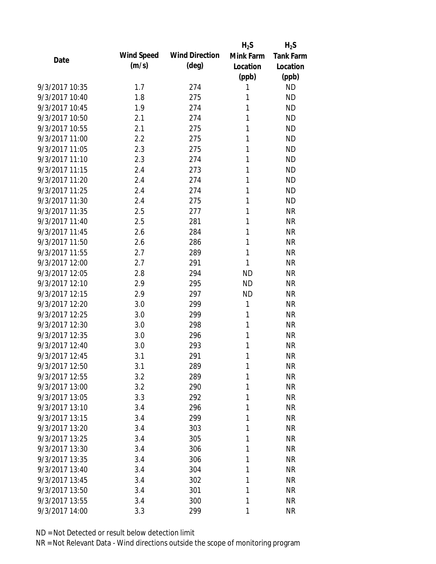| Date           |                   |                       | $H_2S$    | $H_2S$           |
|----------------|-------------------|-----------------------|-----------|------------------|
|                | <b>Wind Speed</b> | <b>Wind Direction</b> | Mink Farm | <b>Tank Farm</b> |
|                | (m/s)             | $(\text{deg})$        | Location  | Location         |
|                |                   |                       | (ppb)     | (ppb)            |
| 9/3/2017 10:35 | 1.7               | 274                   | 1         | <b>ND</b>        |
| 9/3/2017 10:40 | 1.8               | 275                   | 1         | <b>ND</b>        |
| 9/3/2017 10:45 | 1.9               | 274                   | 1         | <b>ND</b>        |
| 9/3/2017 10:50 | 2.1               | 274                   | 1         | <b>ND</b>        |
| 9/3/2017 10:55 | 2.1               | 275                   | 1         | <b>ND</b>        |
| 9/3/2017 11:00 | 2.2               | 275                   | 1         | <b>ND</b>        |
| 9/3/2017 11:05 | 2.3               | 275                   | 1         | <b>ND</b>        |
| 9/3/2017 11:10 | 2.3               | 274                   | 1         | <b>ND</b>        |
| 9/3/2017 11:15 | 2.4               | 273                   | 1         | <b>ND</b>        |
| 9/3/2017 11:20 | 2.4               | 274                   | 1         | <b>ND</b>        |
| 9/3/2017 11:25 | 2.4               | 274                   | 1         | <b>ND</b>        |
| 9/3/2017 11:30 | 2.4               | 275                   | 1         | <b>ND</b>        |
| 9/3/2017 11:35 | 2.5               | 277                   | 1         | <b>NR</b>        |
| 9/3/2017 11:40 | 2.5               | 281                   | 1         | <b>NR</b>        |
| 9/3/2017 11:45 | 2.6               | 284                   | 1         | <b>NR</b>        |
| 9/3/2017 11:50 | 2.6               | 286                   | 1         | <b>NR</b>        |
| 9/3/2017 11:55 | 2.7               | 289                   | 1         | <b>NR</b>        |
| 9/3/2017 12:00 | 2.7               | 291                   | 1         | <b>NR</b>        |
| 9/3/2017 12:05 | 2.8               | 294                   | <b>ND</b> | <b>NR</b>        |
| 9/3/2017 12:10 | 2.9               | 295                   | <b>ND</b> | <b>NR</b>        |
| 9/3/2017 12:15 | 2.9               | 297                   | <b>ND</b> | <b>NR</b>        |
| 9/3/2017 12:20 | 3.0               | 299                   | 1         | <b>NR</b>        |
| 9/3/2017 12:25 | 3.0               | 299                   | 1         | <b>NR</b>        |
| 9/3/2017 12:30 | 3.0               | 298                   | 1         | <b>NR</b>        |
| 9/3/2017 12:35 | 3.0               | 296                   | 1         | <b>NR</b>        |
| 9/3/2017 12:40 | 3.0               | 293                   | 1         | <b>NR</b>        |
| 9/3/2017 12:45 | 3.1               | 291                   | 1         | <b>NR</b>        |
| 9/3/2017 12:50 | 3.1               | 289                   | 1         | <b>NR</b>        |
| 9/3/2017 12:55 | 3.2               | 289                   | 1         | <b>NR</b>        |
| 9/3/2017 13:00 | 3.2               | 290                   | 1         | <b>NR</b>        |
| 9/3/2017 13:05 | 3.3               | 292                   | 1         | <b>NR</b>        |
| 9/3/2017 13:10 | 3.4               | 296                   | 1         | <b>NR</b>        |
| 9/3/2017 13:15 | 3.4               | 299                   | 1         | <b>NR</b>        |
| 9/3/2017 13:20 | 3.4               | 303                   | 1         | <b>NR</b>        |
| 9/3/2017 13:25 | 3.4               | 305                   | 1         | <b>NR</b>        |
| 9/3/2017 13:30 | 3.4               | 306                   | 1         | <b>NR</b>        |
| 9/3/2017 13:35 | 3.4               | 306                   | 1         | <b>NR</b>        |
| 9/3/2017 13:40 | 3.4               | 304                   | 1         | <b>NR</b>        |
| 9/3/2017 13:45 | 3.4               | 302                   | 1         | <b>NR</b>        |
| 9/3/2017 13:50 | 3.4               | 301                   | 1         | <b>NR</b>        |
| 9/3/2017 13:55 | 3.4               | 300                   | 1         | <b>NR</b>        |
| 9/3/2017 14:00 | 3.3               | 299                   | 1         | <b>NR</b>        |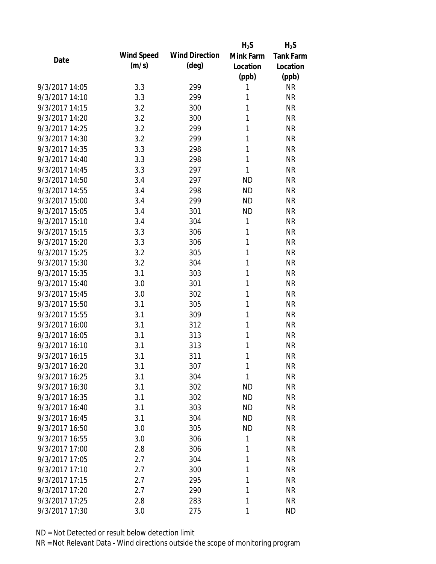|                |                   |                       | $H_2S$       | $H_2S$           |
|----------------|-------------------|-----------------------|--------------|------------------|
| Date           | <b>Wind Speed</b> | <b>Wind Direction</b> | Mink Farm    | <b>Tank Farm</b> |
|                | (m/s)             | $(\text{deg})$        | Location     | Location         |
|                |                   |                       | (ppb)        | (ppb)            |
| 9/3/2017 14:05 | 3.3               | 299                   | 1            | <b>NR</b>        |
| 9/3/2017 14:10 | 3.3               | 299                   | 1            | <b>NR</b>        |
| 9/3/2017 14:15 | 3.2               | 300                   | 1            | <b>NR</b>        |
| 9/3/2017 14:20 | 3.2               | 300                   | 1            | <b>NR</b>        |
| 9/3/2017 14:25 | 3.2               | 299                   | 1            | <b>NR</b>        |
| 9/3/2017 14:30 | 3.2               | 299                   | 1            | <b>NR</b>        |
| 9/3/2017 14:35 | 3.3               | 298                   | 1            | <b>NR</b>        |
| 9/3/2017 14:40 | 3.3               | 298                   | 1            | <b>NR</b>        |
| 9/3/2017 14:45 | 3.3               | 297                   | 1            | <b>NR</b>        |
| 9/3/2017 14:50 | 3.4               | 297                   | <b>ND</b>    | <b>NR</b>        |
| 9/3/2017 14:55 | 3.4               | 298                   | <b>ND</b>    | <b>NR</b>        |
| 9/3/2017 15:00 | 3.4               | 299                   | <b>ND</b>    | <b>NR</b>        |
| 9/3/2017 15:05 | 3.4               | 301                   | <b>ND</b>    | <b>NR</b>        |
| 9/3/2017 15:10 | 3.4               | 304                   | 1            | <b>NR</b>        |
| 9/3/2017 15:15 | 3.3               | 306                   | 1            | <b>NR</b>        |
| 9/3/2017 15:20 | 3.3               | 306                   | 1            | <b>NR</b>        |
| 9/3/2017 15:25 | 3.2               | 305                   | 1            | <b>NR</b>        |
| 9/3/2017 15:30 | 3.2               | 304                   | 1            | <b>NR</b>        |
| 9/3/2017 15:35 | 3.1               | 303                   | 1            | <b>NR</b>        |
| 9/3/2017 15:40 | 3.0               | 301                   | 1            | <b>NR</b>        |
| 9/3/2017 15:45 | 3.0               | 302                   | 1            | <b>NR</b>        |
| 9/3/2017 15:50 | 3.1               | 305                   | 1            | <b>NR</b>        |
| 9/3/2017 15:55 | 3.1               | 309                   | 1            | <b>NR</b>        |
| 9/3/2017 16:00 | 3.1               | 312                   | 1            | <b>NR</b>        |
| 9/3/2017 16:05 | 3.1               | 313                   | 1            | <b>NR</b>        |
| 9/3/2017 16:10 | 3.1               | 313                   | 1            | <b>NR</b>        |
| 9/3/2017 16:15 | 3.1               | 311                   | 1            | <b>NR</b>        |
| 9/3/2017 16:20 | 3.1               | 307                   | 1            | <b>NR</b>        |
| 9/3/2017 16:25 | 3.1               | 304                   | $\mathbf{1}$ | <b>NR</b>        |
| 9/3/2017 16:30 | 3.1               | 302                   | ΝD           | <b>NR</b>        |
| 9/3/2017 16:35 | 3.1               | 302                   | <b>ND</b>    | <b>NR</b>        |
| 9/3/2017 16:40 | 3.1               | 303                   | <b>ND</b>    | <b>NR</b>        |
| 9/3/2017 16:45 | 3.1               | 304                   | <b>ND</b>    | <b>NR</b>        |
| 9/3/2017 16:50 | 3.0               | 305                   | <b>ND</b>    | <b>NR</b>        |
| 9/3/2017 16:55 | 3.0               | 306                   | 1            | <b>NR</b>        |
| 9/3/2017 17:00 | 2.8               | 306                   | 1            | <b>NR</b>        |
| 9/3/2017 17:05 | 2.7               | 304                   | 1            | <b>NR</b>        |
| 9/3/2017 17:10 | 2.7               | 300                   | 1            | <b>NR</b>        |
| 9/3/2017 17:15 | 2.7               | 295                   | 1            | <b>NR</b>        |
| 9/3/2017 17:20 | 2.7               | 290                   | 1            | <b>NR</b>        |
| 9/3/2017 17:25 | 2.8               | 283                   | 1            | <b>NR</b>        |
| 9/3/2017 17:30 | 3.0               | 275                   | 1            | <b>ND</b>        |
|                |                   |                       |              |                  |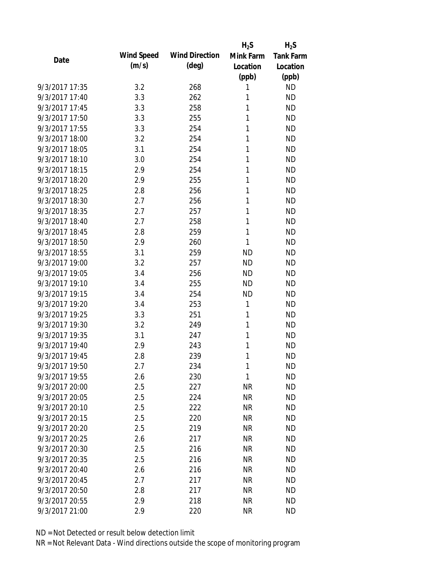| Date           |                   |                       | $H_2S$    | $H_2S$           |
|----------------|-------------------|-----------------------|-----------|------------------|
|                | <b>Wind Speed</b> | <b>Wind Direction</b> | Mink Farm | <b>Tank Farm</b> |
|                | (m/s)             | $(\text{deg})$        | Location  | Location         |
|                |                   |                       | (ppb)     | (ppb)            |
| 9/3/2017 17:35 | 3.2               | 268                   | 1         | <b>ND</b>        |
| 9/3/2017 17:40 | 3.3               | 262                   | 1         | <b>ND</b>        |
| 9/3/2017 17:45 | 3.3               | 258                   | 1         | <b>ND</b>        |
| 9/3/2017 17:50 | 3.3               | 255                   | 1         | <b>ND</b>        |
| 9/3/2017 17:55 | 3.3               | 254                   | 1         | <b>ND</b>        |
| 9/3/2017 18:00 | 3.2               | 254                   | 1         | <b>ND</b>        |
| 9/3/2017 18:05 | 3.1               | 254                   | 1         | <b>ND</b>        |
| 9/3/2017 18:10 | 3.0               | 254                   | 1         | <b>ND</b>        |
| 9/3/2017 18:15 | 2.9               | 254                   | 1         | <b>ND</b>        |
| 9/3/2017 18:20 | 2.9               | 255                   | 1         | <b>ND</b>        |
| 9/3/2017 18:25 | 2.8               | 256                   | 1         | <b>ND</b>        |
| 9/3/2017 18:30 | 2.7               | 256                   | 1         | <b>ND</b>        |
| 9/3/2017 18:35 | 2.7               | 257                   | 1         | <b>ND</b>        |
| 9/3/2017 18:40 | 2.7               | 258                   | 1         | <b>ND</b>        |
| 9/3/2017 18:45 | 2.8               | 259                   | 1         | <b>ND</b>        |
| 9/3/2017 18:50 | 2.9               | 260                   | 1         | <b>ND</b>        |
| 9/3/2017 18:55 | 3.1               | 259                   | <b>ND</b> | <b>ND</b>        |
| 9/3/2017 19:00 | 3.2               | 257                   | <b>ND</b> | <b>ND</b>        |
| 9/3/2017 19:05 | 3.4               | 256                   | <b>ND</b> | <b>ND</b>        |
| 9/3/2017 19:10 | 3.4               | 255                   | <b>ND</b> | <b>ND</b>        |
| 9/3/2017 19:15 | 3.4               | 254                   | <b>ND</b> | <b>ND</b>        |
| 9/3/2017 19:20 | 3.4               | 253                   | 1         | <b>ND</b>        |
| 9/3/2017 19:25 | 3.3               | 251                   | 1         | <b>ND</b>        |
| 9/3/2017 19:30 | 3.2               | 249                   | 1         | <b>ND</b>        |
| 9/3/2017 19:35 | 3.1               | 247                   | 1         | <b>ND</b>        |
| 9/3/2017 19:40 | 2.9               | 243                   | 1         | <b>ND</b>        |
| 9/3/2017 19:45 | 2.8               | 239                   | 1         | <b>ND</b>        |
| 9/3/2017 19:50 | 2.7               | 234                   | 1         | <b>ND</b>        |
| 9/3/2017 19:55 | 2.6               | 230                   | 1         | <b>ND</b>        |
| 9/3/2017 20:00 | 2.5               | 227                   | ΝR        | <b>ND</b>        |
| 9/3/2017 20:05 | 2.5               | 224                   | <b>NR</b> | <b>ND</b>        |
| 9/3/2017 20:10 | 2.5               | 222                   | <b>NR</b> | <b>ND</b>        |
| 9/3/2017 20:15 | 2.5               | 220                   | <b>NR</b> | <b>ND</b>        |
| 9/3/2017 20:20 | 2.5               | 219                   | <b>NR</b> | <b>ND</b>        |
| 9/3/2017 20:25 | 2.6               | 217                   | <b>NR</b> | <b>ND</b>        |
| 9/3/2017 20:30 | 2.5               | 216                   | <b>NR</b> | <b>ND</b>        |
| 9/3/2017 20:35 | 2.5               | 216                   | <b>NR</b> | <b>ND</b>        |
| 9/3/2017 20:40 | 2.6               | 216                   | <b>NR</b> | <b>ND</b>        |
| 9/3/2017 20:45 | 2.7               | 217                   | <b>NR</b> | <b>ND</b>        |
| 9/3/2017 20:50 | 2.8               | 217                   | NR        | <b>ND</b>        |
| 9/3/2017 20:55 | 2.9               | 218                   | <b>NR</b> | <b>ND</b>        |
| 9/3/2017 21:00 | 2.9               | 220                   | <b>NR</b> | <b>ND</b>        |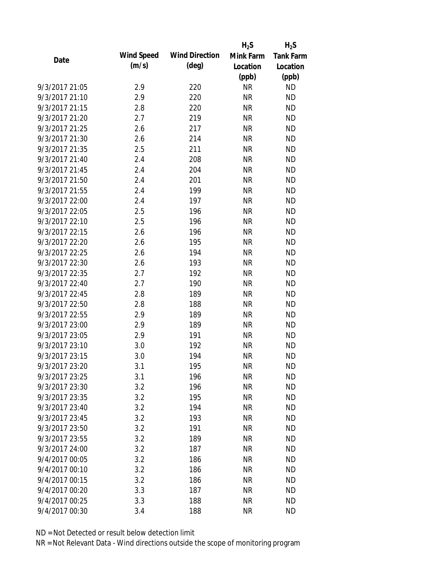|                |                   |                       | $H_2S$    | $H_2S$           |
|----------------|-------------------|-----------------------|-----------|------------------|
| Date           | <b>Wind Speed</b> | <b>Wind Direction</b> | Mink Farm | <b>Tank Farm</b> |
|                | (m/s)             | $(\text{deg})$        | Location  | Location         |
|                |                   |                       | (ppb)     | (ppb)            |
| 9/3/2017 21:05 | 2.9               | 220                   | <b>NR</b> | <b>ND</b>        |
| 9/3/2017 21:10 | 2.9               | 220                   | <b>NR</b> | <b>ND</b>        |
| 9/3/2017 21:15 | 2.8               | 220                   | <b>NR</b> | <b>ND</b>        |
| 9/3/2017 21:20 | 2.7               | 219                   | <b>NR</b> | <b>ND</b>        |
| 9/3/2017 21:25 | 2.6               | 217                   | <b>NR</b> | <b>ND</b>        |
| 9/3/2017 21:30 | 2.6               | 214                   | <b>NR</b> | <b>ND</b>        |
| 9/3/2017 21:35 | 2.5               | 211                   | <b>NR</b> | <b>ND</b>        |
| 9/3/2017 21:40 | 2.4               | 208                   | <b>NR</b> | <b>ND</b>        |
| 9/3/2017 21:45 | 2.4               | 204                   | <b>NR</b> | <b>ND</b>        |
| 9/3/2017 21:50 | 2.4               | 201                   | <b>NR</b> | <b>ND</b>        |
| 9/3/2017 21:55 | 2.4               | 199                   | <b>NR</b> | <b>ND</b>        |
| 9/3/2017 22:00 | 2.4               | 197                   | <b>NR</b> | <b>ND</b>        |
| 9/3/2017 22:05 | 2.5               | 196                   | <b>NR</b> | <b>ND</b>        |
| 9/3/2017 22:10 | 2.5               | 196                   | <b>NR</b> | <b>ND</b>        |
| 9/3/2017 22:15 | 2.6               | 196                   | <b>NR</b> | <b>ND</b>        |
| 9/3/2017 22:20 | 2.6               | 195                   | <b>NR</b> | <b>ND</b>        |
| 9/3/2017 22:25 | 2.6               | 194                   | <b>NR</b> | <b>ND</b>        |
| 9/3/2017 22:30 | 2.6               | 193                   | <b>NR</b> | <b>ND</b>        |
| 9/3/2017 22:35 | 2.7               | 192                   | <b>NR</b> | <b>ND</b>        |
| 9/3/2017 22:40 | 2.7               | 190                   | <b>NR</b> | <b>ND</b>        |
| 9/3/2017 22:45 | 2.8               | 189                   | <b>NR</b> | <b>ND</b>        |
| 9/3/2017 22:50 | 2.8               | 188                   | <b>NR</b> | <b>ND</b>        |
| 9/3/2017 22:55 | 2.9               | 189                   | <b>NR</b> | <b>ND</b>        |
| 9/3/2017 23:00 | 2.9               | 189                   | <b>NR</b> | <b>ND</b>        |
| 9/3/2017 23:05 | 2.9               | 191                   | <b>NR</b> | <b>ND</b>        |
| 9/3/2017 23:10 | 3.0               | 192                   | <b>NR</b> | <b>ND</b>        |
| 9/3/2017 23:15 | 3.0               | 194                   | <b>NR</b> | <b>ND</b>        |
| 9/3/2017 23:20 | 3.1               | 195                   | NR        | <b>ND</b>        |
| 9/3/2017 23:25 | 3.1               | 196                   | <b>NR</b> | <b>ND</b>        |
| 9/3/2017 23:30 | 3.2               | 196                   | <b>NR</b> | <b>ND</b>        |
| 9/3/2017 23:35 | 3.2               | 195                   | <b>NR</b> | <b>ND</b>        |
| 9/3/2017 23:40 | 3.2               | 194                   | <b>NR</b> | <b>ND</b>        |
| 9/3/2017 23:45 | 3.2               | 193                   | <b>NR</b> | <b>ND</b>        |
| 9/3/2017 23:50 | 3.2               | 191                   | <b>NR</b> | <b>ND</b>        |
| 9/3/2017 23:55 | 3.2               | 189                   | <b>NR</b> | <b>ND</b>        |
| 9/3/2017 24:00 | 3.2               | 187                   | <b>NR</b> | <b>ND</b>        |
| 9/4/2017 00:05 | 3.2               | 186                   | <b>NR</b> | <b>ND</b>        |
| 9/4/2017 00:10 | 3.2               | 186                   | <b>NR</b> | <b>ND</b>        |
| 9/4/2017 00:15 | 3.2               | 186                   | <b>NR</b> | <b>ND</b>        |
| 9/4/2017 00:20 | 3.3               | 187                   | ΝR        | <b>ND</b>        |
| 9/4/2017 00:25 | 3.3               | 188                   | <b>NR</b> | <b>ND</b>        |
| 9/4/2017 00:30 | 3.4               | 188                   | <b>NR</b> | <b>ND</b>        |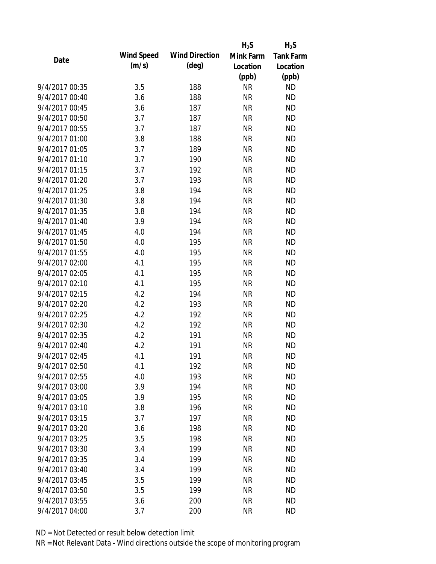|                |                   |                       | $H_2S$    | $H_2S$           |
|----------------|-------------------|-----------------------|-----------|------------------|
| Date           | <b>Wind Speed</b> | <b>Wind Direction</b> | Mink Farm | <b>Tank Farm</b> |
|                | (m/s)             | $(\text{deg})$        | Location  | Location         |
|                |                   |                       | (ppb)     | (ppb)            |
| 9/4/2017 00:35 | 3.5               | 188                   | <b>NR</b> | <b>ND</b>        |
| 9/4/2017 00:40 | 3.6               | 188                   | <b>NR</b> | <b>ND</b>        |
| 9/4/2017 00:45 | 3.6               | 187                   | <b>NR</b> | <b>ND</b>        |
| 9/4/2017 00:50 | 3.7               | 187                   | <b>NR</b> | <b>ND</b>        |
| 9/4/2017 00:55 | 3.7               | 187                   | <b>NR</b> | <b>ND</b>        |
| 9/4/2017 01:00 | 3.8               | 188                   | <b>NR</b> | <b>ND</b>        |
| 9/4/2017 01:05 | 3.7               | 189                   | <b>NR</b> | <b>ND</b>        |
| 9/4/2017 01:10 | 3.7               | 190                   | <b>NR</b> | <b>ND</b>        |
| 9/4/2017 01:15 | 3.7               | 192                   | <b>NR</b> | <b>ND</b>        |
| 9/4/2017 01:20 | 3.7               | 193                   | <b>NR</b> | <b>ND</b>        |
| 9/4/2017 01:25 | 3.8               | 194                   | <b>NR</b> | <b>ND</b>        |
| 9/4/2017 01:30 | 3.8               | 194                   | <b>NR</b> | <b>ND</b>        |
| 9/4/2017 01:35 | 3.8               | 194                   | <b>NR</b> | <b>ND</b>        |
| 9/4/2017 01:40 | 3.9               | 194                   | <b>NR</b> | <b>ND</b>        |
| 9/4/2017 01:45 | 4.0               | 194                   | <b>NR</b> | <b>ND</b>        |
| 9/4/2017 01:50 | 4.0               | 195                   | <b>NR</b> | <b>ND</b>        |
| 9/4/2017 01:55 | 4.0               | 195                   | <b>NR</b> | <b>ND</b>        |
| 9/4/2017 02:00 | 4.1               | 195                   | <b>NR</b> | <b>ND</b>        |
| 9/4/2017 02:05 | 4.1               | 195                   | <b>NR</b> | <b>ND</b>        |
| 9/4/2017 02:10 | 4.1               | 195                   | <b>NR</b> | <b>ND</b>        |
| 9/4/2017 02:15 | 4.2               | 194                   | <b>NR</b> | <b>ND</b>        |
| 9/4/2017 02:20 | 4.2               | 193                   | <b>NR</b> | <b>ND</b>        |
| 9/4/2017 02:25 | 4.2               | 192                   | <b>NR</b> | <b>ND</b>        |
| 9/4/2017 02:30 | 4.2               | 192                   | <b>NR</b> | <b>ND</b>        |
| 9/4/2017 02:35 | 4.2               | 191                   | <b>NR</b> | <b>ND</b>        |
| 9/4/2017 02:40 | 4.2               | 191                   | <b>NR</b> | <b>ND</b>        |
| 9/4/2017 02:45 | 4.1               | 191                   | <b>NR</b> | <b>ND</b>        |
| 9/4/2017 02:50 | 4.1               | 192                   | <b>NR</b> | <b>ND</b>        |
| 9/4/2017 02:55 | 4.0               | 193                   | <b>NR</b> | <b>ND</b>        |
| 9/4/2017 03:00 | 3.9               | 194                   | <b>NR</b> | <b>ND</b>        |
| 9/4/2017 03:05 | 3.9               | 195                   | <b>NR</b> | <b>ND</b>        |
| 9/4/2017 03:10 | 3.8               | 196                   | <b>NR</b> | <b>ND</b>        |
| 9/4/2017 03:15 | 3.7               | 197                   | <b>NR</b> | <b>ND</b>        |
| 9/4/2017 03:20 | 3.6               | 198                   | <b>NR</b> | <b>ND</b>        |
| 9/4/2017 03:25 | 3.5               | 198                   | <b>NR</b> | <b>ND</b>        |
| 9/4/2017 03:30 | 3.4               | 199                   | <b>NR</b> | <b>ND</b>        |
| 9/4/2017 03:35 | 3.4               | 199                   | <b>NR</b> | <b>ND</b>        |
| 9/4/2017 03:40 | 3.4               | 199                   | <b>NR</b> | <b>ND</b>        |
| 9/4/2017 03:45 | 3.5               | 199                   | <b>NR</b> | <b>ND</b>        |
| 9/4/2017 03:50 | 3.5               | 199                   | <b>NR</b> | <b>ND</b>        |
| 9/4/2017 03:55 | 3.6               | 200                   | <b>NR</b> | <b>ND</b>        |
| 9/4/2017 04:00 | 3.7               | 200                   | <b>NR</b> | <b>ND</b>        |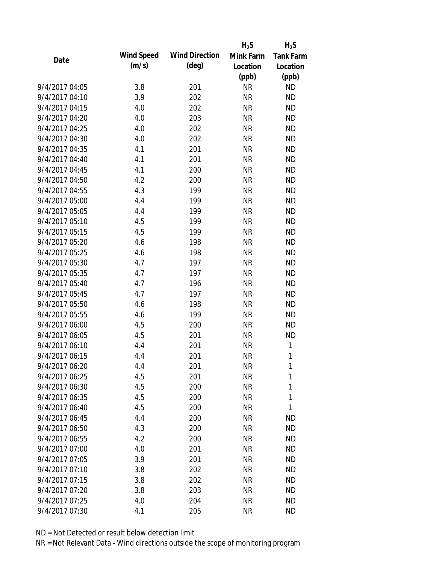|                |                   |                       | $H_2S$    | $H_2S$           |
|----------------|-------------------|-----------------------|-----------|------------------|
| Date           | <b>Wind Speed</b> | <b>Wind Direction</b> | Mink Farm | <b>Tank Farm</b> |
|                | (m/s)             | $(\text{deg})$        | Location  | Location         |
|                |                   |                       | (ppb)     | (ppb)            |
| 9/4/2017 04:05 | 3.8               | 201                   | <b>NR</b> | <b>ND</b>        |
| 9/4/2017 04:10 | 3.9               | 202                   | <b>NR</b> | <b>ND</b>        |
| 9/4/2017 04:15 | 4.0               | 202                   | <b>NR</b> | <b>ND</b>        |
| 9/4/2017 04:20 | 4.0               | 203                   | <b>NR</b> | <b>ND</b>        |
| 9/4/2017 04:25 | 4.0               | 202                   | <b>NR</b> | <b>ND</b>        |
| 9/4/2017 04:30 | 4.0               | 202                   | <b>NR</b> | <b>ND</b>        |
| 9/4/2017 04:35 | 4.1               | 201                   | <b>NR</b> | <b>ND</b>        |
| 9/4/2017 04:40 | 4.1               | 201                   | <b>NR</b> | <b>ND</b>        |
| 9/4/2017 04:45 | 4.1               | 200                   | <b>NR</b> | <b>ND</b>        |
| 9/4/2017 04:50 | 4.2               | 200                   | <b>NR</b> | <b>ND</b>        |
| 9/4/2017 04:55 | 4.3               | 199                   | <b>NR</b> | <b>ND</b>        |
| 9/4/2017 05:00 | 4.4               | 199                   | <b>NR</b> | <b>ND</b>        |
| 9/4/2017 05:05 | 4.4               | 199                   | <b>NR</b> | <b>ND</b>        |
| 9/4/2017 05:10 | 4.5               | 199                   | <b>NR</b> | <b>ND</b>        |
| 9/4/2017 05:15 | 4.5               | 199                   | <b>NR</b> | <b>ND</b>        |
| 9/4/2017 05:20 | 4.6               | 198                   | <b>NR</b> | <b>ND</b>        |
| 9/4/2017 05:25 | 4.6               | 198                   | <b>NR</b> | <b>ND</b>        |
| 9/4/2017 05:30 | 4.7               | 197                   | <b>NR</b> | <b>ND</b>        |
| 9/4/2017 05:35 | 4.7               | 197                   | <b>NR</b> | <b>ND</b>        |
| 9/4/2017 05:40 | 4.7               | 196                   | <b>NR</b> | <b>ND</b>        |
| 9/4/2017 05:45 | 4.7               | 197                   | <b>NR</b> | <b>ND</b>        |
| 9/4/2017 05:50 | 4.6               | 198                   | <b>NR</b> | <b>ND</b>        |
| 9/4/2017 05:55 | 4.6               | 199                   | <b>NR</b> | <b>ND</b>        |
| 9/4/2017 06:00 | 4.5               | 200                   | <b>NR</b> | <b>ND</b>        |
| 9/4/2017 06:05 | 4.5               | 201                   | <b>NR</b> | <b>ND</b>        |
| 9/4/2017 06:10 | 4.4               | 201                   | <b>NR</b> | 1                |
| 9/4/2017 06:15 | 4.4               | 201                   | <b>NR</b> | $\mathbf{1}$     |
| 9/4/2017 06:20 | 4.4               | 201                   | <b>NR</b> | 1                |
| 9/4/2017 06:25 | 4.5               | 201                   | <b>NR</b> | 1                |
| 9/4/2017 06:30 | 4.5               | 200                   | <b>NR</b> | $\mathbf{1}$     |
| 9/4/2017 06:35 | 4.5               | 200                   | <b>NR</b> | 1                |
| 9/4/2017 06:40 | 4.5               | 200                   | <b>NR</b> | 1                |
| 9/4/2017 06:45 | 4.4               | 200                   | <b>NR</b> | <b>ND</b>        |
| 9/4/2017 06:50 | 4.3               | 200                   | <b>NR</b> | <b>ND</b>        |
| 9/4/2017 06:55 | 4.2               | 200                   | <b>NR</b> | <b>ND</b>        |
| 9/4/2017 07:00 | 4.0               | 201                   | <b>NR</b> | <b>ND</b>        |
| 9/4/2017 07:05 | 3.9               | 201                   | <b>NR</b> | <b>ND</b>        |
| 9/4/2017 07:10 | 3.8               | 202                   | <b>NR</b> | <b>ND</b>        |
| 9/4/2017 07:15 | 3.8               | 202                   | <b>NR</b> | <b>ND</b>        |
| 9/4/2017 07:20 | 3.8               | 203                   | <b>NR</b> | <b>ND</b>        |
| 9/4/2017 07:25 | 4.0               | 204                   | <b>NR</b> | <b>ND</b>        |
| 9/4/2017 07:30 | 4.1               | 205                   | <b>NR</b> | <b>ND</b>        |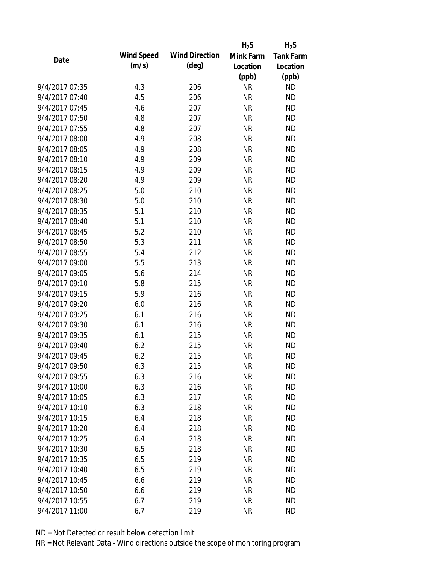|                |                   |                       | $H_2S$    | $H_2S$           |
|----------------|-------------------|-----------------------|-----------|------------------|
| Date           | <b>Wind Speed</b> | <b>Wind Direction</b> | Mink Farm | <b>Tank Farm</b> |
|                | (m/s)             | $(\text{deg})$        | Location  | Location         |
|                |                   |                       | (ppb)     | (ppb)            |
| 9/4/2017 07:35 | 4.3               | 206                   | <b>NR</b> | <b>ND</b>        |
| 9/4/2017 07:40 | 4.5               | 206                   | <b>NR</b> | <b>ND</b>        |
| 9/4/2017 07:45 | 4.6               | 207                   | <b>NR</b> | <b>ND</b>        |
| 9/4/2017 07:50 | 4.8               | 207                   | <b>NR</b> | <b>ND</b>        |
| 9/4/2017 07:55 | 4.8               | 207                   | <b>NR</b> | <b>ND</b>        |
| 9/4/2017 08:00 | 4.9               | 208                   | <b>NR</b> | <b>ND</b>        |
| 9/4/2017 08:05 | 4.9               | 208                   | <b>NR</b> | <b>ND</b>        |
| 9/4/2017 08:10 | 4.9               | 209                   | <b>NR</b> | <b>ND</b>        |
| 9/4/2017 08:15 | 4.9               | 209                   | <b>NR</b> | <b>ND</b>        |
| 9/4/2017 08:20 | 4.9               | 209                   | <b>NR</b> | <b>ND</b>        |
| 9/4/2017 08:25 | 5.0               | 210                   | <b>NR</b> | <b>ND</b>        |
| 9/4/2017 08:30 | 5.0               | 210                   | <b>NR</b> | <b>ND</b>        |
| 9/4/2017 08:35 | 5.1               | 210                   | <b>NR</b> | <b>ND</b>        |
| 9/4/2017 08:40 | 5.1               | 210                   | <b>NR</b> | <b>ND</b>        |
| 9/4/2017 08:45 | 5.2               | 210                   | <b>NR</b> | <b>ND</b>        |
| 9/4/2017 08:50 | 5.3               | 211                   | <b>NR</b> | <b>ND</b>        |
| 9/4/2017 08:55 | 5.4               | 212                   | <b>NR</b> | <b>ND</b>        |
| 9/4/2017 09:00 | 5.5               | 213                   | <b>NR</b> | <b>ND</b>        |
| 9/4/2017 09:05 | 5.6               | 214                   | <b>NR</b> | <b>ND</b>        |
| 9/4/2017 09:10 | 5.8               | 215                   | <b>NR</b> | <b>ND</b>        |
| 9/4/2017 09:15 | 5.9               | 216                   | <b>NR</b> | <b>ND</b>        |
| 9/4/2017 09:20 | 6.0               | 216                   | <b>NR</b> | <b>ND</b>        |
| 9/4/2017 09:25 | 6.1               | 216                   | <b>NR</b> | <b>ND</b>        |
| 9/4/2017 09:30 | 6.1               | 216                   | <b>NR</b> | <b>ND</b>        |
| 9/4/2017 09:35 | 6.1               | 215                   | <b>NR</b> | <b>ND</b>        |
| 9/4/2017 09:40 | 6.2               | 215                   | <b>NR</b> | <b>ND</b>        |
| 9/4/2017 09:45 | 6.2               | 215                   | <b>NR</b> | <b>ND</b>        |
| 9/4/2017 09:50 | 6.3               | 215                   | <b>NR</b> | <b>ND</b>        |
| 9/4/2017 09:55 | 6.3               | 216                   | <b>NR</b> | <b>ND</b>        |
| 9/4/2017 10:00 | 6.3               | 216                   | <b>NR</b> | <b>ND</b>        |
| 9/4/2017 10:05 | 6.3               | 217                   | <b>NR</b> | <b>ND</b>        |
| 9/4/2017 10:10 | 6.3               | 218                   | <b>NR</b> | <b>ND</b>        |
| 9/4/2017 10:15 | 6.4               | 218                   | <b>NR</b> | <b>ND</b>        |
| 9/4/2017 10:20 | 6.4               | 218                   | <b>NR</b> | <b>ND</b>        |
| 9/4/2017 10:25 | 6.4               | 218                   | <b>NR</b> | <b>ND</b>        |
| 9/4/2017 10:30 | 6.5               | 218                   | <b>NR</b> | <b>ND</b>        |
| 9/4/2017 10:35 | 6.5               | 219                   | <b>NR</b> | <b>ND</b>        |
| 9/4/2017 10:40 | 6.5               | 219                   | <b>NR</b> | <b>ND</b>        |
| 9/4/2017 10:45 | 6.6               | 219                   | <b>NR</b> | <b>ND</b>        |
| 9/4/2017 10:50 | 6.6               | 219                   | <b>NR</b> | <b>ND</b>        |
| 9/4/2017 10:55 | 6.7               | 219                   | <b>NR</b> | <b>ND</b>        |
| 9/4/2017 11:00 | 6.7               | 219                   | <b>NR</b> | <b>ND</b>        |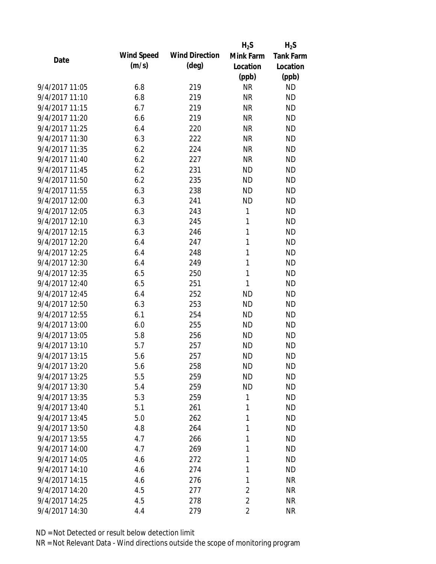|                |                   |                       | $H_2S$         | $H_2S$           |
|----------------|-------------------|-----------------------|----------------|------------------|
| Date           | <b>Wind Speed</b> | <b>Wind Direction</b> | Mink Farm      | <b>Tank Farm</b> |
|                | (m/s)             | $(\text{deg})$        | Location       | Location         |
|                |                   |                       | (ppb)          | (ppb)            |
| 9/4/2017 11:05 | 6.8               | 219                   | <b>NR</b>      | <b>ND</b>        |
| 9/4/2017 11:10 | 6.8               | 219                   | <b>NR</b>      | <b>ND</b>        |
| 9/4/2017 11:15 | 6.7               | 219                   | <b>NR</b>      | <b>ND</b>        |
| 9/4/2017 11:20 | 6.6               | 219                   | <b>NR</b>      | <b>ND</b>        |
| 9/4/2017 11:25 | 6.4               | 220                   | <b>NR</b>      | <b>ND</b>        |
| 9/4/2017 11:30 | 6.3               | 222                   | <b>NR</b>      | <b>ND</b>        |
| 9/4/2017 11:35 | 6.2               | 224                   | <b>NR</b>      | <b>ND</b>        |
| 9/4/2017 11:40 | 6.2               | 227                   | <b>NR</b>      | <b>ND</b>        |
| 9/4/2017 11:45 | 6.2               | 231                   | <b>ND</b>      | <b>ND</b>        |
| 9/4/2017 11:50 | 6.2               | 235                   | <b>ND</b>      | <b>ND</b>        |
| 9/4/2017 11:55 | 6.3               | 238                   | <b>ND</b>      | <b>ND</b>        |
| 9/4/2017 12:00 | 6.3               | 241                   | <b>ND</b>      | <b>ND</b>        |
| 9/4/2017 12:05 | 6.3               | 243                   | 1              | <b>ND</b>        |
| 9/4/2017 12:10 | 6.3               | 245                   | 1              | <b>ND</b>        |
| 9/4/2017 12:15 | 6.3               | 246                   | 1              | <b>ND</b>        |
| 9/4/2017 12:20 | 6.4               | 247                   | 1              | <b>ND</b>        |
| 9/4/2017 12:25 | 6.4               | 248                   | 1              | <b>ND</b>        |
| 9/4/2017 12:30 | 6.4               | 249                   | 1              | <b>ND</b>        |
| 9/4/2017 12:35 | 6.5               | 250                   | 1              | <b>ND</b>        |
| 9/4/2017 12:40 | 6.5               | 251                   | 1              | <b>ND</b>        |
| 9/4/2017 12:45 | 6.4               | 252                   | <b>ND</b>      | <b>ND</b>        |
| 9/4/2017 12:50 | 6.3               | 253                   | <b>ND</b>      | <b>ND</b>        |
| 9/4/2017 12:55 | 6.1               | 254                   | <b>ND</b>      | <b>ND</b>        |
| 9/4/2017 13:00 | 6.0               | 255                   | <b>ND</b>      | <b>ND</b>        |
| 9/4/2017 13:05 | 5.8               | 256                   | <b>ND</b>      | <b>ND</b>        |
| 9/4/2017 13:10 | 5.7               | 257                   | <b>ND</b>      | <b>ND</b>        |
| 9/4/2017 13:15 | 5.6               | 257                   | <b>ND</b>      | <b>ND</b>        |
| 9/4/2017 13:20 | 5.6               | 258                   | <b>ND</b>      | <b>ND</b>        |
| 9/4/2017 13:25 | 5.5               | 259                   | <b>ND</b>      | <b>ND</b>        |
| 9/4/2017 13:30 | 5.4               | 259                   | <b>ND</b>      | <b>ND</b>        |
| 9/4/2017 13:35 | 5.3               | 259                   | 1              | <b>ND</b>        |
| 9/4/2017 13:40 | 5.1               | 261                   | 1              | <b>ND</b>        |
| 9/4/2017 13:45 | 5.0               | 262                   | 1              | <b>ND</b>        |
| 9/4/2017 13:50 | 4.8               | 264                   | 1              | <b>ND</b>        |
| 9/4/2017 13:55 | 4.7               | 266                   | 1              | <b>ND</b>        |
| 9/4/2017 14:00 | 4.7               | 269                   | 1              | <b>ND</b>        |
| 9/4/2017 14:05 | 4.6               | 272                   | 1              | <b>ND</b>        |
| 9/4/2017 14:10 | 4.6               | 274                   | 1              | <b>ND</b>        |
| 9/4/2017 14:15 | 4.6               | 276                   | 1              | <b>NR</b>        |
| 9/4/2017 14:20 | 4.5               | 277                   | $\overline{2}$ | <b>NR</b>        |
| 9/4/2017 14:25 | 4.5               | 278                   | $\overline{2}$ | <b>NR</b>        |
| 9/4/2017 14:30 | 4.4               | 279                   | $\overline{2}$ | <b>NR</b>        |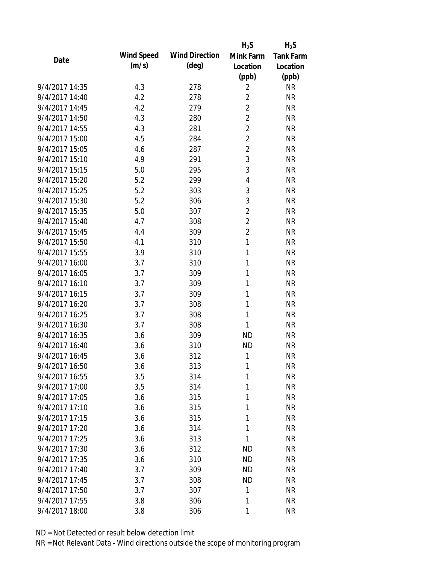|                |                   |                       | $H_2S$         | $H_2S$           |
|----------------|-------------------|-----------------------|----------------|------------------|
| Date           | <b>Wind Speed</b> | <b>Wind Direction</b> | Mink Farm      | <b>Tank Farm</b> |
|                | (m/s)             | $(\text{deg})$        | Location       | Location         |
|                |                   |                       | (ppb)          | (ppb)            |
| 9/4/2017 14:35 | 4.3               | 278                   | $\overline{2}$ | <b>NR</b>        |
| 9/4/2017 14:40 | 4.2               | 278                   | $\overline{2}$ | <b>NR</b>        |
| 9/4/2017 14:45 | 4.2               | 279                   | $\overline{2}$ | <b>NR</b>        |
| 9/4/2017 14:50 | 4.3               | 280                   | $\overline{2}$ | <b>NR</b>        |
| 9/4/2017 14:55 | 4.3               | 281                   | $\overline{2}$ | <b>NR</b>        |
| 9/4/2017 15:00 | 4.5               | 284                   | $\overline{2}$ | <b>NR</b>        |
| 9/4/2017 15:05 | 4.6               | 287                   | $\overline{c}$ | <b>NR</b>        |
| 9/4/2017 15:10 | 4.9               | 291                   | 3              | <b>NR</b>        |
| 9/4/2017 15:15 | 5.0               | 295                   | 3              | <b>NR</b>        |
| 9/4/2017 15:20 | 5.2               | 299                   | 4              | <b>NR</b>        |
| 9/4/2017 15:25 | 5.2               | 303                   | 3              | <b>NR</b>        |
| 9/4/2017 15:30 | 5.2               | 306                   | $\mathfrak{Z}$ | <b>NR</b>        |
| 9/4/2017 15:35 | 5.0               | 307                   | $\overline{2}$ | <b>NR</b>        |
| 9/4/2017 15:40 | 4.7               | 308                   | $\overline{2}$ | <b>NR</b>        |
| 9/4/2017 15:45 | 4.4               | 309                   | $\overline{c}$ | <b>NR</b>        |
| 9/4/2017 15:50 | 4.1               | 310                   | 1              | <b>NR</b>        |
| 9/4/2017 15:55 | 3.9               | 310                   | 1              | <b>NR</b>        |
| 9/4/2017 16:00 | 3.7               | 310                   | 1              | <b>NR</b>        |
| 9/4/2017 16:05 | 3.7               | 309                   | 1              | <b>NR</b>        |
| 9/4/2017 16:10 | 3.7               | 309                   | 1              | <b>NR</b>        |
| 9/4/2017 16:15 | 3.7               | 309                   | 1              | <b>NR</b>        |
| 9/4/2017 16:20 | 3.7               | 308                   | 1              | <b>NR</b>        |
| 9/4/2017 16:25 | 3.7               | 308                   | $\mathbf{1}$   | <b>NR</b>        |
| 9/4/2017 16:30 | 3.7               | 308                   | 1              | <b>NR</b>        |
| 9/4/2017 16:35 | 3.6               | 309                   | <b>ND</b>      | <b>NR</b>        |
| 9/4/2017 16:40 | 3.6               | 310                   | <b>ND</b>      | <b>NR</b>        |
| 9/4/2017 16:45 | 3.6               | 312                   | 1              | <b>NR</b>        |
| 9/4/2017 16:50 | 3.6               | 313                   | 1              | <b>NR</b>        |
| 9/4/2017 16:55 | 3.5               | 314                   | 1              | <b>NR</b>        |
| 9/4/2017 17:00 | 3.5               | 314                   | 1              | <b>NR</b>        |
| 9/4/2017 17:05 | 3.6               | 315                   | 1              | <b>NR</b>        |
| 9/4/2017 17:10 | 3.6               | 315                   | 1              | <b>NR</b>        |
| 9/4/2017 17:15 | 3.6               | 315                   | 1              | <b>NR</b>        |
| 9/4/2017 17:20 | 3.6               | 314                   | 1              | <b>NR</b>        |
| 9/4/2017 17:25 | 3.6               | 313                   | $\mathbf{1}$   | <b>NR</b>        |
| 9/4/2017 17:30 | 3.6               | 312                   | <b>ND</b>      | <b>NR</b>        |
| 9/4/2017 17:35 | 3.6               | 310                   | <b>ND</b>      | <b>NR</b>        |
| 9/4/2017 17:40 | 3.7               | 309                   | <b>ND</b>      | <b>NR</b>        |
| 9/4/2017 17:45 | 3.7               | 308                   | <b>ND</b>      | <b>NR</b>        |
| 9/4/2017 17:50 | 3.7               | 307                   | 1              | <b>NR</b>        |
| 9/4/2017 17:55 | 3.8               | 306                   | 1              | <b>NR</b>        |
| 9/4/2017 18:00 | 3.8               | 306                   | 1              | <b>NR</b>        |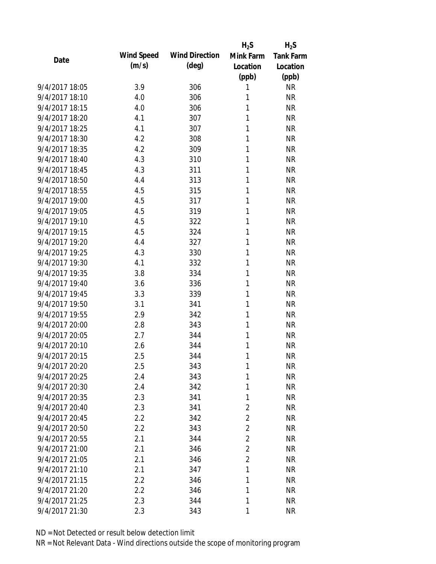|                |                   |                       | $H_2S$         | $H_2S$           |
|----------------|-------------------|-----------------------|----------------|------------------|
| Date           | <b>Wind Speed</b> | <b>Wind Direction</b> | Mink Farm      | <b>Tank Farm</b> |
|                | (m/s)             | $(\text{deg})$        | Location       | Location         |
|                |                   |                       | (ppb)          | (ppb)            |
| 9/4/2017 18:05 | 3.9               | 306                   | 1              | <b>NR</b>        |
| 9/4/2017 18:10 | 4.0               | 306                   | 1              | <b>NR</b>        |
| 9/4/2017 18:15 | 4.0               | 306                   | 1              | <b>NR</b>        |
| 9/4/2017 18:20 | 4.1               | 307                   | 1              | <b>NR</b>        |
| 9/4/2017 18:25 | 4.1               | 307                   | 1              | <b>NR</b>        |
| 9/4/2017 18:30 | 4.2               | 308                   | 1              | <b>NR</b>        |
| 9/4/2017 18:35 | 4.2               | 309                   | 1              | <b>NR</b>        |
| 9/4/2017 18:40 | 4.3               | 310                   | 1              | <b>NR</b>        |
| 9/4/2017 18:45 | 4.3               | 311                   | 1              | <b>NR</b>        |
| 9/4/2017 18:50 | 4.4               | 313                   | 1              | <b>NR</b>        |
| 9/4/2017 18:55 | 4.5               | 315                   | 1              | <b>NR</b>        |
| 9/4/2017 19:00 | 4.5               | 317                   | 1              | <b>NR</b>        |
| 9/4/2017 19:05 | 4.5               | 319                   | 1              | <b>NR</b>        |
| 9/4/2017 19:10 | 4.5               | 322                   | 1              | <b>NR</b>        |
| 9/4/2017 19:15 | 4.5               | 324                   | 1              | <b>NR</b>        |
| 9/4/2017 19:20 | 4.4               | 327                   | 1              | <b>NR</b>        |
| 9/4/2017 19:25 | 4.3               | 330                   | 1              | <b>NR</b>        |
| 9/4/2017 19:30 | 4.1               | 332                   | 1              | <b>NR</b>        |
| 9/4/2017 19:35 | 3.8               | 334                   | 1              | <b>NR</b>        |
| 9/4/2017 19:40 | 3.6               | 336                   | 1              | <b>NR</b>        |
| 9/4/2017 19:45 | 3.3               | 339                   | 1              | <b>NR</b>        |
| 9/4/2017 19:50 | 3.1               | 341                   | 1              | <b>NR</b>        |
| 9/4/2017 19:55 | 2.9               | 342                   | 1              | <b>NR</b>        |
| 9/4/2017 20:00 | 2.8               | 343                   | 1              | <b>NR</b>        |
| 9/4/2017 20:05 | 2.7               | 344                   | 1              | <b>NR</b>        |
| 9/4/2017 20:10 | 2.6               | 344                   | 1              | <b>NR</b>        |
| 9/4/2017 20:15 | 2.5               | 344                   | 1              | <b>NR</b>        |
| 9/4/2017 20:20 | 2.5               | 343                   | 1              | <b>NR</b>        |
| 9/4/2017 20:25 | 2.4               | 343                   | 1              | <b>NR</b>        |
| 9/4/2017 20:30 | 2.4               | 342                   | 1              | <b>NR</b>        |
| 9/4/2017 20:35 | 2.3               | 341                   | 1              | <b>NR</b>        |
| 9/4/2017 20:40 | 2.3               | 341                   | $\overline{2}$ | <b>NR</b>        |
| 9/4/2017 20:45 | 2.2               | 342                   | $\overline{2}$ | <b>NR</b>        |
| 9/4/2017 20:50 | 2.2               | 343                   | $\overline{2}$ | <b>NR</b>        |
| 9/4/2017 20:55 | 2.1               | 344                   | $\overline{2}$ | <b>NR</b>        |
| 9/4/2017 21:00 | 2.1               | 346                   | $\overline{2}$ | <b>NR</b>        |
| 9/4/2017 21:05 | 2.1               | 346                   | $\overline{2}$ | <b>NR</b>        |
| 9/4/2017 21:10 | 2.1               | 347                   | 1              | <b>NR</b>        |
| 9/4/2017 21:15 | 2.2               | 346                   | 1              | <b>NR</b>        |
| 9/4/2017 21:20 | 2.2               | 346                   | 1              | <b>NR</b>        |
| 9/4/2017 21:25 | 2.3               | 344                   | 1              | <b>NR</b>        |
| 9/4/2017 21:30 | 2.3               | 343                   | 1              | <b>NR</b>        |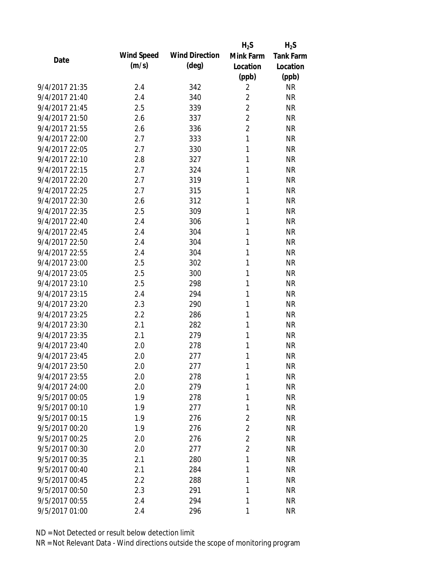|                |            |                       | $H_2S$         | $H_2S$           |
|----------------|------------|-----------------------|----------------|------------------|
| Date           | Wind Speed | <b>Wind Direction</b> | Mink Farm      | <b>Tank Farm</b> |
|                | (m/s)      | $(\text{deg})$        | Location       | Location         |
|                |            |                       | (ppb)          | (ppb)            |
| 9/4/2017 21:35 | 2.4        | 342                   | $\overline{2}$ | <b>NR</b>        |
| 9/4/2017 21:40 | 2.4        | 340                   | $\overline{2}$ | <b>NR</b>        |
| 9/4/2017 21:45 | 2.5        | 339                   | $\overline{2}$ | <b>NR</b>        |
| 9/4/2017 21:50 | 2.6        | 337                   | $\overline{2}$ | <b>NR</b>        |
| 9/4/2017 21:55 | 2.6        | 336                   | $\overline{2}$ | <b>NR</b>        |
| 9/4/2017 22:00 | 2.7        | 333                   | 1              | <b>NR</b>        |
| 9/4/2017 22:05 | 2.7        | 330                   | 1              | <b>NR</b>        |
| 9/4/2017 22:10 | 2.8        | 327                   | 1              | <b>NR</b>        |
| 9/4/2017 22:15 | 2.7        | 324                   | 1              | <b>NR</b>        |
| 9/4/2017 22:20 | 2.7        | 319                   | 1              | <b>NR</b>        |
| 9/4/2017 22:25 | 2.7        | 315                   | 1              | <b>NR</b>        |
| 9/4/2017 22:30 | 2.6        | 312                   | 1              | <b>NR</b>        |
| 9/4/2017 22:35 | 2.5        | 309                   | 1              | <b>NR</b>        |
| 9/4/2017 22:40 | 2.4        | 306                   | 1              | <b>NR</b>        |
| 9/4/2017 22:45 | 2.4        | 304                   | 1              | <b>NR</b>        |
| 9/4/2017 22:50 | 2.4        | 304                   | 1              | <b>NR</b>        |
| 9/4/2017 22:55 | 2.4        | 304                   | 1              | <b>NR</b>        |
| 9/4/2017 23:00 | 2.5        | 302                   | 1              | <b>NR</b>        |
| 9/4/2017 23:05 | 2.5        | 300                   | 1              | <b>NR</b>        |
| 9/4/2017 23:10 | 2.5        | 298                   | 1              | <b>NR</b>        |
| 9/4/2017 23:15 | 2.4        | 294                   | 1              | <b>NR</b>        |
| 9/4/2017 23:20 | 2.3        | 290                   | 1              | <b>NR</b>        |
| 9/4/2017 23:25 | 2.2        | 286                   | 1              | <b>NR</b>        |
| 9/4/2017 23:30 | 2.1        | 282                   | 1              | <b>NR</b>        |
| 9/4/2017 23:35 | 2.1        | 279                   | 1              | <b>NR</b>        |
| 9/4/2017 23:40 | 2.0        | 278                   | 1              | <b>NR</b>        |
| 9/4/2017 23:45 | 2.0        | 277                   | 1              | <b>NR</b>        |
| 9/4/2017 23:50 | 2.0        | 277                   | 1              | <b>NR</b>        |
| 9/4/2017 23:55 | 2.0        | 278                   | 1              | <b>NR</b>        |
| 9/4/2017 24:00 | 2.0        | 279                   | 1              | <b>NR</b>        |
| 9/5/2017 00:05 | 1.9        | 278                   | 1              | <b>NR</b>        |
| 9/5/2017 00:10 | 1.9        | 277                   | 1              | <b>NR</b>        |
| 9/5/2017 00:15 | 1.9        | 276                   | $\overline{c}$ | <b>NR</b>        |
| 9/5/2017 00:20 | 1.9        | 276                   | $\overline{2}$ | <b>NR</b>        |
| 9/5/2017 00:25 | 2.0        | 276                   | $\overline{2}$ | <b>NR</b>        |
| 9/5/2017 00:30 | 2.0        | 277                   | $\overline{2}$ | <b>NR</b>        |
| 9/5/2017 00:35 | 2.1        | 280                   | 1              | <b>NR</b>        |
| 9/5/2017 00:40 | 2.1        | 284                   | 1              | <b>NR</b>        |
| 9/5/2017 00:45 | 2.2        | 288                   | 1              | <b>NR</b>        |
| 9/5/2017 00:50 | 2.3        | 291                   | 1              | <b>NR</b>        |
| 9/5/2017 00:55 | 2.4        | 294                   | 1              | <b>NR</b>        |
| 9/5/2017 01:00 | 2.4        | 296                   | 1              | <b>NR</b>        |
|                |            |                       |                |                  |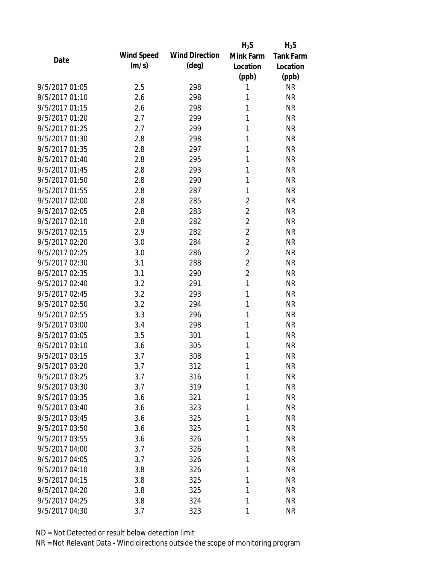| Date           |                   |                       | $H_2S$         | $H_2S$           |
|----------------|-------------------|-----------------------|----------------|------------------|
|                | <b>Wind Speed</b> | <b>Wind Direction</b> | Mink Farm      | <b>Tank Farm</b> |
|                | (m/s)             | $(\text{deg})$        | Location       | Location         |
|                |                   |                       | (ppb)          | (ppb)            |
| 9/5/2017 01:05 | 2.5               | 298                   | 1              | <b>NR</b>        |
| 9/5/2017 01:10 | 2.6               | 298                   | 1              | <b>NR</b>        |
| 9/5/2017 01:15 | 2.6               | 298                   | 1              | <b>NR</b>        |
| 9/5/2017 01:20 | 2.7               | 299                   | 1              | <b>NR</b>        |
| 9/5/2017 01:25 | 2.7               | 299                   | 1              | <b>NR</b>        |
| 9/5/2017 01:30 | 2.8               | 298                   | 1              | <b>NR</b>        |
| 9/5/2017 01:35 | 2.8               | 297                   | 1              | <b>NR</b>        |
| 9/5/2017 01:40 | 2.8               | 295                   | 1              | <b>NR</b>        |
| 9/5/2017 01:45 | 2.8               | 293                   | 1              | <b>NR</b>        |
| 9/5/2017 01:50 | 2.8               | 290                   | 1              | <b>NR</b>        |
| 9/5/2017 01:55 | 2.8               | 287                   | 1              | <b>NR</b>        |
| 9/5/2017 02:00 | 2.8               | 285                   | $\overline{2}$ | <b>NR</b>        |
| 9/5/2017 02:05 | 2.8               | 283                   | $\overline{c}$ | <b>NR</b>        |
| 9/5/2017 02:10 | 2.8               | 282                   | $\overline{c}$ | <b>NR</b>        |
| 9/5/2017 02:15 | 2.9               | 282                   | $\overline{2}$ | <b>NR</b>        |
| 9/5/2017 02:20 | 3.0               | 284                   | $\overline{2}$ | <b>NR</b>        |
| 9/5/2017 02:25 | 3.0               | 286                   | $\overline{2}$ | <b>NR</b>        |
| 9/5/2017 02:30 | 3.1               | 288                   | $\overline{2}$ | <b>NR</b>        |
| 9/5/2017 02:35 | 3.1               | 290                   | $\overline{c}$ | <b>NR</b>        |
| 9/5/2017 02:40 | 3.2               | 291                   | 1              | <b>NR</b>        |
| 9/5/2017 02:45 | 3.2               | 293                   | 1              | <b>NR</b>        |
| 9/5/2017 02:50 | 3.2               | 294                   | 1              | <b>NR</b>        |
| 9/5/2017 02:55 | 3.3               | 296                   | 1              | <b>NR</b>        |
| 9/5/2017 03:00 | 3.4               | 298                   | 1              | <b>NR</b>        |
| 9/5/2017 03:05 | 3.5               | 301                   | 1              | <b>NR</b>        |
| 9/5/2017 03:10 | 3.6               | 305                   | 1              | <b>NR</b>        |
| 9/5/2017 03:15 | 3.7               | 308                   | 1              | <b>NR</b>        |
| 9/5/2017 03:20 | 3.7               | 312                   | 1              | <b>NR</b>        |
| 9/5/2017 03:25 | 3.7               | 316                   | 1              | <b>NR</b>        |
| 9/5/2017 03:30 | 3.7               | 319                   | 1              | <b>NR</b>        |
| 9/5/2017 03:35 | 3.6               | 321                   | 1              | <b>NR</b>        |
| 9/5/2017 03:40 | 3.6               | 323                   | 1              | <b>NR</b>        |
| 9/5/2017 03:45 | 3.6               | 325                   | 1              | <b>NR</b>        |
| 9/5/2017 03:50 | 3.6               | 325                   | 1              | <b>NR</b>        |
| 9/5/2017 03:55 | 3.6               | 326                   | 1              | <b>NR</b>        |
| 9/5/2017 04:00 | 3.7               | 326                   | 1              | <b>NR</b>        |
| 9/5/2017 04:05 | 3.7               | 326                   | 1              | <b>NR</b>        |
| 9/5/2017 04:10 | 3.8               | 326                   | 1              | <b>NR</b>        |
| 9/5/2017 04:15 | 3.8               | 325                   | 1              | <b>NR</b>        |
| 9/5/2017 04:20 | 3.8               | 325                   | 1              | <b>NR</b>        |
| 9/5/2017 04:25 | 3.8               | 324                   | 1              | <b>NR</b>        |
| 9/5/2017 04:30 | 3.7               | 323                   | 1              | <b>NR</b>        |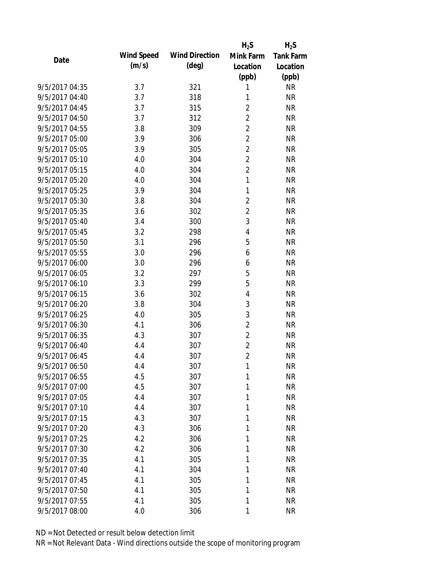|                |                   |                       | $H_2S$         | $H_2S$           |
|----------------|-------------------|-----------------------|----------------|------------------|
| Date           | <b>Wind Speed</b> | <b>Wind Direction</b> | Mink Farm      | <b>Tank Farm</b> |
|                | (m/s)             | $(\text{deg})$        | Location       | Location         |
|                |                   |                       | (ppb)          | (ppb)            |
| 9/5/2017 04:35 | 3.7               | 321                   | 1              | <b>NR</b>        |
| 9/5/2017 04:40 | 3.7               | 318                   | 1              | <b>NR</b>        |
| 9/5/2017 04:45 | 3.7               | 315                   | $\overline{2}$ | <b>NR</b>        |
| 9/5/2017 04:50 | 3.7               | 312                   | $\overline{2}$ | <b>NR</b>        |
| 9/5/2017 04:55 | 3.8               | 309                   | $\overline{2}$ | <b>NR</b>        |
| 9/5/2017 05:00 | 3.9               | 306                   | $\overline{2}$ | <b>NR</b>        |
| 9/5/2017 05:05 | 3.9               | 305                   | $\overline{2}$ | <b>NR</b>        |
| 9/5/2017 05:10 | 4.0               | 304                   | $\overline{2}$ | <b>NR</b>        |
| 9/5/2017 05:15 | 4.0               | 304                   | $\overline{c}$ | <b>NR</b>        |
| 9/5/2017 05:20 | 4.0               | 304                   | 1              | <b>NR</b>        |
| 9/5/2017 05:25 | 3.9               | 304                   | 1              | <b>NR</b>        |
| 9/5/2017 05:30 | 3.8               | 304                   | $\overline{c}$ | <b>NR</b>        |
| 9/5/2017 05:35 | 3.6               | 302                   | $\overline{c}$ | <b>NR</b>        |
| 9/5/2017 05:40 | 3.4               | 300                   | 3              | <b>NR</b>        |
| 9/5/2017 05:45 | 3.2               | 298                   | 4              | <b>NR</b>        |
| 9/5/2017 05:50 | 3.1               | 296                   | 5              | <b>NR</b>        |
| 9/5/2017 05:55 | 3.0               | 296                   | 6              | <b>NR</b>        |
| 9/5/2017 06:00 | 3.0               | 296                   | 6              | <b>NR</b>        |
| 9/5/2017 06:05 | 3.2               | 297                   | 5              | <b>NR</b>        |
| 9/5/2017 06:10 | 3.3               | 299                   | 5              | <b>NR</b>        |
| 9/5/2017 06:15 | 3.6               | 302                   | 4              | <b>NR</b>        |
| 9/5/2017 06:20 | 3.8               | 304                   | 3              | <b>NR</b>        |
| 9/5/2017 06:25 | 4.0               | 305                   | 3              | <b>NR</b>        |
| 9/5/2017 06:30 | 4.1               | 306                   | $\overline{2}$ | <b>NR</b>        |
| 9/5/2017 06:35 | 4.3               | 307                   | $\overline{2}$ | <b>NR</b>        |
| 9/5/2017 06:40 | 4.4               | 307                   | $\overline{2}$ | <b>NR</b>        |
| 9/5/2017 06:45 | 4.4               | 307                   | $\overline{2}$ | <b>NR</b>        |
| 9/5/2017 06:50 | 4.4               | 307                   | 1              | <b>NR</b>        |
| 9/5/2017 06:55 | 4.5               | 307                   | 1              | <b>NR</b>        |
| 9/5/2017 07:00 | 4.5               | 307                   | 1              | <b>NR</b>        |
| 9/5/2017 07:05 | 4.4               | 307                   | 1              | <b>NR</b>        |
| 9/5/2017 07:10 | 4.4               | 307                   | 1              | <b>NR</b>        |
| 9/5/2017 07:15 | 4.3               | 307                   | 1              | <b>NR</b>        |
| 9/5/2017 07:20 | 4.3               | 306                   | 1              | <b>NR</b>        |
| 9/5/2017 07:25 | 4.2               | 306                   | 1              | <b>NR</b>        |
| 9/5/2017 07:30 | 4.2               | 306                   | 1              | <b>NR</b>        |
| 9/5/2017 07:35 | 4.1               | 305                   | 1              | <b>NR</b>        |
| 9/5/2017 07:40 | 4.1               | 304                   | 1              | <b>NR</b>        |
| 9/5/2017 07:45 | 4.1               | 305                   | 1              | <b>NR</b>        |
| 9/5/2017 07:50 | 4.1               | 305                   | 1              | <b>NR</b>        |
| 9/5/2017 07:55 | 4.1               | 305                   | 1              | <b>NR</b>        |
| 9/5/2017 08:00 | 4.0               | 306                   | 1              | <b>NR</b>        |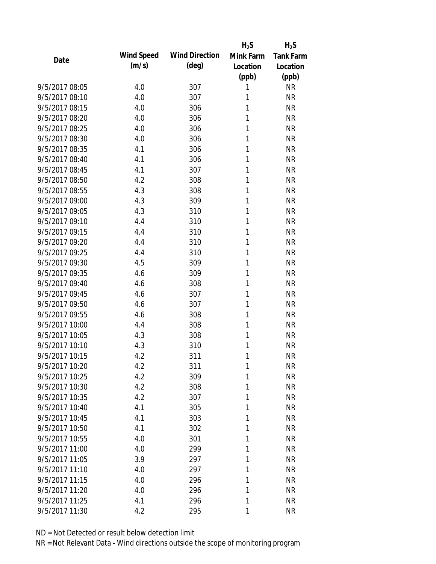| Date           |                   |                       | $H_2S$    | $H_2S$           |
|----------------|-------------------|-----------------------|-----------|------------------|
|                | <b>Wind Speed</b> | <b>Wind Direction</b> | Mink Farm | <b>Tank Farm</b> |
|                | (m/s)             | $(\text{deg})$        | Location  | Location         |
|                |                   |                       | (ppb)     | (ppb)            |
| 9/5/2017 08:05 | 4.0               | 307                   | 1         | <b>NR</b>        |
| 9/5/2017 08:10 | 4.0               | 307                   | 1         | <b>NR</b>        |
| 9/5/2017 08:15 | 4.0               | 306                   | 1         | <b>NR</b>        |
| 9/5/2017 08:20 | 4.0               | 306                   | 1         | <b>NR</b>        |
| 9/5/2017 08:25 | 4.0               | 306                   | 1         | <b>NR</b>        |
| 9/5/2017 08:30 | 4.0               | 306                   | 1         | <b>NR</b>        |
| 9/5/2017 08:35 | 4.1               | 306                   | 1         | <b>NR</b>        |
| 9/5/2017 08:40 | 4.1               | 306                   | 1         | <b>NR</b>        |
| 9/5/2017 08:45 | 4.1               | 307                   | 1         | <b>NR</b>        |
| 9/5/2017 08:50 | 4.2               | 308                   | 1         | <b>NR</b>        |
| 9/5/2017 08:55 | 4.3               | 308                   | 1         | <b>NR</b>        |
| 9/5/2017 09:00 | 4.3               | 309                   | 1         | <b>NR</b>        |
| 9/5/2017 09:05 | 4.3               | 310                   | 1         | <b>NR</b>        |
| 9/5/2017 09:10 | 4.4               | 310                   | 1         | <b>NR</b>        |
| 9/5/2017 09:15 | 4.4               | 310                   | 1         | <b>NR</b>        |
| 9/5/2017 09:20 | 4.4               | 310                   | 1         | <b>NR</b>        |
| 9/5/2017 09:25 | 4.4               | 310                   | 1         | <b>NR</b>        |
| 9/5/2017 09:30 | 4.5               | 309                   | 1         | <b>NR</b>        |
| 9/5/2017 09:35 | 4.6               | 309                   | 1         | <b>NR</b>        |
| 9/5/2017 09:40 | 4.6               | 308                   | 1         | <b>NR</b>        |
| 9/5/2017 09:45 | 4.6               | 307                   | 1         | <b>NR</b>        |
| 9/5/2017 09:50 | 4.6               | 307                   | 1         | <b>NR</b>        |
| 9/5/2017 09:55 | 4.6               | 308                   | 1         | <b>NR</b>        |
| 9/5/2017 10:00 | 4.4               | 308                   | 1         | <b>NR</b>        |
| 9/5/2017 10:05 | 4.3               | 308                   | 1         | <b>NR</b>        |
| 9/5/2017 10:10 | 4.3               | 310                   | 1         | <b>NR</b>        |
| 9/5/2017 10:15 | 4.2               | 311                   | 1         | <b>NR</b>        |
| 9/5/2017 10:20 | 4.2               | 311                   | 1         | <b>NR</b>        |
| 9/5/2017 10:25 | 4.2               | 309                   | 1         | <b>NR</b>        |
| 9/5/2017 10:30 | 4.2               | 308                   | 1         | <b>NR</b>        |
| 9/5/2017 10:35 | 4.2               | 307                   | 1         | <b>NR</b>        |
| 9/5/2017 10:40 | 4.1               | 305                   | 1         | <b>NR</b>        |
| 9/5/2017 10:45 | 4.1               | 303                   | 1         | <b>NR</b>        |
| 9/5/2017 10:50 | 4.1               | 302                   | 1         | <b>NR</b>        |
| 9/5/2017 10:55 | 4.0               | 301                   | 1         | <b>NR</b>        |
| 9/5/2017 11:00 | 4.0               | 299                   | 1         | <b>NR</b>        |
| 9/5/2017 11:05 | 3.9               | 297                   | 1         | <b>NR</b>        |
| 9/5/2017 11:10 | 4.0               | 297                   | 1         | <b>NR</b>        |
| 9/5/2017 11:15 | 4.0               | 296                   | 1         | <b>NR</b>        |
| 9/5/2017 11:20 | 4.0               | 296                   | 1         | <b>NR</b>        |
| 9/5/2017 11:25 | 4.1               | 296                   | 1         | <b>NR</b>        |
| 9/5/2017 11:30 | 4.2               | 295                   | 1         | <b>NR</b>        |
|                |                   |                       |           |                  |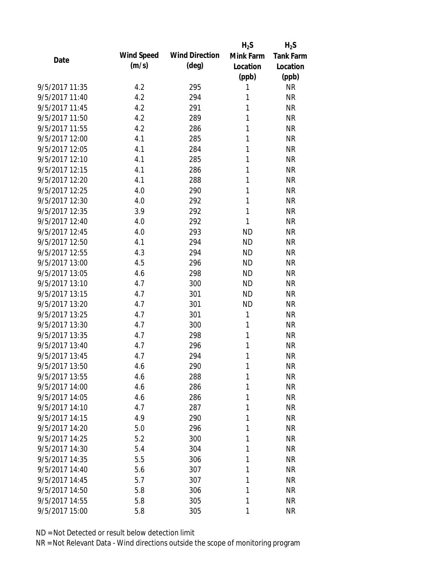| Date           |                   |                       | $H_2S$    | $H_2S$           |
|----------------|-------------------|-----------------------|-----------|------------------|
|                | <b>Wind Speed</b> | <b>Wind Direction</b> | Mink Farm | <b>Tank Farm</b> |
|                | (m/s)             | $(\text{deg})$        | Location  | Location         |
|                |                   |                       | (ppb)     | (ppb)            |
| 9/5/2017 11:35 | 4.2               | 295                   | 1         | <b>NR</b>        |
| 9/5/2017 11:40 | 4.2               | 294                   | 1         | <b>NR</b>        |
| 9/5/2017 11:45 | 4.2               | 291                   | 1         | <b>NR</b>        |
| 9/5/2017 11:50 | 4.2               | 289                   | 1         | <b>NR</b>        |
| 9/5/2017 11:55 | 4.2               | 286                   | 1         | <b>NR</b>        |
| 9/5/2017 12:00 | 4.1               | 285                   | 1         | <b>NR</b>        |
| 9/5/2017 12:05 | 4.1               | 284                   | 1         | <b>NR</b>        |
| 9/5/2017 12:10 | 4.1               | 285                   | 1         | <b>NR</b>        |
| 9/5/2017 12:15 | 4.1               | 286                   | 1         | <b>NR</b>        |
| 9/5/2017 12:20 | 4.1               | 288                   | 1         | <b>NR</b>        |
| 9/5/2017 12:25 | 4.0               | 290                   | 1         | <b>NR</b>        |
| 9/5/2017 12:30 | 4.0               | 292                   | 1         | <b>NR</b>        |
| 9/5/2017 12:35 | 3.9               | 292                   | 1         | <b>NR</b>        |
| 9/5/2017 12:40 | 4.0               | 292                   | 1         | <b>NR</b>        |
| 9/5/2017 12:45 | 4.0               | 293                   | <b>ND</b> | <b>NR</b>        |
| 9/5/2017 12:50 | 4.1               | 294                   | <b>ND</b> | <b>NR</b>        |
| 9/5/2017 12:55 | 4.3               | 294                   | <b>ND</b> | <b>NR</b>        |
| 9/5/2017 13:00 | 4.5               | 296                   | <b>ND</b> | <b>NR</b>        |
| 9/5/2017 13:05 | 4.6               | 298                   | <b>ND</b> | <b>NR</b>        |
| 9/5/2017 13:10 | 4.7               | 300                   | <b>ND</b> | <b>NR</b>        |
| 9/5/2017 13:15 | 4.7               | 301                   | <b>ND</b> | <b>NR</b>        |
| 9/5/2017 13:20 | 4.7               | 301                   | <b>ND</b> | <b>NR</b>        |
| 9/5/2017 13:25 | 4.7               | 301                   | 1         | <b>NR</b>        |
| 9/5/2017 13:30 | 4.7               | 300                   | 1         | <b>NR</b>        |
| 9/5/2017 13:35 | 4.7               | 298                   | 1         | <b>NR</b>        |
| 9/5/2017 13:40 | 4.7               | 296                   | 1         | <b>NR</b>        |
| 9/5/2017 13:45 | 4.7               | 294                   | 1         | <b>NR</b>        |
| 9/5/2017 13:50 | 4.6               | 290                   | 1         | <b>NR</b>        |
| 9/5/2017 13:55 | 4.6               | 288                   | 1         | <b>NR</b>        |
| 9/5/2017 14:00 | 4.6               | 286                   | 1         | <b>NR</b>        |
| 9/5/2017 14:05 | 4.6               | 286                   | 1         | <b>NR</b>        |
| 9/5/2017 14:10 | 4.7               | 287                   | 1         | <b>NR</b>        |
| 9/5/2017 14:15 | 4.9               | 290                   | 1         | <b>NR</b>        |
| 9/5/2017 14:20 | 5.0               | 296                   | 1         | <b>NR</b>        |
| 9/5/2017 14:25 | 5.2               | 300                   | 1         | <b>NR</b>        |
| 9/5/2017 14:30 | 5.4               | 304                   | 1         | <b>NR</b>        |
| 9/5/2017 14:35 | 5.5               | 306                   | 1         | <b>NR</b>        |
| 9/5/2017 14:40 | 5.6               | 307                   | 1         | <b>NR</b>        |
| 9/5/2017 14:45 | 5.7               | 307                   | 1         | <b>NR</b>        |
| 9/5/2017 14:50 | 5.8               | 306                   | 1         | <b>NR</b>        |
| 9/5/2017 14:55 | 5.8               | 305                   | 1         | <b>NR</b>        |
| 9/5/2017 15:00 | 5.8               | 305                   | 1         | <b>NR</b>        |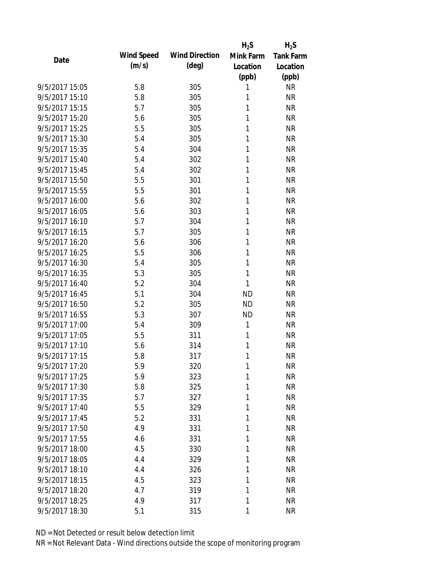|                |                   |                       | $H_2S$    | $H_2S$           |
|----------------|-------------------|-----------------------|-----------|------------------|
| Date           | <b>Wind Speed</b> | <b>Wind Direction</b> | Mink Farm | <b>Tank Farm</b> |
|                | (m/s)             | $(\text{deg})$        | Location  | Location         |
|                |                   |                       | (ppb)     | (ppb)            |
| 9/5/2017 15:05 | 5.8               | 305                   | 1         | <b>NR</b>        |
| 9/5/2017 15:10 | 5.8               | 305                   | 1         | <b>NR</b>        |
| 9/5/2017 15:15 | 5.7               | 305                   | 1         | <b>NR</b>        |
| 9/5/2017 15:20 | 5.6               | 305                   | 1         | <b>NR</b>        |
| 9/5/2017 15:25 | 5.5               | 305                   | 1         | <b>NR</b>        |
| 9/5/2017 15:30 | 5.4               | 305                   | 1         | <b>NR</b>        |
| 9/5/2017 15:35 | 5.4               | 304                   | 1         | <b>NR</b>        |
| 9/5/2017 15:40 | 5.4               | 302                   | 1         | <b>NR</b>        |
| 9/5/2017 15:45 | 5.4               | 302                   | 1         | <b>NR</b>        |
| 9/5/2017 15:50 | 5.5               | 301                   | 1         | <b>NR</b>        |
| 9/5/2017 15:55 | 5.5               | 301                   | 1         | <b>NR</b>        |
| 9/5/2017 16:00 | 5.6               | 302                   | 1         | <b>NR</b>        |
| 9/5/2017 16:05 | 5.6               | 303                   | 1         | <b>NR</b>        |
| 9/5/2017 16:10 | 5.7               | 304                   | 1         | <b>NR</b>        |
| 9/5/2017 16:15 | 5.7               | 305                   | 1         | <b>NR</b>        |
| 9/5/2017 16:20 | 5.6               | 306                   | 1         | <b>NR</b>        |
| 9/5/2017 16:25 | 5.5               | 306                   | 1         | <b>NR</b>        |
| 9/5/2017 16:30 | 5.4               | 305                   | 1         | <b>NR</b>        |
| 9/5/2017 16:35 | 5.3               | 305                   | 1         | <b>NR</b>        |
| 9/5/2017 16:40 | 5.2               | 304                   | 1         | <b>NR</b>        |
| 9/5/2017 16:45 | 5.1               | 304                   | <b>ND</b> | <b>NR</b>        |
| 9/5/2017 16:50 | 5.2               | 305                   | <b>ND</b> | <b>NR</b>        |
| 9/5/2017 16:55 | 5.3               | 307                   | <b>ND</b> | <b>NR</b>        |
| 9/5/2017 17:00 | 5.4               | 309                   | 1         | <b>NR</b>        |
| 9/5/2017 17:05 | 5.5               | 311                   | 1         | <b>NR</b>        |
| 9/5/2017 17:10 | 5.6               | 314                   | 1         | <b>NR</b>        |
| 9/5/2017 17:15 | 5.8               | 317                   | 1         | <b>NR</b>        |
| 9/5/2017 17:20 | 5.9               | 320                   | 1         | <b>NR</b>        |
| 9/5/2017 17:25 | 5.9               | 323                   | 1         | <b>NR</b>        |
| 9/5/2017 17:30 | 5.8               | 325                   | 1         | <b>NR</b>        |
| 9/5/2017 17:35 | 5.7               | 327                   | 1         | <b>NR</b>        |
| 9/5/2017 17:40 | 5.5               | 329                   | 1         | <b>NR</b>        |
| 9/5/2017 17:45 | 5.2               | 331                   | 1         | <b>NR</b>        |
| 9/5/2017 17:50 | 4.9               | 331                   | 1         | <b>NR</b>        |
| 9/5/2017 17:55 | 4.6               | 331                   | 1         | <b>NR</b>        |
| 9/5/2017 18:00 | 4.5               | 330                   | 1         | <b>NR</b>        |
| 9/5/2017 18:05 | 4.4               | 329                   | 1         | <b>NR</b>        |
| 9/5/2017 18:10 | 4.4               | 326                   | 1         | <b>NR</b>        |
| 9/5/2017 18:15 | 4.5               | 323                   | 1         | <b>NR</b>        |
| 9/5/2017 18:20 | 4.7               | 319                   | 1         | <b>NR</b>        |
| 9/5/2017 18:25 | 4.9               | 317                   | 1         | <b>NR</b>        |
| 9/5/2017 18:30 | 5.1               | 315                   | 1         | <b>NR</b>        |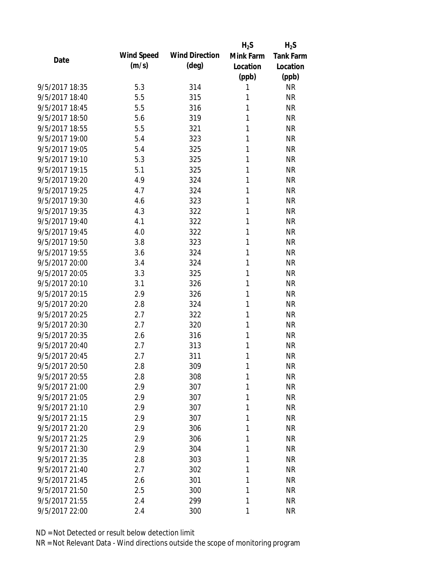| Date           |                   |                       | $H_2S$    | $H_2S$           |
|----------------|-------------------|-----------------------|-----------|------------------|
|                | <b>Wind Speed</b> | <b>Wind Direction</b> | Mink Farm | <b>Tank Farm</b> |
|                | (m/s)             | $(\text{deg})$        | Location  | Location         |
|                |                   |                       | (ppb)     | (ppb)            |
| 9/5/2017 18:35 | 5.3               | 314                   | 1         | <b>NR</b>        |
| 9/5/2017 18:40 | 5.5               | 315                   | 1         | <b>NR</b>        |
| 9/5/2017 18:45 | 5.5               | 316                   | 1         | <b>NR</b>        |
| 9/5/2017 18:50 | 5.6               | 319                   | 1         | <b>NR</b>        |
| 9/5/2017 18:55 | 5.5               | 321                   | 1         | <b>NR</b>        |
| 9/5/2017 19:00 | 5.4               | 323                   | 1         | <b>NR</b>        |
| 9/5/2017 19:05 | 5.4               | 325                   | 1         | <b>NR</b>        |
| 9/5/2017 19:10 | 5.3               | 325                   | 1         | <b>NR</b>        |
| 9/5/2017 19:15 | 5.1               | 325                   | 1         | <b>NR</b>        |
| 9/5/2017 19:20 | 4.9               | 324                   | 1         | <b>NR</b>        |
| 9/5/2017 19:25 | 4.7               | 324                   | 1         | <b>NR</b>        |
| 9/5/2017 19:30 | 4.6               | 323                   | 1         | <b>NR</b>        |
| 9/5/2017 19:35 | 4.3               | 322                   | 1         | <b>NR</b>        |
| 9/5/2017 19:40 | 4.1               | 322                   | 1         | <b>NR</b>        |
| 9/5/2017 19:45 | 4.0               | 322                   | 1         | <b>NR</b>        |
| 9/5/2017 19:50 | 3.8               | 323                   | 1         | <b>NR</b>        |
| 9/5/2017 19:55 | 3.6               | 324                   | 1         | <b>NR</b>        |
| 9/5/2017 20:00 | 3.4               | 324                   | 1         | <b>NR</b>        |
| 9/5/2017 20:05 | 3.3               | 325                   | 1         | <b>NR</b>        |
| 9/5/2017 20:10 | 3.1               | 326                   | 1         | <b>NR</b>        |
| 9/5/2017 20:15 | 2.9               | 326                   | 1         | <b>NR</b>        |
| 9/5/2017 20:20 | 2.8               | 324                   | 1         | <b>NR</b>        |
| 9/5/2017 20:25 | 2.7               | 322                   | 1         | <b>NR</b>        |
| 9/5/2017 20:30 | 2.7               | 320                   | 1         | <b>NR</b>        |
| 9/5/2017 20:35 | 2.6               | 316                   | 1         | <b>NR</b>        |
| 9/5/2017 20:40 | 2.7               | 313                   | 1         | <b>NR</b>        |
| 9/5/2017 20:45 | 2.7               | 311                   | 1         | <b>NR</b>        |
| 9/5/2017 20:50 | 2.8               | 309                   | 1         | <b>NR</b>        |
| 9/5/2017 20:55 | 2.8               | 308                   | 1         | <b>NR</b>        |
| 9/5/2017 21:00 | 2.9               | 307                   | 1         | <b>NR</b>        |
| 9/5/2017 21:05 | 2.9               | 307                   | 1         | <b>NR</b>        |
| 9/5/2017 21:10 | 2.9               | 307                   | 1         | <b>NR</b>        |
| 9/5/2017 21:15 | 2.9               | 307                   | 1         | <b>NR</b>        |
| 9/5/2017 21:20 | 2.9               | 306                   | 1         | <b>NR</b>        |
| 9/5/2017 21:25 | 2.9               | 306                   | 1         | <b>NR</b>        |
| 9/5/2017 21:30 | 2.9               | 304                   | 1         | <b>NR</b>        |
| 9/5/2017 21:35 | 2.8               | 303                   | 1         | <b>NR</b>        |
| 9/5/2017 21:40 | 2.7               | 302                   | 1         | <b>NR</b>        |
| 9/5/2017 21:45 | 2.6               | 301                   | 1         | <b>NR</b>        |
| 9/5/2017 21:50 | 2.5               | 300                   | 1         | <b>NR</b>        |
| 9/5/2017 21:55 | 2.4               | 299                   | 1         | <b>NR</b>        |
| 9/5/2017 22:00 | 2.4               | 300                   | 1         | <b>NR</b>        |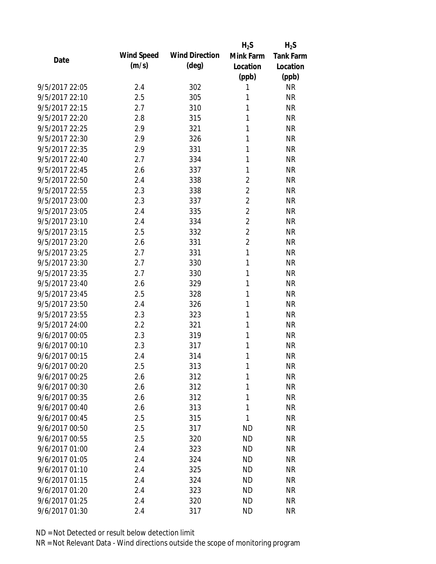|                |            |                       | $H_2S$         | $H_2S$           |
|----------------|------------|-----------------------|----------------|------------------|
| Date           | Wind Speed | <b>Wind Direction</b> | Mink Farm      | <b>Tank Farm</b> |
|                | (m/s)      | $(\text{deg})$        | Location       | Location         |
|                |            |                       | (ppb)          | (ppb)            |
| 9/5/2017 22:05 | 2.4        | 302                   | 1              | <b>NR</b>        |
| 9/5/2017 22:10 | 2.5        | 305                   | 1              | <b>NR</b>        |
| 9/5/2017 22:15 | 2.7        | 310                   | 1              | <b>NR</b>        |
| 9/5/2017 22:20 | 2.8        | 315                   | 1              | <b>NR</b>        |
| 9/5/2017 22:25 | 2.9        | 321                   | 1              | <b>NR</b>        |
| 9/5/2017 22:30 | 2.9        | 326                   | 1              | <b>NR</b>        |
| 9/5/2017 22:35 | 2.9        | 331                   | 1              | <b>NR</b>        |
| 9/5/2017 22:40 | 2.7        | 334                   | 1              | <b>NR</b>        |
| 9/5/2017 22:45 | 2.6        | 337                   | 1              | <b>NR</b>        |
| 9/5/2017 22:50 | 2.4        | 338                   | $\overline{2}$ | <b>NR</b>        |
| 9/5/2017 22:55 | 2.3        | 338                   | $\overline{2}$ | <b>NR</b>        |
| 9/5/2017 23:00 | 2.3        | 337                   | $\overline{c}$ | <b>NR</b>        |
| 9/5/2017 23:05 | 2.4        | 335                   | $\overline{2}$ | <b>NR</b>        |
| 9/5/2017 23:10 | 2.4        | 334                   | $\overline{2}$ | <b>NR</b>        |
| 9/5/2017 23:15 | 2.5        | 332                   | $\overline{2}$ | <b>NR</b>        |
| 9/5/2017 23:20 | 2.6        | 331                   | $\overline{2}$ | <b>NR</b>        |
| 9/5/2017 23:25 | 2.7        | 331                   | 1              | <b>NR</b>        |
| 9/5/2017 23:30 | 2.7        | 330                   | 1              | <b>NR</b>        |
| 9/5/2017 23:35 | 2.7        | 330                   | 1              | <b>NR</b>        |
| 9/5/2017 23:40 | 2.6        | 329                   | 1              | <b>NR</b>        |
| 9/5/2017 23:45 | 2.5        | 328                   | 1              | <b>NR</b>        |
| 9/5/2017 23:50 | 2.4        | 326                   | 1              | <b>NR</b>        |
| 9/5/2017 23:55 | 2.3        | 323                   | 1              | <b>NR</b>        |
| 9/5/2017 24:00 | 2.2        | 321                   | 1              | <b>NR</b>        |
| 9/6/2017 00:05 | 2.3        | 319                   | 1              | <b>NR</b>        |
| 9/6/2017 00:10 | 2.3        | 317                   | 1              | <b>NR</b>        |
| 9/6/2017 00:15 | 2.4        | 314                   | 1              | <b>NR</b>        |
| 9/6/2017 00:20 | 2.5        | 313                   | 1              | <b>NR</b>        |
| 9/6/2017 00:25 | 2.6        | 312                   | 1              | <b>NR</b>        |
| 9/6/2017 00:30 | 2.6        | 312                   | 1              | <b>NR</b>        |
| 9/6/2017 00:35 | 2.6        | 312                   | 1              | <b>NR</b>        |
| 9/6/2017 00:40 | 2.6        | 313                   | 1              | <b>NR</b>        |
| 9/6/2017 00:45 | 2.5        | 315                   | 1              | <b>NR</b>        |
| 9/6/2017 00:50 | 2.5        | 317                   | <b>ND</b>      | <b>NR</b>        |
| 9/6/2017 00:55 | 2.5        | 320                   | <b>ND</b>      | <b>NR</b>        |
| 9/6/2017 01:00 | 2.4        | 323                   | <b>ND</b>      | <b>NR</b>        |
| 9/6/2017 01:05 | 2.4        | 324                   | <b>ND</b>      | <b>NR</b>        |
| 9/6/2017 01:10 |            | 325                   | <b>ND</b>      | <b>NR</b>        |
| 9/6/2017 01:15 | 2.4<br>2.4 | 324                   | <b>ND</b>      | <b>NR</b>        |
| 9/6/2017 01:20 | 2.4        |                       | ND             | <b>NR</b>        |
|                |            | 323                   |                |                  |
| 9/6/2017 01:25 | 2.4        | 320                   | <b>ND</b>      | <b>NR</b>        |
| 9/6/2017 01:30 | 2.4        | 317                   | <b>ND</b>      | <b>NR</b>        |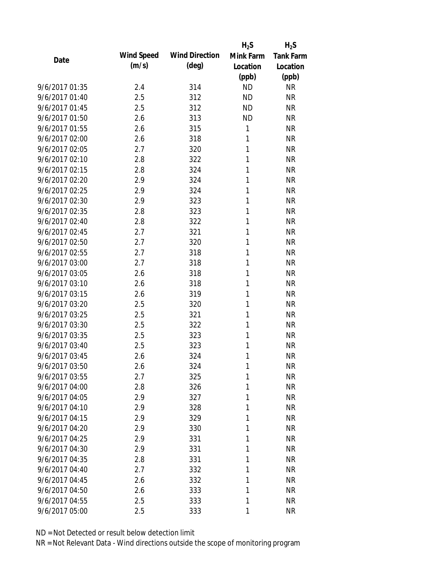| Date           |                   |                       | $H_2S$    | $H_2S$           |
|----------------|-------------------|-----------------------|-----------|------------------|
|                | <b>Wind Speed</b> | <b>Wind Direction</b> | Mink Farm | <b>Tank Farm</b> |
|                | (m/s)             | $(\text{deg})$        | Location  | Location         |
|                |                   |                       | (ppb)     | (ppb)            |
| 9/6/2017 01:35 | 2.4               | 314                   | <b>ND</b> | <b>NR</b>        |
| 9/6/2017 01:40 | 2.5               | 312                   | <b>ND</b> | <b>NR</b>        |
| 9/6/2017 01:45 | 2.5               | 312                   | <b>ND</b> | <b>NR</b>        |
| 9/6/2017 01:50 | 2.6               | 313                   | <b>ND</b> | <b>NR</b>        |
| 9/6/2017 01:55 | 2.6               | 315                   | 1         | <b>NR</b>        |
| 9/6/2017 02:00 | 2.6               | 318                   | 1         | <b>NR</b>        |
| 9/6/2017 02:05 | 2.7               | 320                   | 1         | <b>NR</b>        |
| 9/6/2017 02:10 | 2.8               | 322                   | 1         | <b>NR</b>        |
| 9/6/2017 02:15 | 2.8               | 324                   | 1         | <b>NR</b>        |
| 9/6/2017 02:20 | 2.9               | 324                   | 1         | <b>NR</b>        |
| 9/6/2017 02:25 | 2.9               | 324                   | 1         | <b>NR</b>        |
| 9/6/2017 02:30 | 2.9               | 323                   | 1         | <b>NR</b>        |
| 9/6/2017 02:35 | 2.8               | 323                   | 1         | <b>NR</b>        |
| 9/6/2017 02:40 | 2.8               | 322                   | 1         | <b>NR</b>        |
| 9/6/2017 02:45 | 2.7               | 321                   | 1         | <b>NR</b>        |
| 9/6/2017 02:50 | 2.7               | 320                   | 1         | <b>NR</b>        |
| 9/6/2017 02:55 | 2.7               | 318                   | 1         | <b>NR</b>        |
| 9/6/2017 03:00 | 2.7               | 318                   | 1         | <b>NR</b>        |
| 9/6/2017 03:05 | 2.6               | 318                   | 1         | <b>NR</b>        |
| 9/6/2017 03:10 | 2.6               | 318                   | 1         | <b>NR</b>        |
| 9/6/2017 03:15 | 2.6               | 319                   | 1         | <b>NR</b>        |
| 9/6/2017 03:20 | 2.5               | 320                   | 1         | <b>NR</b>        |
| 9/6/2017 03:25 | 2.5               | 321                   | 1         | <b>NR</b>        |
| 9/6/2017 03:30 | 2.5               | 322                   | 1         | <b>NR</b>        |
| 9/6/2017 03:35 | 2.5               | 323                   | 1         | <b>NR</b>        |
| 9/6/2017 03:40 | 2.5               | 323                   | 1         | <b>NR</b>        |
| 9/6/2017 03:45 | 2.6               | 324                   | 1         | <b>NR</b>        |
| 9/6/2017 03:50 | 2.6               | 324                   | 1         | <b>NR</b>        |
| 9/6/2017 03:55 | 2.7               | 325                   | 1         | <b>NR</b>        |
| 9/6/2017 04:00 | 2.8               | 326                   | 1         | <b>NR</b>        |
| 9/6/2017 04:05 | 2.9               | 327                   | 1         | <b>NR</b>        |
| 9/6/2017 04:10 | 2.9               | 328                   | 1         | <b>NR</b>        |
| 9/6/2017 04:15 | 2.9               | 329                   | 1         | <b>NR</b>        |
| 9/6/2017 04:20 | 2.9               | 330                   | 1         | <b>NR</b>        |
| 9/6/2017 04:25 | 2.9               | 331                   | 1         | <b>NR</b>        |
| 9/6/2017 04:30 | 2.9               | 331                   | 1         | <b>NR</b>        |
| 9/6/2017 04:35 | 2.8               | 331                   | 1         | <b>NR</b>        |
| 9/6/2017 04:40 | 2.7               | 332                   | 1         | <b>NR</b>        |
| 9/6/2017 04:45 | 2.6               | 332                   | 1         | <b>NR</b>        |
| 9/6/2017 04:50 | 2.6               | 333                   | 1         | <b>NR</b>        |
| 9/6/2017 04:55 | 2.5               | 333                   | 1         | <b>NR</b>        |
| 9/6/2017 05:00 | 2.5               | 333                   | 1         | <b>NR</b>        |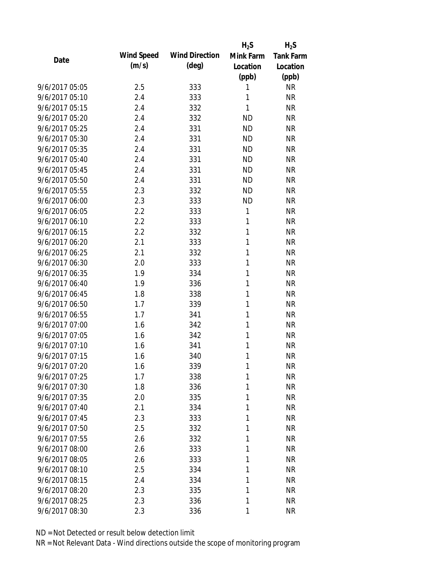|                |                   |                       | $H_2S$    | $H_2S$           |
|----------------|-------------------|-----------------------|-----------|------------------|
| Date           | <b>Wind Speed</b> | <b>Wind Direction</b> | Mink Farm | <b>Tank Farm</b> |
|                | (m/s)             | $(\text{deg})$        | Location  | Location         |
|                |                   |                       | (ppb)     | (ppb)            |
| 9/6/2017 05:05 | 2.5               | 333                   | 1         | <b>NR</b>        |
| 9/6/2017 05:10 | 2.4               | 333                   | 1         | <b>NR</b>        |
| 9/6/2017 05:15 | 2.4               | 332                   | 1         | <b>NR</b>        |
| 9/6/2017 05:20 | 2.4               | 332                   | <b>ND</b> | <b>NR</b>        |
| 9/6/2017 05:25 | 2.4               | 331                   | <b>ND</b> | <b>NR</b>        |
| 9/6/2017 05:30 | 2.4               | 331                   | <b>ND</b> | <b>NR</b>        |
| 9/6/2017 05:35 | 2.4               | 331                   | <b>ND</b> | <b>NR</b>        |
| 9/6/2017 05:40 | 2.4               | 331                   | <b>ND</b> | <b>NR</b>        |
| 9/6/2017 05:45 | 2.4               | 331                   | <b>ND</b> | <b>NR</b>        |
| 9/6/2017 05:50 | 2.4               | 331                   | <b>ND</b> | <b>NR</b>        |
| 9/6/2017 05:55 | 2.3               | 332                   | <b>ND</b> | <b>NR</b>        |
| 9/6/2017 06:00 | 2.3               | 333                   | <b>ND</b> | <b>NR</b>        |
| 9/6/2017 06:05 | 2.2               | 333                   | 1         | <b>NR</b>        |
| 9/6/2017 06:10 | 2.2               | 333                   | 1         | <b>NR</b>        |
| 9/6/2017 06:15 | 2.2               | 332                   | 1         | <b>NR</b>        |
| 9/6/2017 06:20 | 2.1               | 333                   | 1         | <b>NR</b>        |
| 9/6/2017 06:25 | 2.1               | 332                   | 1         | <b>NR</b>        |
| 9/6/2017 06:30 | 2.0               | 333                   | 1         | <b>NR</b>        |
| 9/6/2017 06:35 | 1.9               | 334                   | 1         | <b>NR</b>        |
| 9/6/2017 06:40 | 1.9               | 336                   | 1         | <b>NR</b>        |
| 9/6/2017 06:45 | 1.8               | 338                   | 1         | <b>NR</b>        |
| 9/6/2017 06:50 | 1.7               | 339                   | 1         | <b>NR</b>        |
| 9/6/2017 06:55 | 1.7               | 341                   | 1         | <b>NR</b>        |
| 9/6/2017 07:00 | 1.6               | 342                   | 1         | <b>NR</b>        |
| 9/6/2017 07:05 | 1.6               | 342                   | 1         | <b>NR</b>        |
| 9/6/2017 07:10 | 1.6               | 341                   | 1         | <b>NR</b>        |
| 9/6/2017 07:15 | 1.6               | 340                   | 1         | <b>NR</b>        |
| 9/6/2017 07:20 | 1.6               | 339                   | 1         | <b>NR</b>        |
| 9/6/2017 07:25 | 1.7               | 338                   | 1         | <b>NR</b>        |
| 9/6/2017 07:30 | 1.8               | 336                   | 1         | <b>NR</b>        |
| 9/6/2017 07:35 | 2.0               | 335                   | 1         | <b>NR</b>        |
| 9/6/2017 07:40 | 2.1               | 334                   | 1         | <b>NR</b>        |
| 9/6/2017 07:45 | 2.3               | 333                   | 1         | <b>NR</b>        |
| 9/6/2017 07:50 | 2.5               | 332                   | 1         | <b>NR</b>        |
| 9/6/2017 07:55 | 2.6               | 332                   | 1         | <b>NR</b>        |
| 9/6/2017 08:00 | 2.6               | 333                   | 1         | <b>NR</b>        |
| 9/6/2017 08:05 | 2.6               | 333                   | 1         | <b>NR</b>        |
| 9/6/2017 08:10 | 2.5               | 334                   | 1         | <b>NR</b>        |
| 9/6/2017 08:15 | 2.4               | 334                   | 1         | <b>NR</b>        |
| 9/6/2017 08:20 | 2.3               | 335                   | 1         | <b>NR</b>        |
| 9/6/2017 08:25 | 2.3               | 336                   | 1         | <b>NR</b>        |
| 9/6/2017 08:30 | 2.3               | 336                   | 1         | <b>NR</b>        |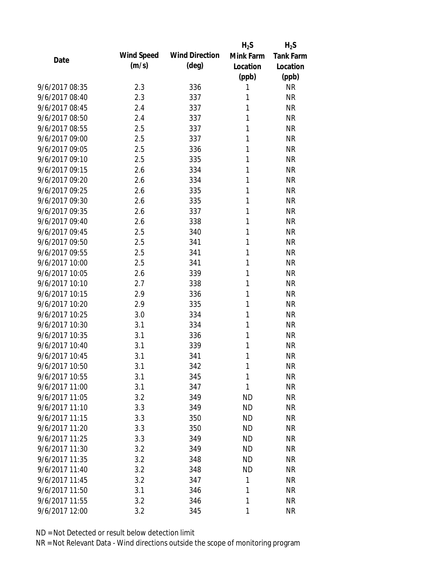| Date           |                   |                       | $H_2S$    | $H_2S$           |
|----------------|-------------------|-----------------------|-----------|------------------|
|                | <b>Wind Speed</b> | <b>Wind Direction</b> | Mink Farm | <b>Tank Farm</b> |
|                | (m/s)             | $(\text{deg})$        | Location  | Location         |
|                |                   |                       | (ppb)     | (ppb)            |
| 9/6/2017 08:35 | 2.3               | 336                   | 1         | <b>NR</b>        |
| 9/6/2017 08:40 | 2.3               | 337                   | 1         | <b>NR</b>        |
| 9/6/2017 08:45 | 2.4               | 337                   | 1         | <b>NR</b>        |
| 9/6/2017 08:50 | 2.4               | 337                   | 1         | <b>NR</b>        |
| 9/6/2017 08:55 | 2.5               | 337                   | 1         | <b>NR</b>        |
| 9/6/2017 09:00 | 2.5               | 337                   | 1         | <b>NR</b>        |
| 9/6/2017 09:05 | 2.5               | 336                   | 1         | <b>NR</b>        |
| 9/6/2017 09:10 | 2.5               | 335                   | 1         | <b>NR</b>        |
| 9/6/2017 09:15 | 2.6               | 334                   | 1         | <b>NR</b>        |
| 9/6/2017 09:20 | 2.6               | 334                   | 1         | <b>NR</b>        |
| 9/6/2017 09:25 | 2.6               | 335                   | 1         | <b>NR</b>        |
| 9/6/2017 09:30 | 2.6               | 335                   | 1         | <b>NR</b>        |
| 9/6/2017 09:35 | 2.6               | 337                   | 1         | <b>NR</b>        |
| 9/6/2017 09:40 | 2.6               | 338                   | 1         | <b>NR</b>        |
| 9/6/2017 09:45 | 2.5               | 340                   | 1         | <b>NR</b>        |
| 9/6/2017 09:50 | 2.5               | 341                   | 1         | <b>NR</b>        |
| 9/6/2017 09:55 | 2.5               | 341                   | 1         | <b>NR</b>        |
| 9/6/2017 10:00 | 2.5               | 341                   | 1         | <b>NR</b>        |
| 9/6/2017 10:05 | 2.6               | 339                   | 1         | <b>NR</b>        |
| 9/6/2017 10:10 | 2.7               | 338                   | 1         | <b>NR</b>        |
| 9/6/2017 10:15 | 2.9               | 336                   | 1         | <b>NR</b>        |
| 9/6/2017 10:20 | 2.9               | 335                   | 1         | <b>NR</b>        |
| 9/6/2017 10:25 | 3.0               | 334                   | 1         | <b>NR</b>        |
| 9/6/2017 10:30 | 3.1               | 334                   | 1         | <b>NR</b>        |
| 9/6/2017 10:35 | 3.1               | 336                   | 1         | <b>NR</b>        |
| 9/6/2017 10:40 | 3.1               | 339                   | 1         | <b>NR</b>        |
| 9/6/2017 10:45 | 3.1               | 341                   | 1         | <b>NR</b>        |
| 9/6/2017 10:50 | 3.1               | 342                   | 1         | <b>NR</b>        |
| 9/6/2017 10:55 | 3.1               | 345                   | 1         | <b>NR</b>        |
| 9/6/2017 11:00 | 3.1               | 347                   | 1         | <b>NR</b>        |
| 9/6/2017 11:05 | 3.2               | 349                   | ND        | <b>NR</b>        |
| 9/6/2017 11:10 | 3.3               | 349                   | <b>ND</b> | <b>NR</b>        |
| 9/6/2017 11:15 | 3.3               | 350                   | <b>ND</b> | <b>NR</b>        |
| 9/6/2017 11:20 | 3.3               | 350                   | <b>ND</b> | <b>NR</b>        |
| 9/6/2017 11:25 | 3.3               | 349                   | ND        | <b>NR</b>        |
| 9/6/2017 11:30 | 3.2               | 349                   | <b>ND</b> | <b>NR</b>        |
| 9/6/2017 11:35 | 3.2               | 348                   | <b>ND</b> | <b>NR</b>        |
| 9/6/2017 11:40 | 3.2               | 348                   | <b>ND</b> | <b>NR</b>        |
| 9/6/2017 11:45 | 3.2               | 347                   | 1         | <b>NR</b>        |
| 9/6/2017 11:50 | 3.1               | 346                   | 1         | <b>NR</b>        |
| 9/6/2017 11:55 | 3.2               | 346                   | 1         | <b>NR</b>        |
| 9/6/2017 12:00 | 3.2               | 345                   | 1         | <b>NR</b>        |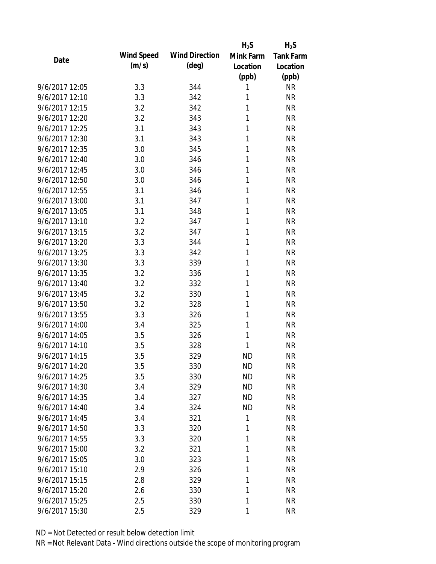|                |            |                       | $H_2S$    | $H_2S$           |
|----------------|------------|-----------------------|-----------|------------------|
| Date           | Wind Speed | <b>Wind Direction</b> | Mink Farm | <b>Tank Farm</b> |
|                | (m/s)      | $(\text{deg})$        | Location  | Location         |
|                |            |                       | (ppb)     | (ppb)            |
| 9/6/2017 12:05 | 3.3        | 344                   | 1         | <b>NR</b>        |
| 9/6/2017 12:10 | 3.3        | 342                   | 1         | <b>NR</b>        |
| 9/6/2017 12:15 | 3.2        | 342                   | 1         | <b>NR</b>        |
| 9/6/2017 12:20 | 3.2        | 343                   | 1         | <b>NR</b>        |
| 9/6/2017 12:25 | 3.1        | 343                   | 1         | <b>NR</b>        |
| 9/6/2017 12:30 | 3.1        | 343                   | 1         | <b>NR</b>        |
| 9/6/2017 12:35 | 3.0        | 345                   | 1         | <b>NR</b>        |
| 9/6/2017 12:40 | 3.0        | 346                   | 1         | <b>NR</b>        |
| 9/6/2017 12:45 | 3.0        | 346                   | 1         | <b>NR</b>        |
| 9/6/2017 12:50 | 3.0        | 346                   | 1         | <b>NR</b>        |
| 9/6/2017 12:55 | 3.1        | 346                   | 1         | <b>NR</b>        |
| 9/6/2017 13:00 | 3.1        | 347                   | 1         | <b>NR</b>        |
| 9/6/2017 13:05 | 3.1        | 348                   | 1         | <b>NR</b>        |
| 9/6/2017 13:10 | 3.2        | 347                   | 1         | <b>NR</b>        |
| 9/6/2017 13:15 | 3.2        | 347                   | 1         | <b>NR</b>        |
| 9/6/2017 13:20 | 3.3        | 344                   | 1         | <b>NR</b>        |
| 9/6/2017 13:25 | 3.3        | 342                   | 1         | <b>NR</b>        |
| 9/6/2017 13:30 | 3.3        | 339                   | 1         | <b>NR</b>        |
| 9/6/2017 13:35 | 3.2        | 336                   | 1         | <b>NR</b>        |
| 9/6/2017 13:40 | 3.2        | 332                   | 1         | <b>NR</b>        |
| 9/6/2017 13:45 | 3.2        | 330                   | 1         | <b>NR</b>        |
| 9/6/2017 13:50 | 3.2        | 328                   | 1         | <b>NR</b>        |
| 9/6/2017 13:55 | 3.3        | 326                   | 1         | <b>NR</b>        |
| 9/6/2017 14:00 | 3.4        | 325                   | 1         | <b>NR</b>        |
| 9/6/2017 14:05 | 3.5        | 326                   | 1         | <b>NR</b>        |
| 9/6/2017 14:10 | 3.5        | 328                   | 1         | <b>NR</b>        |
| 9/6/2017 14:15 | 3.5        | 329                   | <b>ND</b> | <b>NR</b>        |
| 9/6/2017 14:20 | 3.5        | 330                   | <b>ND</b> | <b>NR</b>        |
| 9/6/2017 14:25 | 3.5        | 330                   | <b>ND</b> | <b>NR</b>        |
| 9/6/2017 14:30 | 3.4        | 329                   | <b>ND</b> | <b>NR</b>        |
| 9/6/2017 14:35 | 3.4        | 327                   | <b>ND</b> | <b>NR</b>        |
| 9/6/2017 14:40 | 3.4        | 324                   | <b>ND</b> | <b>NR</b>        |
| 9/6/2017 14:45 | 3.4        | 321                   | 1         | <b>NR</b>        |
| 9/6/2017 14:50 | 3.3        | 320                   | 1         | <b>NR</b>        |
| 9/6/2017 14:55 | 3.3        | 320                   | 1         | <b>NR</b>        |
| 9/6/2017 15:00 | 3.2        | 321                   | 1         | <b>NR</b>        |
| 9/6/2017 15:05 | 3.0        | 323                   | 1         | <b>NR</b>        |
| 9/6/2017 15:10 | 2.9        | 326                   | 1         | <b>NR</b>        |
| 9/6/2017 15:15 | 2.8        | 329                   | 1         | <b>NR</b>        |
| 9/6/2017 15:20 | 2.6        | 330                   | 1         | <b>NR</b>        |
| 9/6/2017 15:25 | 2.5        | 330                   | 1         | <b>NR</b>        |
|                |            |                       | 1         |                  |
| 9/6/2017 15:30 | 2.5        | 329                   |           | <b>NR</b>        |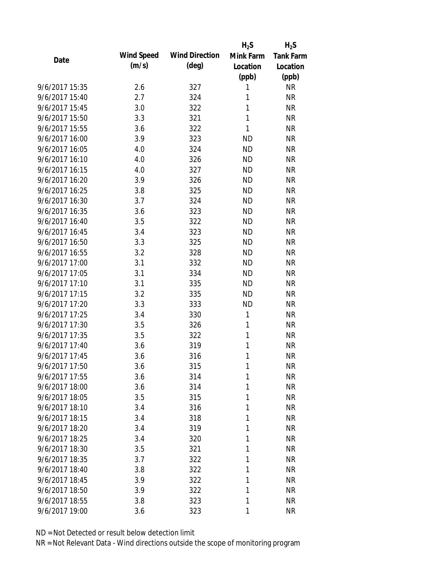|                |                   |                       | $H_2S$    | $H_2S$           |
|----------------|-------------------|-----------------------|-----------|------------------|
| Date           | <b>Wind Speed</b> | <b>Wind Direction</b> | Mink Farm | <b>Tank Farm</b> |
|                | (m/s)             | $(\text{deg})$        | Location  | Location         |
|                |                   |                       | (ppb)     | (ppb)            |
| 9/6/2017 15:35 | 2.6               | 327                   | 1         | <b>NR</b>        |
| 9/6/2017 15:40 | 2.7               | 324                   | 1         | <b>NR</b>        |
| 9/6/2017 15:45 | 3.0               | 322                   | 1         | <b>NR</b>        |
| 9/6/2017 15:50 | 3.3               | 321                   | 1         | <b>NR</b>        |
| 9/6/2017 15:55 | 3.6               | 322                   | 1         | <b>NR</b>        |
| 9/6/2017 16:00 | 3.9               | 323                   | <b>ND</b> | <b>NR</b>        |
| 9/6/2017 16:05 | 4.0               | 324                   | <b>ND</b> | <b>NR</b>        |
| 9/6/2017 16:10 | 4.0               | 326                   | <b>ND</b> | <b>NR</b>        |
| 9/6/2017 16:15 | 4.0               | 327                   | <b>ND</b> | <b>NR</b>        |
| 9/6/2017 16:20 | 3.9               | 326                   | <b>ND</b> | <b>NR</b>        |
| 9/6/2017 16:25 | 3.8               | 325                   | <b>ND</b> | <b>NR</b>        |
| 9/6/2017 16:30 | 3.7               | 324                   | <b>ND</b> | <b>NR</b>        |
| 9/6/2017 16:35 | 3.6               | 323                   | <b>ND</b> | <b>NR</b>        |
| 9/6/2017 16:40 | 3.5               | 322                   | <b>ND</b> | <b>NR</b>        |
| 9/6/2017 16:45 | 3.4               | 323                   | <b>ND</b> | <b>NR</b>        |
| 9/6/2017 16:50 | 3.3               | 325                   | <b>ND</b> | <b>NR</b>        |
| 9/6/2017 16:55 | 3.2               | 328                   | <b>ND</b> | <b>NR</b>        |
| 9/6/2017 17:00 | 3.1               | 332                   | <b>ND</b> | <b>NR</b>        |
| 9/6/2017 17:05 | 3.1               | 334                   | <b>ND</b> | <b>NR</b>        |
| 9/6/2017 17:10 | 3.1               | 335                   | <b>ND</b> | <b>NR</b>        |
| 9/6/2017 17:15 | 3.2               | 335                   | <b>ND</b> | <b>NR</b>        |
| 9/6/2017 17:20 | 3.3               | 333                   | <b>ND</b> | <b>NR</b>        |
| 9/6/2017 17:25 | 3.4               | 330                   | 1         | <b>NR</b>        |
| 9/6/2017 17:30 | 3.5               | 326                   | 1         | <b>NR</b>        |
| 9/6/2017 17:35 | 3.5               | 322                   | 1         | <b>NR</b>        |
| 9/6/2017 17:40 | 3.6               | 319                   | 1         | <b>NR</b>        |
| 9/6/2017 17:45 | 3.6               | 316                   | 1         | <b>NR</b>        |
| 9/6/2017 17:50 | 3.6               | 315                   | 1         | <b>NR</b>        |
| 9/6/2017 17:55 | 3.6               | 314                   | 1         | <b>NR</b>        |
| 9/6/2017 18:00 | 3.6               | 314                   | 1         | <b>NR</b>        |
| 9/6/2017 18:05 | 3.5               | 315                   | 1         | <b>NR</b>        |
| 9/6/2017 18:10 | 3.4               | 316                   | 1         | <b>NR</b>        |
| 9/6/2017 18:15 | 3.4               | 318                   | 1         | <b>NR</b>        |
| 9/6/2017 18:20 | 3.4               | 319                   | 1         | <b>NR</b>        |
| 9/6/2017 18:25 | 3.4               | 320                   | 1         | <b>NR</b>        |
| 9/6/2017 18:30 | 3.5               | 321                   | 1         | <b>NR</b>        |
| 9/6/2017 18:35 | 3.7               | 322                   | 1         | <b>NR</b>        |
| 9/6/2017 18:40 | 3.8               | 322                   | 1         | <b>NR</b>        |
| 9/6/2017 18:45 | 3.9               | 322                   | 1         | <b>NR</b>        |
| 9/6/2017 18:50 | 3.9               | 322                   | 1         | <b>NR</b>        |
| 9/6/2017 18:55 | 3.8               | 323                   | 1         | <b>NR</b>        |
| 9/6/2017 19:00 | 3.6               | 323                   | 1         | <b>NR</b>        |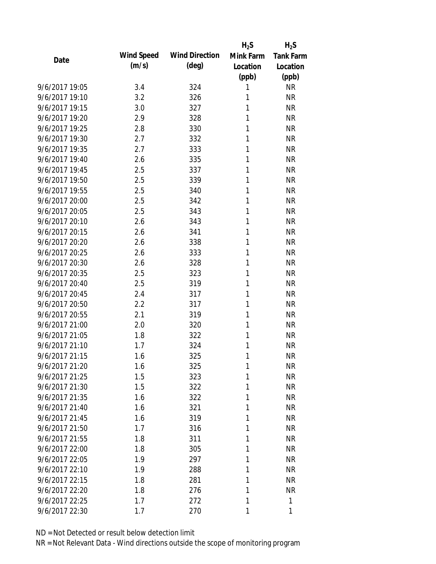|                |                   |                       | $H_2S$    | $H_2S$           |
|----------------|-------------------|-----------------------|-----------|------------------|
| Date           | <b>Wind Speed</b> | <b>Wind Direction</b> | Mink Farm | <b>Tank Farm</b> |
|                | (m/s)             | $(\text{deg})$        | Location  | Location         |
|                |                   |                       | (ppb)     | (ppb)            |
| 9/6/2017 19:05 | 3.4               | 324                   | 1         | <b>NR</b>        |
| 9/6/2017 19:10 | 3.2               | 326                   | 1         | <b>NR</b>        |
| 9/6/2017 19:15 | 3.0               | 327                   | 1         | <b>NR</b>        |
| 9/6/2017 19:20 | 2.9               | 328                   | 1         | <b>NR</b>        |
| 9/6/2017 19:25 | 2.8               | 330                   | 1         | <b>NR</b>        |
| 9/6/2017 19:30 | 2.7               | 332                   | 1         | <b>NR</b>        |
| 9/6/2017 19:35 | 2.7               | 333                   | 1         | <b>NR</b>        |
| 9/6/2017 19:40 | 2.6               | 335                   | 1         | <b>NR</b>        |
| 9/6/2017 19:45 | 2.5               | 337                   | 1         | <b>NR</b>        |
| 9/6/2017 19:50 | 2.5               | 339                   | 1         | <b>NR</b>        |
| 9/6/2017 19:55 | 2.5               | 340                   | 1         | <b>NR</b>        |
| 9/6/2017 20:00 | 2.5               | 342                   | 1         | <b>NR</b>        |
| 9/6/2017 20:05 | 2.5               | 343                   | 1         | <b>NR</b>        |
| 9/6/2017 20:10 | 2.6               | 343                   | 1         | <b>NR</b>        |
| 9/6/2017 20:15 | 2.6               | 341                   | 1         | <b>NR</b>        |
| 9/6/2017 20:20 | 2.6               | 338                   | 1         | <b>NR</b>        |
| 9/6/2017 20:25 | 2.6               | 333                   | 1         | <b>NR</b>        |
| 9/6/2017 20:30 | 2.6               | 328                   | 1         | <b>NR</b>        |
| 9/6/2017 20:35 | 2.5               | 323                   | 1         | <b>NR</b>        |
| 9/6/2017 20:40 | 2.5               | 319                   | 1         | <b>NR</b>        |
| 9/6/2017 20:45 | 2.4               | 317                   | 1         | <b>NR</b>        |
| 9/6/2017 20:50 | 2.2               | 317                   | 1         | <b>NR</b>        |
| 9/6/2017 20:55 | 2.1               | 319                   | 1         | <b>NR</b>        |
| 9/6/2017 21:00 | 2.0               | 320                   | 1         | <b>NR</b>        |
| 9/6/2017 21:05 | 1.8               | 322                   | 1         | <b>NR</b>        |
| 9/6/2017 21:10 | 1.7               | 324                   | 1         | <b>NR</b>        |
| 9/6/2017 21:15 | 1.6               | 325                   | 1         | <b>NR</b>        |
| 9/6/2017 21:20 | 1.6               | 325                   | 1         | <b>NR</b>        |
| 9/6/2017 21:25 | 1.5               | 323                   | 1         | <b>NR</b>        |
| 9/6/2017 21:30 | 1.5               | 322                   | 1         | <b>NR</b>        |
| 9/6/2017 21:35 | 1.6               | 322                   | 1         | <b>NR</b>        |
| 9/6/2017 21:40 | 1.6               | 321                   | 1         | <b>NR</b>        |
| 9/6/2017 21:45 | 1.6               | 319                   | 1         | <b>NR</b>        |
| 9/6/2017 21:50 | 1.7               | 316                   | 1         | <b>NR</b>        |
| 9/6/2017 21:55 | 1.8               | 311                   | 1         | <b>NR</b>        |
| 9/6/2017 22:00 | 1.8               | 305                   | 1         | <b>NR</b>        |
| 9/6/2017 22:05 | 1.9               | 297                   | 1         | <b>NR</b>        |
| 9/6/2017 22:10 | 1.9               | 288                   | 1         | <b>NR</b>        |
| 9/6/2017 22:15 | 1.8               | 281                   | 1         | <b>NR</b>        |
| 9/6/2017 22:20 | 1.8               | 276                   | 1         | <b>NR</b>        |
| 9/6/2017 22:25 | 1.7               | 272                   | 1         | 1                |
| 9/6/2017 22:30 | 1.7               | 270                   | 1         | 1                |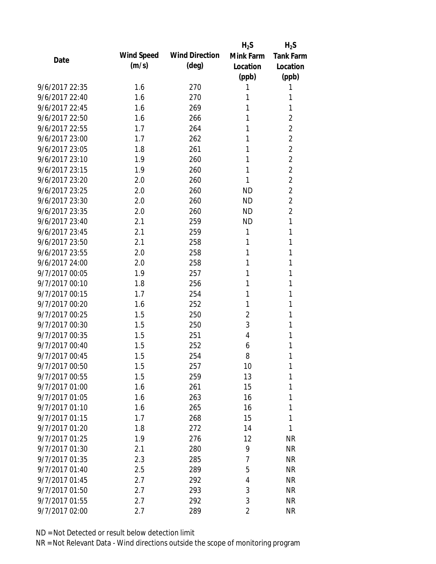|                |            |                       | $H_2S$    | $H_2S$           |
|----------------|------------|-----------------------|-----------|------------------|
| Date           | Wind Speed | <b>Wind Direction</b> | Mink Farm | <b>Tank Farm</b> |
|                | (m/s)      | $(\text{deg})$        | Location  | Location         |
|                |            |                       | (ppb)     | (ppb)            |
| 9/6/2017 22:35 | 1.6        | 270                   | 1         | 1                |
| 9/6/2017 22:40 | 1.6        | 270                   | 1         | 1                |
| 9/6/2017 22:45 | 1.6        | 269                   | 1         | 1                |
| 9/6/2017 22:50 | 1.6        | 266                   | 1         | 2                |
| 9/6/2017 22:55 | 1.7        | 264                   | 1         | $\overline{2}$   |
| 9/6/2017 23:00 | 1.7        | 262                   | 1         | $\overline{c}$   |
| 9/6/2017 23:05 | 1.8        | 261                   | 1         | $\overline{2}$   |
| 9/6/2017 23:10 | 1.9        | 260                   | 1         | $\overline{2}$   |
| 9/6/2017 23:15 | 1.9        | 260                   | 1         | $\overline{2}$   |
| 9/6/2017 23:20 | 2.0        | 260                   | 1         | $\overline{c}$   |
| 9/6/2017 23:25 | 2.0        | 260                   | ND        | $\overline{2}$   |
| 9/6/2017 23:30 | 2.0        | 260                   | <b>ND</b> | $\overline{c}$   |
| 9/6/2017 23:35 | 2.0        | 260                   | <b>ND</b> | $\overline{2}$   |
| 9/6/2017 23:40 | 2.1        | 259                   | <b>ND</b> | 1                |
| 9/6/2017 23:45 | 2.1        | 259                   | 1         | 1                |
| 9/6/2017 23:50 | 2.1        | 258                   | 1         | 1                |
| 9/6/2017 23:55 | 2.0        | 258                   | 1         | 1                |
| 9/6/2017 24:00 | 2.0        | 258                   | 1         | 1                |
| 9/7/2017 00:05 | 1.9        | 257                   | 1         | 1                |
| 9/7/2017 00:10 | 1.8        | 256                   | 1         | 1                |
| 9/7/2017 00:15 | 1.7        | 254                   | 1         | 1                |
| 9/7/2017 00:20 | 1.6        | 252                   | 1         | 1                |
| 9/7/2017 00:25 | 1.5        | 250                   | 2         | 1                |
| 9/7/2017 00:30 | 1.5        | 250                   | 3         | 1                |
| 9/7/2017 00:35 | 1.5        | 251                   | 4         | 1                |
| 9/7/2017 00:40 | 1.5        | 252                   | 6         | 1                |
| 9/7/2017 00:45 | 1.5        | 254                   | 8         | 1                |
| 9/7/2017 00:50 | 1.5        | 257                   | 10        | 1                |
| 9/7/2017 00:55 | 1.5        | 259                   | 13        | 1                |
| 9/7/2017 01:00 | 1.6        | 261                   | 15        | 1                |
| 9/7/2017 01:05 | 1.6        | 263                   | 16        | 1                |
| 9/7/2017 01:10 | 1.6        | 265                   | 16        | 1                |
| 9/7/2017 01:15 | 1.7        | 268                   | 15        | 1                |
| 9/7/2017 01:20 | 1.8        | 272                   | 14        | 1                |
| 9/7/2017 01:25 | 1.9        | 276                   | 12        | <b>NR</b>        |
| 9/7/2017 01:30 | 2.1        | 280                   | 9         | <b>NR</b>        |
| 9/7/2017 01:35 | 2.3        | 285                   | 7         | <b>NR</b>        |
| 9/7/2017 01:40 | 2.5        | 289                   | 5         | <b>NR</b>        |
| 9/7/2017 01:45 | 2.7        | 292                   | 4         | <b>NR</b>        |
| 9/7/2017 01:50 | 2.7        | 293                   | 3         | <b>NR</b>        |
| 9/7/2017 01:55 | 2.7        | 292                   | 3         | <b>NR</b>        |
| 9/7/2017 02:00 | 2.7        | 289                   | 2         | <b>NR</b>        |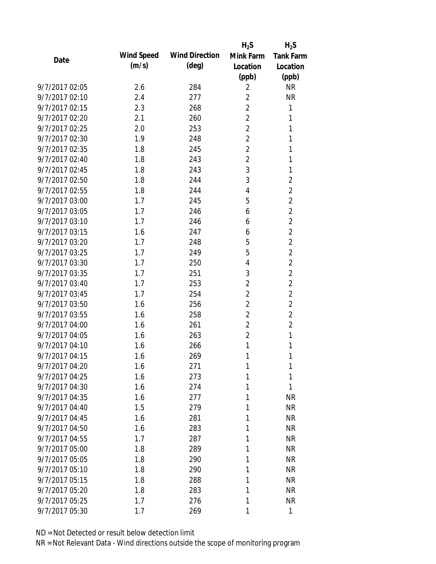|                |            |                       | $H_2S$         | $H_2S$           |
|----------------|------------|-----------------------|----------------|------------------|
| Date           | Wind Speed | <b>Wind Direction</b> | Mink Farm      | <b>Tank Farm</b> |
|                | (m/s)      | $(\text{deg})$        | Location       | Location         |
|                |            |                       | (ppb)          | (ppb)            |
| 9/7/2017 02:05 | 2.6        | 284                   | $\overline{2}$ | <b>NR</b>        |
| 9/7/2017 02:10 | 2.4        | 277                   | $\overline{2}$ | <b>NR</b>        |
| 9/7/2017 02:15 | 2.3        | 268                   | $\overline{2}$ | 1                |
| 9/7/2017 02:20 | 2.1        | 260                   | $\overline{2}$ | 1                |
| 9/7/2017 02:25 | 2.0        | 253                   | $\overline{2}$ | 1                |
| 9/7/2017 02:30 | 1.9        | 248                   | $\overline{2}$ | 1                |
| 9/7/2017 02:35 | 1.8        | 245                   | $\overline{2}$ | 1                |
| 9/7/2017 02:40 | 1.8        | 243                   | $\overline{2}$ | 1                |
| 9/7/2017 02:45 | 1.8        | 243                   | 3              | 1                |
| 9/7/2017 02:50 | 1.8        | 244                   | 3              | $\overline{2}$   |
| 9/7/2017 02:55 | 1.8        | 244                   | 4              | $\overline{2}$   |
| 9/7/2017 03:00 | 1.7        | 245                   | 5              | $\sqrt{2}$       |
| 9/7/2017 03:05 | 1.7        | 246                   | 6              | $\overline{2}$   |
| 9/7/2017 03:10 | 1.7        | 246                   | 6              | $\overline{2}$   |
| 9/7/2017 03:15 | 1.6        | 247                   | 6              | $\overline{2}$   |
| 9/7/2017 03:20 | 1.7        | 248                   | 5              | $\overline{2}$   |
| 9/7/2017 03:25 | 1.7        | 249                   | 5              | $\sqrt{2}$       |
| 9/7/2017 03:30 | 1.7        | 250                   | 4              | $\overline{2}$   |
| 9/7/2017 03:35 | 1.7        | 251                   | 3              | $\overline{2}$   |
| 9/7/2017 03:40 | 1.7        | 253                   | $\overline{2}$ | $\overline{c}$   |
| 9/7/2017 03:45 | 1.7        | 254                   | $\overline{2}$ | $\overline{2}$   |
| 9/7/2017 03:50 | 1.6        | 256                   | $\overline{2}$ | $\overline{2}$   |
| 9/7/2017 03:55 | 1.6        | 258                   | $\overline{2}$ | $\overline{2}$   |
| 9/7/2017 04:00 | 1.6        | 261                   | $\overline{2}$ | $\overline{2}$   |
| 9/7/2017 04:05 | 1.6        | 263                   | $\overline{2}$ | 1                |
| 9/7/2017 04:10 | 1.6        | 266                   | 1              | 1                |
| 9/7/2017 04:15 | 1.6        | 269                   | 1              | 1                |
| 9/7/2017 04:20 | 1.6        | 271                   | 1              | 1                |
| 9/7/2017 04:25 | 1.6        | 273                   | 1              | 1                |
| 9/7/2017 04:30 | 1.6        | 274                   | 1              | 1                |
| 9/7/2017 04:35 | 1.6        | 277                   | 1              | <b>NR</b>        |
| 9/7/2017 04:40 | 1.5        | 279                   | 1              | <b>NR</b>        |
| 9/7/2017 04:45 | 1.6        | 281                   | 1              | <b>NR</b>        |
| 9/7/2017 04:50 | 1.6        | 283                   | 1              | <b>NR</b>        |
| 9/7/2017 04:55 | 1.7        | 287                   | 1              | <b>NR</b>        |
| 9/7/2017 05:00 | 1.8        | 289                   | 1              | <b>NR</b>        |
| 9/7/2017 05:05 | 1.8        | 290                   | 1              | <b>NR</b>        |
| 9/7/2017 05:10 | 1.8        | 290                   | 1              | <b>NR</b>        |
| 9/7/2017 05:15 | 1.8        | 288                   | 1              | <b>NR</b>        |
| 9/7/2017 05:20 | 1.8        | 283                   | 1              | <b>NR</b>        |
| 9/7/2017 05:25 | 1.7        | 276                   | 1              | <b>NR</b>        |
| 9/7/2017 05:30 | 1.7        | 269                   | 1              | 1                |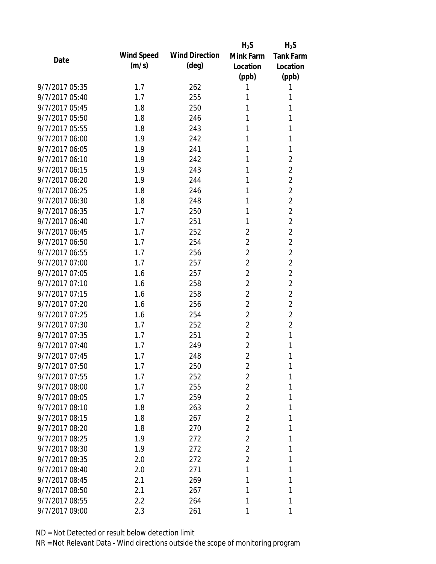|                |                   |                       | $H_2S$         | $H_2S$           |
|----------------|-------------------|-----------------------|----------------|------------------|
| Date           | <b>Wind Speed</b> | <b>Wind Direction</b> | Mink Farm      | <b>Tank Farm</b> |
|                | (m/s)             | $(\text{deg})$        | Location       | Location         |
|                |                   |                       | (ppb)          | (ppb)            |
| 9/7/2017 05:35 | 1.7               | 262                   | 1              | 1                |
| 9/7/2017 05:40 | 1.7               | 255                   | 1              | 1                |
| 9/7/2017 05:45 | 1.8               | 250                   | 1              | 1                |
| 9/7/2017 05:50 | 1.8               | 246                   | 1              | 1                |
| 9/7/2017 05:55 | 1.8               | 243                   | 1              | 1                |
| 9/7/2017 06:00 | 1.9               | 242                   | 1              | 1                |
| 9/7/2017 06:05 | 1.9               | 241                   | 1              | 1                |
| 9/7/2017 06:10 | 1.9               | 242                   | 1              | $\overline{2}$   |
| 9/7/2017 06:15 | 1.9               | 243                   | 1              | $\overline{c}$   |
| 9/7/2017 06:20 | 1.9               | 244                   | 1              | $\overline{c}$   |
| 9/7/2017 06:25 | 1.8               | 246                   | 1              | $\overline{2}$   |
| 9/7/2017 06:30 | 1.8               | 248                   | 1              | $\overline{c}$   |
| 9/7/2017 06:35 | 1.7               | 250                   | 1              | $\overline{2}$   |
| 9/7/2017 06:40 | 1.7               | 251                   | 1              | $\overline{2}$   |
| 9/7/2017 06:45 | 1.7               | 252                   | $\overline{2}$ | $\overline{c}$   |
| 9/7/2017 06:50 | 1.7               | 254                   | $\overline{2}$ | $\overline{2}$   |
| 9/7/2017 06:55 | 1.7               | 256                   | $\overline{2}$ | $\overline{c}$   |
| 9/7/2017 07:00 | 1.7               | 257                   | $\overline{2}$ | $\overline{c}$   |
| 9/7/2017 07:05 | 1.6               | 257                   | $\overline{2}$ | $\overline{2}$   |
| 9/7/2017 07:10 | 1.6               | 258                   | $\overline{2}$ | $\overline{2}$   |
| 9/7/2017 07:15 | 1.6               | 258                   | $\overline{2}$ | $\overline{c}$   |
| 9/7/2017 07:20 | 1.6               | 256                   | $\overline{2}$ | $\overline{c}$   |
| 9/7/2017 07:25 | 1.6               | 254                   | $\overline{2}$ | $\overline{c}$   |
| 9/7/2017 07:30 | 1.7               | 252                   | $\overline{2}$ | $\overline{c}$   |
| 9/7/2017 07:35 | 1.7               | 251                   | $\overline{2}$ | 1                |
| 9/7/2017 07:40 | 1.7               | 249                   | $\overline{2}$ | 1                |
| 9/7/2017 07:45 | 1.7               | 248                   | $\overline{2}$ | 1                |
| 9/7/2017 07:50 | 1.7               | 250                   | $\overline{2}$ | 1                |
| 9/7/2017 07:55 | 1.7               | 252                   | $\overline{2}$ | 1                |
| 9/7/2017 08:00 | 1.7               | 255                   | $\overline{2}$ | 1                |
| 9/7/2017 08:05 | 1.7               | 259                   | $\overline{2}$ | 1                |
| 9/7/2017 08:10 | 1.8               | 263                   | $\overline{2}$ | 1                |
| 9/7/2017 08:15 | 1.8               | 267                   | $\overline{2}$ | 1                |
| 9/7/2017 08:20 | 1.8               | 270                   | $\overline{2}$ | 1                |
| 9/7/2017 08:25 | 1.9               | 272                   | $\overline{2}$ | 1                |
| 9/7/2017 08:30 | 1.9               | 272                   | $\overline{2}$ | 1                |
| 9/7/2017 08:35 | 2.0               | 272                   | $\overline{2}$ | 1                |
| 9/7/2017 08:40 | 2.0               | 271                   | 1              | 1                |
| 9/7/2017 08:45 | 2.1               | 269                   | 1              | 1                |
| 9/7/2017 08:50 | 2.1               | 267                   | 1              | 1                |
| 9/7/2017 08:55 | 2.2               | 264                   | 1              | 1                |
| 9/7/2017 09:00 | 2.3               | 261                   | 1              | 1                |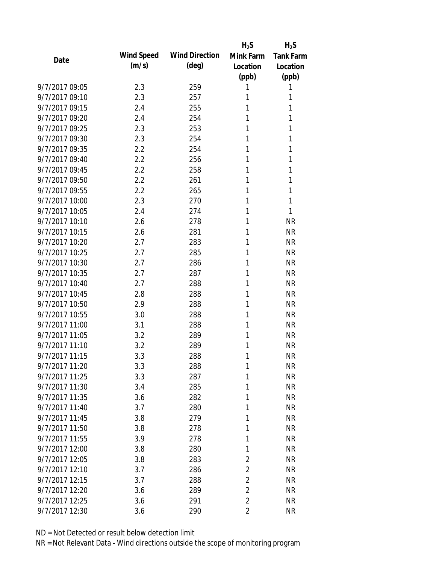|                |                   |                       | $H_2S$         | $H_2S$           |
|----------------|-------------------|-----------------------|----------------|------------------|
| Date           | <b>Wind Speed</b> | <b>Wind Direction</b> | Mink Farm      | <b>Tank Farm</b> |
|                | (m/s)             | $(\text{deg})$        | Location       | Location         |
|                |                   |                       | (ppb)          | (ppb)            |
| 9/7/2017 09:05 | 2.3               | 259                   | 1              | 1                |
| 9/7/2017 09:10 | 2.3               | 257                   | 1              | 1                |
| 9/7/2017 09:15 | 2.4               | 255                   | 1              | 1                |
| 9/7/2017 09:20 | 2.4               | 254                   | 1              | 1                |
| 9/7/2017 09:25 | 2.3               | 253                   | 1              | 1                |
| 9/7/2017 09:30 | 2.3               | 254                   | 1              | 1                |
| 9/7/2017 09:35 | 2.2               | 254                   | 1              | 1                |
| 9/7/2017 09:40 | 2.2               | 256                   | 1              | 1                |
| 9/7/2017 09:45 | 2.2               | 258                   | 1              | 1                |
| 9/7/2017 09:50 | 2.2               | 261                   | 1              | 1                |
| 9/7/2017 09:55 | 2.2               | 265                   | 1              | 1                |
| 9/7/2017 10:00 | 2.3               | 270                   | 1              | 1                |
| 9/7/2017 10:05 | 2.4               | 274                   | 1              | 1                |
| 9/7/2017 10:10 | 2.6               | 278                   | 1              | <b>NR</b>        |
| 9/7/2017 10:15 | 2.6               | 281                   | 1              | <b>NR</b>        |
| 9/7/2017 10:20 | 2.7               | 283                   | 1              | <b>NR</b>        |
| 9/7/2017 10:25 | 2.7               | 285                   | 1              | <b>NR</b>        |
| 9/7/2017 10:30 | 2.7               | 286                   | 1              | <b>NR</b>        |
| 9/7/2017 10:35 | 2.7               | 287                   | 1              | <b>NR</b>        |
| 9/7/2017 10:40 | 2.7               | 288                   | 1              | <b>NR</b>        |
| 9/7/2017 10:45 | 2.8               | 288                   | 1              | <b>NR</b>        |
| 9/7/2017 10:50 | 2.9               | 288                   | 1              | <b>NR</b>        |
| 9/7/2017 10:55 | 3.0               | 288                   | 1              | <b>NR</b>        |
| 9/7/2017 11:00 | 3.1               | 288                   | 1              | <b>NR</b>        |
| 9/7/2017 11:05 | 3.2               | 289                   | 1              | <b>NR</b>        |
| 9/7/2017 11:10 | 3.2               | 289                   | 1              | <b>NR</b>        |
| 9/7/2017 11:15 | 3.3               | 288                   | 1              | <b>NR</b>        |
| 9/7/2017 11:20 | 3.3               | 288                   | 1              | <b>NR</b>        |
| 9/7/2017 11:25 | 3.3               | 287                   | 1              | <b>NR</b>        |
| 9/7/2017 11:30 | 3.4               | 285                   | 1              | <b>NR</b>        |
| 9/7/2017 11:35 | 3.6               | 282                   | 1              | <b>NR</b>        |
| 9/7/2017 11:40 | 3.7               | 280                   | 1              | <b>NR</b>        |
| 9/7/2017 11:45 | 3.8               | 279                   | 1              | <b>NR</b>        |
| 9/7/2017 11:50 | 3.8               | 278                   | 1              | <b>NR</b>        |
| 9/7/2017 11:55 | 3.9               | 278                   | 1              | <b>NR</b>        |
| 9/7/2017 12:00 | 3.8               | 280                   | 1              | <b>NR</b>        |
| 9/7/2017 12:05 | 3.8               | 283                   | $\overline{c}$ | <b>NR</b>        |
| 9/7/2017 12:10 | 3.7               | 286                   | $\overline{c}$ | <b>NR</b>        |
| 9/7/2017 12:15 | 3.7               | 288                   | $\overline{c}$ | <b>NR</b>        |
| 9/7/2017 12:20 | 3.6               | 289                   | $\overline{2}$ | <b>NR</b>        |
| 9/7/2017 12:25 | 3.6               | 291                   | $\overline{2}$ | <b>NR</b>        |
| 9/7/2017 12:30 | 3.6               | 290                   | $\overline{2}$ | <b>NR</b>        |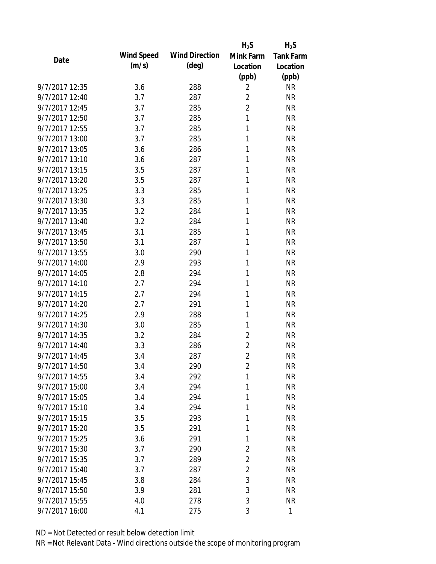|                |                   |                       | $H_2S$         | $H_2S$           |
|----------------|-------------------|-----------------------|----------------|------------------|
| Date           | <b>Wind Speed</b> | <b>Wind Direction</b> | Mink Farm      | <b>Tank Farm</b> |
|                | (m/s)             | $(\text{deg})$        | Location       | Location         |
|                |                   |                       | (ppb)          | (ppb)            |
| 9/7/2017 12:35 | 3.6               | 288                   | $\overline{2}$ | <b>NR</b>        |
| 9/7/2017 12:40 | 3.7               | 287                   | $\overline{2}$ | <b>NR</b>        |
| 9/7/2017 12:45 | 3.7               | 285                   | $\overline{2}$ | <b>NR</b>        |
| 9/7/2017 12:50 | 3.7               | 285                   | 1              | <b>NR</b>        |
| 9/7/2017 12:55 | 3.7               | 285                   | 1              | <b>NR</b>        |
| 9/7/2017 13:00 | 3.7               | 285                   | 1              | <b>NR</b>        |
| 9/7/2017 13:05 | 3.6               | 286                   | 1              | <b>NR</b>        |
| 9/7/2017 13:10 | 3.6               | 287                   | 1              | <b>NR</b>        |
| 9/7/2017 13:15 | 3.5               | 287                   | 1              | <b>NR</b>        |
| 9/7/2017 13:20 | 3.5               | 287                   | 1              | <b>NR</b>        |
| 9/7/2017 13:25 | 3.3               | 285                   | 1              | <b>NR</b>        |
| 9/7/2017 13:30 | 3.3               | 285                   | 1              | <b>NR</b>        |
| 9/7/2017 13:35 | 3.2               | 284                   | 1              | <b>NR</b>        |
| 9/7/2017 13:40 | 3.2               | 284                   | 1              | <b>NR</b>        |
| 9/7/2017 13:45 | 3.1               | 285                   | 1              | <b>NR</b>        |
| 9/7/2017 13:50 | 3.1               | 287                   | 1              | <b>NR</b>        |
| 9/7/2017 13:55 | 3.0               | 290                   | 1              | <b>NR</b>        |
| 9/7/2017 14:00 | 2.9               | 293                   | 1              | <b>NR</b>        |
| 9/7/2017 14:05 | 2.8               | 294                   | 1              | <b>NR</b>        |
| 9/7/2017 14:10 | 2.7               | 294                   | 1              | <b>NR</b>        |
| 9/7/2017 14:15 | 2.7               | 294                   | 1              | <b>NR</b>        |
| 9/7/2017 14:20 | 2.7               | 291                   | 1              | <b>NR</b>        |
| 9/7/2017 14:25 | 2.9               | 288                   | 1              | <b>NR</b>        |
| 9/7/2017 14:30 | 3.0               | 285                   | 1              | <b>NR</b>        |
| 9/7/2017 14:35 | 3.2               | 284                   | $\overline{2}$ | <b>NR</b>        |
| 9/7/2017 14:40 | 3.3               | 286                   | $\overline{c}$ | <b>NR</b>        |
| 9/7/2017 14:45 | 3.4               | 287                   | $\overline{2}$ | <b>NR</b>        |
| 9/7/2017 14:50 | 3.4               | 290                   | $\overline{2}$ | <b>NR</b>        |
| 9/7/2017 14:55 | 3.4               | 292                   | 1              | <b>NR</b>        |
| 9/7/2017 15:00 | 3.4               | 294                   | 1              | <b>NR</b>        |
| 9/7/2017 15:05 | 3.4               | 294                   | 1              | <b>NR</b>        |
| 9/7/2017 15:10 | 3.4               | 294                   | 1              | <b>NR</b>        |
| 9/7/2017 15:15 | 3.5               | 293                   | 1              | <b>NR</b>        |
| 9/7/2017 15:20 | 3.5               | 291                   | 1              | <b>NR</b>        |
| 9/7/2017 15:25 | 3.6               | 291                   | 1              | <b>NR</b>        |
| 9/7/2017 15:30 | 3.7               | 290                   | $\overline{2}$ | <b>NR</b>        |
| 9/7/2017 15:35 | 3.7               | 289                   | $\overline{2}$ | <b>NR</b>        |
| 9/7/2017 15:40 | 3.7               | 287                   | $\overline{c}$ | <b>NR</b>        |
| 9/7/2017 15:45 | 3.8               | 284                   | 3              | <b>NR</b>        |
| 9/7/2017 15:50 | 3.9               | 281                   | 3              | <b>NR</b>        |
| 9/7/2017 15:55 | 4.0               | 278                   | 3              | <b>NR</b>        |
|                |                   |                       | 3              | $\mathbf{1}$     |
| 9/7/2017 16:00 | 4.1               | 275                   |                |                  |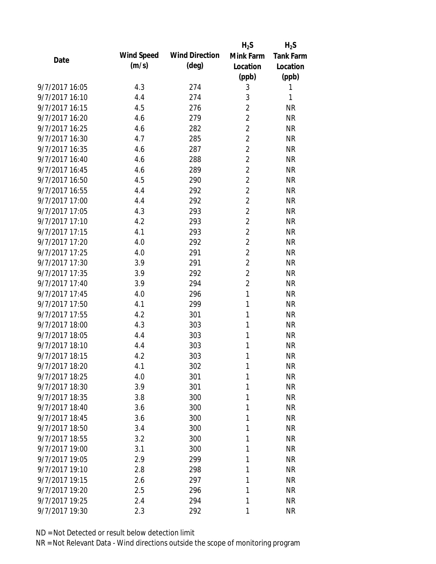|                |                   |                       | $H_2S$         | $H_2S$           |
|----------------|-------------------|-----------------------|----------------|------------------|
| Date           | <b>Wind Speed</b> | <b>Wind Direction</b> | Mink Farm      | <b>Tank Farm</b> |
|                | (m/s)             | $(\text{deg})$        | Location       | Location         |
|                |                   |                       | (ppb)          | (ppb)            |
| 9/7/2017 16:05 | 4.3               | 274                   | 3              | 1                |
| 9/7/2017 16:10 | 4.4               | 274                   | 3              | 1                |
| 9/7/2017 16:15 | 4.5               | 276                   | $\overline{2}$ | <b>NR</b>        |
| 9/7/2017 16:20 | 4.6               | 279                   | $\overline{2}$ | <b>NR</b>        |
| 9/7/2017 16:25 | 4.6               | 282                   | $\overline{2}$ | <b>NR</b>        |
| 9/7/2017 16:30 | 4.7               | 285                   | $\overline{2}$ | <b>NR</b>        |
| 9/7/2017 16:35 | 4.6               | 287                   | $\overline{2}$ | <b>NR</b>        |
| 9/7/2017 16:40 | 4.6               | 288                   | $\overline{c}$ | <b>NR</b>        |
| 9/7/2017 16:45 | 4.6               | 289                   | $\overline{c}$ | <b>NR</b>        |
| 9/7/2017 16:50 | 4.5               | 290                   | $\overline{2}$ | <b>NR</b>        |
| 9/7/2017 16:55 | 4.4               | 292                   | $\overline{2}$ | <b>NR</b>        |
| 9/7/2017 17:00 | 4.4               | 292                   | $\overline{2}$ | <b>NR</b>        |
| 9/7/2017 17:05 | 4.3               | 293                   | $\overline{2}$ | <b>NR</b>        |
| 9/7/2017 17:10 | 4.2               | 293                   | $\overline{c}$ | <b>NR</b>        |
| 9/7/2017 17:15 | 4.1               | 293                   | $\overline{2}$ | <b>NR</b>        |
| 9/7/2017 17:20 | 4.0               | 292                   | $\overline{2}$ | <b>NR</b>        |
| 9/7/2017 17:25 | 4.0               | 291                   | $\overline{2}$ | <b>NR</b>        |
| 9/7/2017 17:30 | 3.9               | 291                   | $\overline{2}$ | <b>NR</b>        |
| 9/7/2017 17:35 | 3.9               | 292                   | $\overline{2}$ | <b>NR</b>        |
| 9/7/2017 17:40 | 3.9               | 294                   | $\overline{c}$ | <b>NR</b>        |
| 9/7/2017 17:45 | 4.0               | 296                   | 1              | <b>NR</b>        |
| 9/7/2017 17:50 | 4.1               | 299                   | 1              | <b>NR</b>        |
| 9/7/2017 17:55 | 4.2               | 301                   | 1              | <b>NR</b>        |
| 9/7/2017 18:00 | 4.3               | 303                   | 1              | <b>NR</b>        |
| 9/7/2017 18:05 | 4.4               | 303                   | 1              | <b>NR</b>        |
| 9/7/2017 18:10 | 4.4               | 303                   | 1              | <b>NR</b>        |
| 9/7/2017 18:15 | 4.2               | 303                   | 1              | <b>NR</b>        |
| 9/7/2017 18:20 | 4.1               | 302                   | 1              | <b>NR</b>        |
| 9/7/2017 18:25 | 4.0               | 301                   | 1              | <b>NR</b>        |
| 9/7/2017 18:30 | 3.9               | 301                   | 1              | <b>NR</b>        |
| 9/7/2017 18:35 | 3.8               | 300                   | 1              | <b>NR</b>        |
| 9/7/2017 18:40 | 3.6               | 300                   | 1              | <b>NR</b>        |
| 9/7/2017 18:45 | 3.6               | 300                   | 1              | <b>NR</b>        |
| 9/7/2017 18:50 | 3.4               | 300                   | 1              | <b>NR</b>        |
| 9/7/2017 18:55 | 3.2               | 300                   | 1              | <b>NR</b>        |
| 9/7/2017 19:00 | 3.1               | 300                   | 1              | <b>NR</b>        |
| 9/7/2017 19:05 | 2.9               | 299                   | 1              | <b>NR</b>        |
| 9/7/2017 19:10 | 2.8               | 298                   | 1              | <b>NR</b>        |
| 9/7/2017 19:15 | 2.6               | 297                   | 1              | <b>NR</b>        |
| 9/7/2017 19:20 | 2.5               | 296                   | 1              | <b>NR</b>        |
| 9/7/2017 19:25 | 2.4               | 294                   | 1              | <b>NR</b>        |
| 9/7/2017 19:30 | 2.3               | 292                   | 1              | <b>NR</b>        |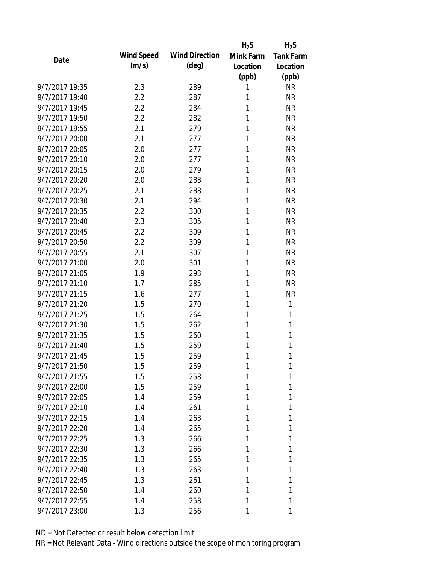|                |            |                       | $H_2S$    | $H_2S$           |
|----------------|------------|-----------------------|-----------|------------------|
| Date           | Wind Speed | <b>Wind Direction</b> | Mink Farm | <b>Tank Farm</b> |
|                | (m/s)      | $(\text{deg})$        | Location  | Location         |
|                |            |                       | (ppb)     | (ppb)            |
| 9/7/2017 19:35 | 2.3        | 289                   | 1         | <b>NR</b>        |
| 9/7/2017 19:40 | 2.2        | 287                   | 1         | <b>NR</b>        |
| 9/7/2017 19:45 | 2.2        | 284                   | 1         | <b>NR</b>        |
| 9/7/2017 19:50 | 2.2        | 282                   | 1         | <b>NR</b>        |
| 9/7/2017 19:55 | 2.1        | 279                   | 1         | <b>NR</b>        |
| 9/7/2017 20:00 | 2.1        | 277                   | 1         | <b>NR</b>        |
| 9/7/2017 20:05 | 2.0        | 277                   | 1         | <b>NR</b>        |
| 9/7/2017 20:10 | 2.0        | 277                   | 1         | <b>NR</b>        |
| 9/7/2017 20:15 | 2.0        | 279                   | 1         | <b>NR</b>        |
| 9/7/2017 20:20 | 2.0        | 283                   | 1         | <b>NR</b>        |
| 9/7/2017 20:25 | 2.1        | 288                   | 1         | <b>NR</b>        |
| 9/7/2017 20:30 | 2.1        | 294                   | 1         | <b>NR</b>        |
| 9/7/2017 20:35 | 2.2        | 300                   | 1         | <b>NR</b>        |
| 9/7/2017 20:40 | 2.3        | 305                   | 1         | <b>NR</b>        |
| 9/7/2017 20:45 | 2.2        | 309                   | 1         | <b>NR</b>        |
| 9/7/2017 20:50 | 2.2        | 309                   | 1         | <b>NR</b>        |
| 9/7/2017 20:55 | 2.1        | 307                   | 1         | <b>NR</b>        |
| 9/7/2017 21:00 | 2.0        | 301                   | 1         | <b>NR</b>        |
| 9/7/2017 21:05 | 1.9        | 293                   | 1         | <b>NR</b>        |
| 9/7/2017 21:10 | 1.7        | 285                   | 1         | <b>NR</b>        |
| 9/7/2017 21:15 | 1.6        | 277                   | 1         | <b>NR</b>        |
| 9/7/2017 21:20 | 1.5        | 270                   | 1         | 1                |
| 9/7/2017 21:25 | 1.5        | 264                   | 1         | 1                |
| 9/7/2017 21:30 | 1.5        | 262                   | 1         | 1                |
| 9/7/2017 21:35 | 1.5        | 260                   | 1         | 1                |
| 9/7/2017 21:40 | 1.5        | 259                   | 1         | 1                |
| 9/7/2017 21:45 | 1.5        | 259                   | 1         | 1                |
| 9/7/2017 21:50 | 1.5        | 259                   | 1         | 1                |
| 9/7/2017 21:55 | 1.5        | 258                   | 1         | 1                |
| 9/7/2017 22:00 | 1.5        | 259                   | 1         | 1                |
| 9/7/2017 22:05 | 1.4        | 259                   | 1         | 1                |
| 9/7/2017 22:10 | 1.4        | 261                   | 1         | 1                |
| 9/7/2017 22:15 | 1.4        | 263                   | 1         | 1                |
| 9/7/2017 22:20 | 1.4        | 265                   | 1         | 1                |
| 9/7/2017 22:25 | 1.3        | 266                   | 1         | 1                |
| 9/7/2017 22:30 | 1.3        | 266                   | 1         | 1                |
| 9/7/2017 22:35 | 1.3        | 265                   | 1         | 1                |
| 9/7/2017 22:40 | 1.3        | 263                   | 1         | 1                |
| 9/7/2017 22:45 | 1.3        | 261                   | 1         | 1                |
| 9/7/2017 22:50 | 1.4        | 260                   | 1         | 1                |
| 9/7/2017 22:55 | 1.4        | 258                   | 1         | 1                |
| 9/7/2017 23:00 | 1.3        | 256                   | 1         | 1                |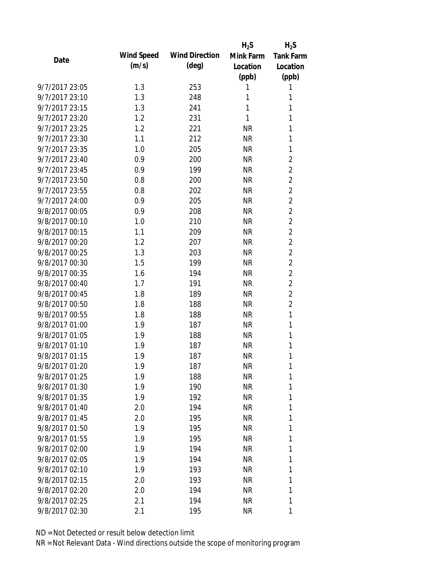|                |            |                       | $H_2S$    | $H_2S$           |
|----------------|------------|-----------------------|-----------|------------------|
| Date           | Wind Speed | <b>Wind Direction</b> | Mink Farm | <b>Tank Farm</b> |
|                | (m/s)      | $(\text{deg})$        | Location  | Location         |
|                |            |                       | (ppb)     | (ppb)            |
| 9/7/2017 23:05 | 1.3        | 253                   | 1         | 1                |
| 9/7/2017 23:10 | 1.3        | 248                   | 1         | 1                |
| 9/7/2017 23:15 | 1.3        | 241                   | 1         | 1                |
| 9/7/2017 23:20 | 1.2        | 231                   | 1         | 1                |
| 9/7/2017 23:25 | 1.2        | 221                   | <b>NR</b> | 1                |
| 9/7/2017 23:30 | 1.1        | 212                   | <b>NR</b> | 1                |
| 9/7/2017 23:35 | 1.0        | 205                   | <b>NR</b> | $\mathbf{1}$     |
| 9/7/2017 23:40 | 0.9        | 200                   | <b>NR</b> | $\overline{2}$   |
| 9/7/2017 23:45 | 0.9        | 199                   | <b>NR</b> | $\overline{2}$   |
| 9/7/2017 23:50 | 0.8        | 200                   | <b>NR</b> | $\overline{2}$   |
| 9/7/2017 23:55 | 0.8        | 202                   | <b>NR</b> | $\overline{2}$   |
| 9/7/2017 24:00 | 0.9        | 205                   | <b>NR</b> | $\overline{2}$   |
| 9/8/2017 00:05 | 0.9        | 208                   | <b>NR</b> | $\overline{2}$   |
| 9/8/2017 00:10 | 1.0        | 210                   | <b>NR</b> | $\overline{2}$   |
| 9/8/2017 00:15 | 1.1        | 209                   | <b>NR</b> | $\overline{2}$   |
| 9/8/2017 00:20 | 1.2        | 207                   | <b>NR</b> | $\overline{2}$   |
| 9/8/2017 00:25 | 1.3        | 203                   | <b>NR</b> | $\overline{c}$   |
| 9/8/2017 00:30 | 1.5        | 199                   | <b>NR</b> | $\overline{2}$   |
| 9/8/2017 00:35 | 1.6        | 194                   | <b>NR</b> | $\overline{2}$   |
| 9/8/2017 00:40 | 1.7        | 191                   | <b>NR</b> | $\overline{2}$   |
| 9/8/2017 00:45 | 1.8        | 189                   | <b>NR</b> | $\overline{2}$   |
| 9/8/2017 00:50 | 1.8        | 188                   | <b>NR</b> | $\overline{2}$   |
| 9/8/2017 00:55 | 1.8        | 188                   | <b>NR</b> | $\mathbf{1}$     |
| 9/8/2017 01:00 | 1.9        | 187                   | <b>NR</b> | $\mathbf{1}$     |
| 9/8/2017 01:05 | 1.9        | 188                   | <b>NR</b> | 1                |
| 9/8/2017 01:10 | 1.9        | 187                   | <b>NR</b> | 1                |
| 9/8/2017 01:15 | 1.9        | 187                   | <b>NR</b> | 1                |
| 9/8/2017 01:20 | 1.9        | 187                   | <b>NR</b> | 1                |
| 9/8/2017 01:25 | 1.9        | 188                   | <b>NR</b> | 1                |
| 9/8/2017 01:30 | 1.9        | 190                   | <b>NR</b> | 1                |
| 9/8/2017 01:35 | 1.9        | 192                   | <b>NR</b> | 1                |
| 9/8/2017 01:40 | 2.0        | 194                   | <b>NR</b> | 1                |
| 9/8/2017 01:45 | 2.0        | 195                   | <b>NR</b> | 1                |
| 9/8/2017 01:50 | 1.9        | 195                   | <b>NR</b> | 1                |
| 9/8/2017 01:55 | 1.9        | 195                   | <b>NR</b> | 1                |
| 9/8/2017 02:00 | 1.9        | 194                   | <b>NR</b> | 1                |
| 9/8/2017 02:05 | 1.9        | 194                   | <b>NR</b> | 1                |
| 9/8/2017 02:10 | 1.9        | 193                   | <b>NR</b> | 1                |
| 9/8/2017 02:15 | 2.0        | 193                   | <b>NR</b> | 1                |
| 9/8/2017 02:20 | 2.0        | 194                   | <b>NR</b> | 1                |
| 9/8/2017 02:25 | 2.1        | 194                   | <b>NR</b> | 1                |
| 9/8/2017 02:30 | 2.1        | 195                   | <b>NR</b> | 1                |
|                |            |                       |           |                  |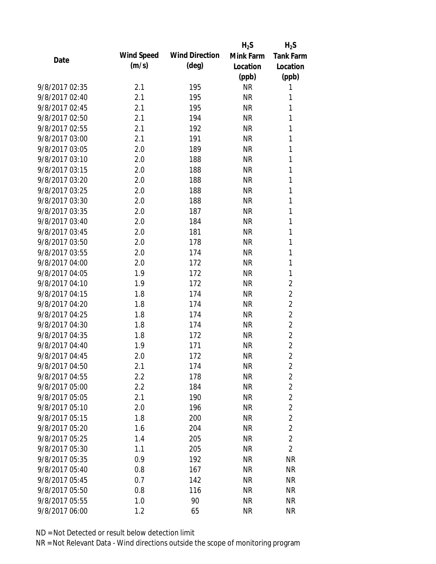|                |                   |                       | $H_2S$    | $H_2S$           |
|----------------|-------------------|-----------------------|-----------|------------------|
| Date           | <b>Wind Speed</b> | <b>Wind Direction</b> | Mink Farm | <b>Tank Farm</b> |
|                | (m/s)             | $(\text{deg})$        | Location  | Location         |
|                |                   |                       | (ppb)     | (ppb)            |
| 9/8/2017 02:35 | 2.1               | 195                   | <b>NR</b> | 1                |
| 9/8/2017 02:40 | 2.1               | 195                   | <b>NR</b> | 1                |
| 9/8/2017 02:45 | 2.1               | 195                   | <b>NR</b> | 1                |
| 9/8/2017 02:50 | 2.1               | 194                   | <b>NR</b> | 1                |
| 9/8/2017 02:55 | 2.1               | 192                   | <b>NR</b> | 1                |
| 9/8/2017 03:00 | 2.1               | 191                   | <b>NR</b> | 1                |
| 9/8/2017 03:05 | 2.0               | 189                   | <b>NR</b> | 1                |
| 9/8/2017 03:10 | 2.0               | 188                   | <b>NR</b> | 1                |
| 9/8/2017 03:15 | 2.0               | 188                   | <b>NR</b> | 1                |
| 9/8/2017 03:20 | 2.0               | 188                   | <b>NR</b> | 1                |
| 9/8/2017 03:25 | 2.0               | 188                   | <b>NR</b> | 1                |
| 9/8/2017 03:30 | 2.0               | 188                   | <b>NR</b> | 1                |
| 9/8/2017 03:35 | 2.0               | 187                   | <b>NR</b> | 1                |
| 9/8/2017 03:40 | 2.0               | 184                   | <b>NR</b> | 1                |
| 9/8/2017 03:45 | 2.0               | 181                   | <b>NR</b> | 1                |
| 9/8/2017 03:50 | 2.0               | 178                   | <b>NR</b> | 1                |
| 9/8/2017 03:55 | 2.0               | 174                   | <b>NR</b> | 1                |
| 9/8/2017 04:00 | 2.0               | 172                   | <b>NR</b> | 1                |
| 9/8/2017 04:05 | 1.9               | 172                   | <b>NR</b> | 1                |
| 9/8/2017 04:10 | 1.9               | 172                   | <b>NR</b> | $\overline{c}$   |
| 9/8/2017 04:15 | 1.8               | 174                   | <b>NR</b> | $\overline{c}$   |
| 9/8/2017 04:20 | 1.8               | 174                   | <b>NR</b> | $\overline{2}$   |
| 9/8/2017 04:25 | 1.8               | 174                   | <b>NR</b> | $\overline{2}$   |
| 9/8/2017 04:30 | 1.8               | 174                   | <b>NR</b> | $\overline{2}$   |
| 9/8/2017 04:35 | 1.8               | 172                   | <b>NR</b> | $\overline{c}$   |
| 9/8/2017 04:40 | 1.9               | 171                   | <b>NR</b> | $\overline{c}$   |
| 9/8/2017 04:45 | 2.0               | 172                   | <b>NR</b> | $\overline{2}$   |
| 9/8/2017 04:50 | 2.1               | 174                   | NR        | 2                |
| 9/8/2017 04:55 | 2.2               | 178                   | <b>NR</b> | $\overline{c}$   |
| 9/8/2017 05:00 | 2.2               | 184                   | <b>NR</b> | $\overline{2}$   |
| 9/8/2017 05:05 | 2.1               | 190                   | <b>NR</b> | $\overline{2}$   |
| 9/8/2017 05:10 | 2.0               | 196                   | <b>NR</b> | $\overline{c}$   |
| 9/8/2017 05:15 | 1.8               | 200                   | <b>NR</b> | $\overline{c}$   |
| 9/8/2017 05:20 | 1.6               | 204                   | <b>NR</b> | $\overline{2}$   |
| 9/8/2017 05:25 | 1.4               | 205                   | <b>NR</b> | $\overline{2}$   |
| 9/8/2017 05:30 | 1.1               | 205                   | <b>NR</b> | $\overline{2}$   |
| 9/8/2017 05:35 | 0.9               | 192                   | <b>NR</b> | <b>NR</b>        |
| 9/8/2017 05:40 | 0.8               | 167                   | <b>NR</b> | <b>NR</b>        |
| 9/8/2017 05:45 | 0.7               | 142                   | <b>NR</b> | <b>NR</b>        |
| 9/8/2017 05:50 | 0.8               | 116                   | NR        | <b>NR</b>        |
| 9/8/2017 05:55 | 1.0               | 90                    | <b>NR</b> | <b>NR</b>        |
| 9/8/2017 06:00 | 1.2               | 65                    | <b>NR</b> | <b>NR</b>        |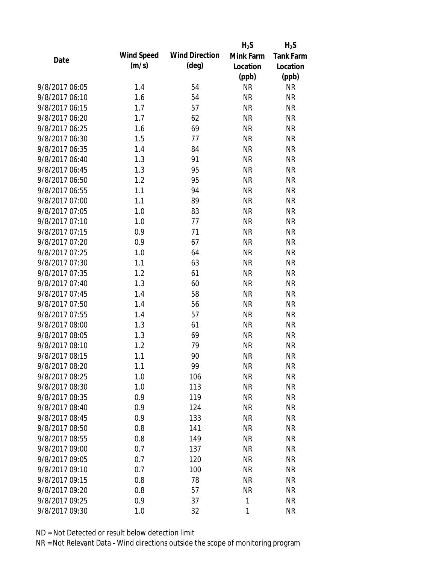|                |                   |                       | $H_2S$    | $H_2S$           |
|----------------|-------------------|-----------------------|-----------|------------------|
| Date           | <b>Wind Speed</b> | <b>Wind Direction</b> | Mink Farm | <b>Tank Farm</b> |
|                | (m/s)             | $(\text{deg})$        | Location  | Location         |
|                |                   |                       | (ppb)     | (ppb)            |
| 9/8/2017 06:05 | 1.4               | 54                    | <b>NR</b> | <b>NR</b>        |
| 9/8/2017 06:10 | 1.6               | 54                    | <b>NR</b> | <b>NR</b>        |
| 9/8/2017 06:15 | 1.7               | 57                    | <b>NR</b> | <b>NR</b>        |
| 9/8/2017 06:20 | 1.7               | 62                    | <b>NR</b> | <b>NR</b>        |
| 9/8/2017 06:25 | 1.6               | 69                    | <b>NR</b> | <b>NR</b>        |
| 9/8/2017 06:30 | 1.5               | 77                    | <b>NR</b> | <b>NR</b>        |
| 9/8/2017 06:35 | 1.4               | 84                    | <b>NR</b> | <b>NR</b>        |
| 9/8/2017 06:40 | 1.3               | 91                    | <b>NR</b> | <b>NR</b>        |
| 9/8/2017 06:45 | 1.3               | 95                    | <b>NR</b> | <b>NR</b>        |
| 9/8/2017 06:50 | 1.2               | 95                    | <b>NR</b> | <b>NR</b>        |
| 9/8/2017 06:55 | 1.1               | 94                    | <b>NR</b> | <b>NR</b>        |
| 9/8/2017 07:00 | 1.1               | 89                    | <b>NR</b> | <b>NR</b>        |
| 9/8/2017 07:05 | 1.0               | 83                    | <b>NR</b> | <b>NR</b>        |
| 9/8/2017 07:10 | 1.0               | 77                    | <b>NR</b> | <b>NR</b>        |
| 9/8/2017 07:15 | 0.9               | 71                    | <b>NR</b> | <b>NR</b>        |
| 9/8/2017 07:20 | 0.9               | 67                    | <b>NR</b> | <b>NR</b>        |
| 9/8/2017 07:25 | 1.0               | 64                    | <b>NR</b> | <b>NR</b>        |
| 9/8/2017 07:30 | 1.1               | 63                    | <b>NR</b> | <b>NR</b>        |
| 9/8/2017 07:35 | 1.2               | 61                    | <b>NR</b> | <b>NR</b>        |
| 9/8/2017 07:40 | 1.3               | 60                    | <b>NR</b> | <b>NR</b>        |
| 9/8/2017 07:45 | 1.4               | 58                    | <b>NR</b> | <b>NR</b>        |
| 9/8/2017 07:50 | 1.4               | 56                    | <b>NR</b> | <b>NR</b>        |
| 9/8/2017 07:55 | 1.4               | 57                    | <b>NR</b> | <b>NR</b>        |
| 9/8/2017 08:00 | 1.3               | 61                    | <b>NR</b> | <b>NR</b>        |
| 9/8/2017 08:05 | 1.3               | 69                    | <b>NR</b> | <b>NR</b>        |
| 9/8/2017 08:10 | 1.2               | 79                    | <b>NR</b> | <b>NR</b>        |
| 9/8/2017 08:15 | 1.1               | 90                    | <b>NR</b> | <b>NR</b>        |
| 9/8/2017 08:20 | 1.1               | 99                    | <b>NR</b> | <b>NR</b>        |
| 9/8/2017 08:25 | 1.0               | 106                   | <b>NR</b> | <b>NR</b>        |
| 9/8/2017 08:30 | 1.0               | 113                   | <b>NR</b> | <b>NR</b>        |
| 9/8/2017 08:35 | 0.9               | 119                   | <b>NR</b> | <b>NR</b>        |
| 9/8/2017 08:40 | 0.9               | 124                   | <b>NR</b> | <b>NR</b>        |
| 9/8/2017 08:45 | 0.9               | 133                   | <b>NR</b> | <b>NR</b>        |
| 9/8/2017 08:50 | 0.8               | 141                   | <b>NR</b> | <b>NR</b>        |
| 9/8/2017 08:55 | 0.8               | 149                   | <b>NR</b> | <b>NR</b>        |
| 9/8/2017 09:00 | 0.7               | 137                   | <b>NR</b> | <b>NR</b>        |
| 9/8/2017 09:05 | 0.7               | 120                   | <b>NR</b> | <b>NR</b>        |
| 9/8/2017 09:10 | 0.7               | 100                   | <b>NR</b> | <b>NR</b>        |
| 9/8/2017 09:15 | 0.8               | 78                    | <b>NR</b> | <b>NR</b>        |
| 9/8/2017 09:20 | 0.8               | 57                    | <b>NR</b> | <b>NR</b>        |
| 9/8/2017 09:25 | 0.9               | 37                    | 1         | <b>NR</b>        |
| 9/8/2017 09:30 | 1.0               | 32                    | 1         | <b>NR</b>        |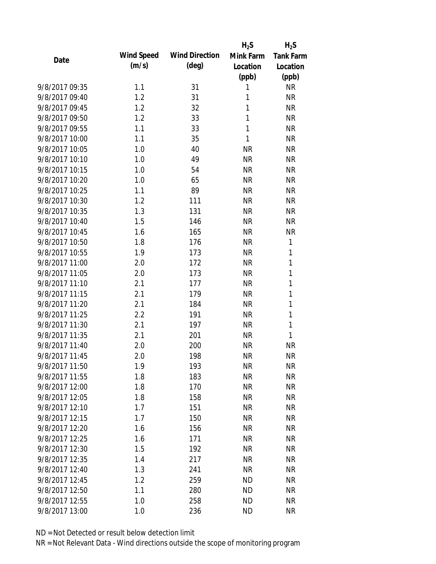|                   |                       | $H_2S$    | $H_2S$           |
|-------------------|-----------------------|-----------|------------------|
| <b>Wind Speed</b> | <b>Wind Direction</b> | Mink Farm | <b>Tank Farm</b> |
| (m/s)             | $(\text{deg})$        | Location  | Location         |
|                   |                       |           | (ppb)            |
| 1.1               | 31                    | 1         | <b>NR</b>        |
| 1.2               | 31                    | 1         | <b>NR</b>        |
| 1.2               | 32                    | 1         | <b>NR</b>        |
| 1.2               | 33                    | 1         | <b>NR</b>        |
| 1.1               | 33                    | 1         | <b>NR</b>        |
| 1.1               | 35                    | 1         | <b>NR</b>        |
| 1.0               | 40                    | <b>NR</b> | <b>NR</b>        |
| 1.0               | 49                    | <b>NR</b> | <b>NR</b>        |
| 1.0               | 54                    | <b>NR</b> | <b>NR</b>        |
| 1.0               | 65                    | <b>NR</b> | <b>NR</b>        |
| 1.1               | 89                    | <b>NR</b> | <b>NR</b>        |
| 1.2               | 111                   | <b>NR</b> | <b>NR</b>        |
| 1.3               | 131                   | <b>NR</b> | <b>NR</b>        |
| 1.5               | 146                   | <b>NR</b> | <b>NR</b>        |
| 1.6               | 165                   | <b>NR</b> | <b>NR</b>        |
| 1.8               | 176                   | <b>NR</b> | 1                |
| 1.9               | 173                   | <b>NR</b> | 1                |
| 2.0               | 172                   | <b>NR</b> | 1                |
| 2.0               | 173                   | <b>NR</b> | 1                |
| 2.1               | 177                   | <b>NR</b> | 1                |
| 2.1               | 179                   | <b>NR</b> | 1                |
| 2.1               | 184                   | <b>NR</b> | 1                |
| 2.2               | 191                   | <b>NR</b> | 1                |
| 2.1               | 197                   | <b>NR</b> | 1                |
| 2.1               | 201                   | <b>NR</b> | 1                |
| 2.0               | 200                   | <b>NR</b> | <b>NR</b>        |
| 2.0               | 198                   | <b>NR</b> | <b>NR</b>        |
| 1.9               | 193                   | ΝR        | <b>NR</b>        |
| 1.8               | 183                   | <b>NR</b> | <b>NR</b>        |
| 1.8               | 170                   | <b>NR</b> | <b>NR</b>        |
| 1.8               | 158                   | <b>NR</b> | <b>NR</b>        |
| 1.7               | 151                   | <b>NR</b> | <b>NR</b>        |
| 1.7               | 150                   | <b>NR</b> | <b>NR</b>        |
| 1.6               | 156                   | <b>NR</b> | <b>NR</b>        |
| 1.6               | 171                   | <b>NR</b> | <b>NR</b>        |
| 1.5               | 192                   | <b>NR</b> | <b>NR</b>        |
| 1.4               | 217                   | <b>NR</b> | <b>NR</b>        |
| 1.3               | 241                   | <b>NR</b> | <b>NR</b>        |
| 1.2               | 259                   | <b>ND</b> | <b>NR</b>        |
| 1.1               | 280                   | <b>ND</b> | <b>NR</b>        |
| 1.0               | 258                   | <b>ND</b> | <b>NR</b>        |
| 1.0               | 236                   | <b>ND</b> | <b>NR</b>        |
|                   |                       |           | (ppb)            |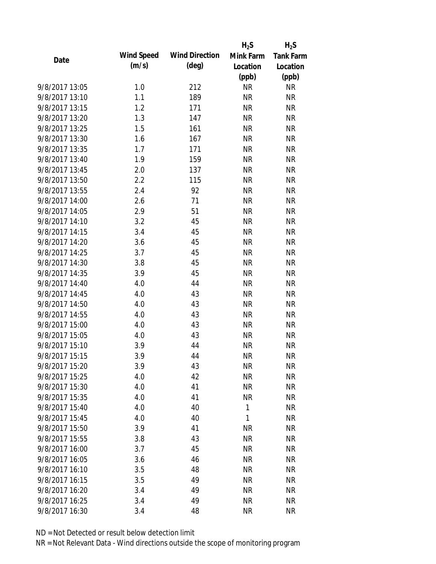|                |                   |                       | $H_2S$    | $H_2S$           |
|----------------|-------------------|-----------------------|-----------|------------------|
| Date           | <b>Wind Speed</b> | <b>Wind Direction</b> | Mink Farm | <b>Tank Farm</b> |
|                | (m/s)             | $(\text{deg})$        | Location  | Location         |
|                |                   |                       | (ppb)     | (ppb)            |
| 9/8/2017 13:05 | 1.0               | 212                   | <b>NR</b> | <b>NR</b>        |
| 9/8/2017 13:10 | 1.1               | 189                   | <b>NR</b> | <b>NR</b>        |
| 9/8/2017 13:15 | 1.2               | 171                   | <b>NR</b> | <b>NR</b>        |
| 9/8/2017 13:20 | 1.3               | 147                   | <b>NR</b> | <b>NR</b>        |
| 9/8/2017 13:25 | 1.5               | 161                   | <b>NR</b> | <b>NR</b>        |
| 9/8/2017 13:30 | 1.6               | 167                   | <b>NR</b> | <b>NR</b>        |
| 9/8/2017 13:35 | 1.7               | 171                   | <b>NR</b> | <b>NR</b>        |
| 9/8/2017 13:40 | 1.9               | 159                   | <b>NR</b> | <b>NR</b>        |
| 9/8/2017 13:45 | 2.0               | 137                   | <b>NR</b> | <b>NR</b>        |
| 9/8/2017 13:50 | 2.2               | 115                   | <b>NR</b> | <b>NR</b>        |
| 9/8/2017 13:55 | 2.4               | 92                    | <b>NR</b> | <b>NR</b>        |
| 9/8/2017 14:00 | 2.6               | 71                    | <b>NR</b> | <b>NR</b>        |
| 9/8/2017 14:05 | 2.9               | 51                    | <b>NR</b> | <b>NR</b>        |
| 9/8/2017 14:10 | 3.2               | 45                    | <b>NR</b> | <b>NR</b>        |
| 9/8/2017 14:15 | 3.4               | 45                    | <b>NR</b> | <b>NR</b>        |
| 9/8/2017 14:20 | 3.6               | 45                    | <b>NR</b> | <b>NR</b>        |
| 9/8/2017 14:25 | 3.7               | 45                    | <b>NR</b> | <b>NR</b>        |
| 9/8/2017 14:30 | 3.8               | 45                    | <b>NR</b> | <b>NR</b>        |
| 9/8/2017 14:35 | 3.9               | 45                    | <b>NR</b> | <b>NR</b>        |
| 9/8/2017 14:40 | 4.0               | 44                    | <b>NR</b> | <b>NR</b>        |
| 9/8/2017 14:45 | 4.0               | 43                    | <b>NR</b> | <b>NR</b>        |
| 9/8/2017 14:50 | 4.0               | 43                    | <b>NR</b> | <b>NR</b>        |
| 9/8/2017 14:55 | 4.0               | 43                    | <b>NR</b> | <b>NR</b>        |
| 9/8/2017 15:00 | 4.0               | 43                    | <b>NR</b> | <b>NR</b>        |
| 9/8/2017 15:05 | 4.0               | 43                    | <b>NR</b> | <b>NR</b>        |
| 9/8/2017 15:10 | 3.9               | 44                    | <b>NR</b> | <b>NR</b>        |
| 9/8/2017 15:15 | 3.9               | 44                    | <b>NR</b> | <b>NR</b>        |
| 9/8/2017 15:20 | 3.9               | 43                    | <b>NR</b> | <b>NR</b>        |
| 9/8/2017 15:25 | 4.0               | 42                    | <b>NR</b> | <b>NR</b>        |
| 9/8/2017 15:30 | 4.0               | 41                    | <b>NR</b> | <b>NR</b>        |
| 9/8/2017 15:35 | 4.0               | 41                    | <b>NR</b> | <b>NR</b>        |
| 9/8/2017 15:40 | 4.0               | 40                    | 1         | <b>NR</b>        |
| 9/8/2017 15:45 | 4.0               | 40                    | 1         | <b>NR</b>        |
| 9/8/2017 15:50 | 3.9               | 41                    | <b>NR</b> | <b>NR</b>        |
| 9/8/2017 15:55 | 3.8               | 43                    | <b>NR</b> | <b>NR</b>        |
| 9/8/2017 16:00 | 3.7               | 45                    | <b>NR</b> | <b>NR</b>        |
| 9/8/2017 16:05 | 3.6               | 46                    | <b>NR</b> | <b>NR</b>        |
| 9/8/2017 16:10 | 3.5               | 48                    | <b>NR</b> | <b>NR</b>        |
| 9/8/2017 16:15 | 3.5               | 49                    | <b>NR</b> | <b>NR</b>        |
| 9/8/2017 16:20 | 3.4               | 49                    | <b>NR</b> | <b>NR</b>        |
| 9/8/2017 16:25 | 3.4               | 49                    | <b>NR</b> | <b>NR</b>        |
| 9/8/2017 16:30 | 3.4               | 48                    | <b>NR</b> | <b>NR</b>        |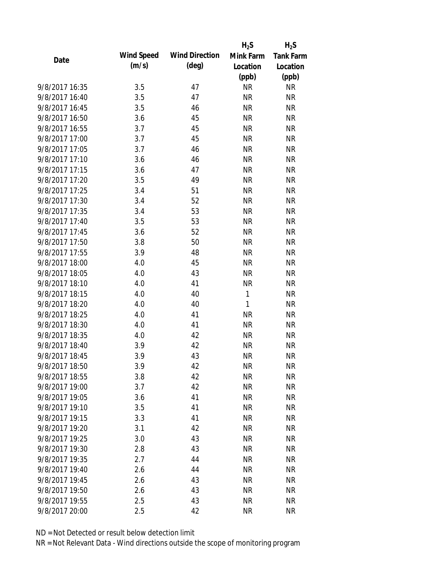|                |                   |                       | $H_2S$       | $H_2S$           |
|----------------|-------------------|-----------------------|--------------|------------------|
| Date           | <b>Wind Speed</b> | <b>Wind Direction</b> | Mink Farm    | <b>Tank Farm</b> |
|                | (m/s)             | $(\text{deg})$        | Location     | Location         |
|                |                   |                       | (ppb)        | (ppb)            |
| 9/8/2017 16:35 | 3.5               | 47                    | <b>NR</b>    | <b>NR</b>        |
| 9/8/2017 16:40 | 3.5               | 47                    | <b>NR</b>    | <b>NR</b>        |
| 9/8/2017 16:45 | 3.5               | 46                    | <b>NR</b>    | <b>NR</b>        |
| 9/8/2017 16:50 | 3.6               | 45                    | <b>NR</b>    | <b>NR</b>        |
| 9/8/2017 16:55 | 3.7               | 45                    | <b>NR</b>    | <b>NR</b>        |
| 9/8/2017 17:00 | 3.7               | 45                    | <b>NR</b>    | <b>NR</b>        |
| 9/8/2017 17:05 | 3.7               | 46                    | <b>NR</b>    | <b>NR</b>        |
| 9/8/2017 17:10 | 3.6               | 46                    | <b>NR</b>    | <b>NR</b>        |
| 9/8/2017 17:15 | 3.6               | 47                    | <b>NR</b>    | <b>NR</b>        |
| 9/8/2017 17:20 | 3.5               | 49                    | <b>NR</b>    | <b>NR</b>        |
| 9/8/2017 17:25 | 3.4               | 51                    | <b>NR</b>    | <b>NR</b>        |
| 9/8/2017 17:30 | 3.4               | 52                    | <b>NR</b>    | <b>NR</b>        |
| 9/8/2017 17:35 | 3.4               | 53                    | <b>NR</b>    | <b>NR</b>        |
| 9/8/2017 17:40 | 3.5               | 53                    | <b>NR</b>    | <b>NR</b>        |
| 9/8/2017 17:45 | 3.6               | 52                    | <b>NR</b>    | <b>NR</b>        |
| 9/8/2017 17:50 | 3.8               | 50                    | <b>NR</b>    | <b>NR</b>        |
| 9/8/2017 17:55 | 3.9               | 48                    | <b>NR</b>    | <b>NR</b>        |
| 9/8/2017 18:00 | 4.0               | 45                    | <b>NR</b>    | <b>NR</b>        |
| 9/8/2017 18:05 | 4.0               | 43                    | <b>NR</b>    | <b>NR</b>        |
| 9/8/2017 18:10 | 4.0               | 41                    | <b>NR</b>    | <b>NR</b>        |
| 9/8/2017 18:15 | 4.0               | 40                    | $\mathbf{1}$ | <b>NR</b>        |
| 9/8/2017 18:20 | 4.0               | 40                    | 1            | <b>NR</b>        |
| 9/8/2017 18:25 | 4.0               | 41                    | <b>NR</b>    | <b>NR</b>        |
| 9/8/2017 18:30 | 4.0               | 41                    | <b>NR</b>    | <b>NR</b>        |
| 9/8/2017 18:35 | 4.0               | 42                    | <b>NR</b>    | <b>NR</b>        |
| 9/8/2017 18:40 | 3.9               | 42                    | <b>NR</b>    | <b>NR</b>        |
| 9/8/2017 18:45 | 3.9               | 43                    | <b>NR</b>    | <b>NR</b>        |
| 9/8/2017 18:50 | 3.9               | 42                    | <b>NR</b>    | <b>NR</b>        |
| 9/8/2017 18:55 | 3.8               | 42                    | <b>NR</b>    | <b>NR</b>        |
| 9/8/2017 19:00 | 3.7               | 42                    | <b>NR</b>    | <b>NR</b>        |
| 9/8/2017 19:05 | 3.6               | 41                    | <b>NR</b>    | <b>NR</b>        |
| 9/8/2017 19:10 | 3.5               | 41                    | <b>NR</b>    | <b>NR</b>        |
| 9/8/2017 19:15 | 3.3               | 41                    | <b>NR</b>    | <b>NR</b>        |
| 9/8/2017 19:20 | 3.1               | 42                    | <b>NR</b>    | <b>NR</b>        |
| 9/8/2017 19:25 | 3.0               | 43                    | <b>NR</b>    | <b>NR</b>        |
| 9/8/2017 19:30 | 2.8               | 43                    | <b>NR</b>    | <b>NR</b>        |
| 9/8/2017 19:35 | 2.7               | 44                    | <b>NR</b>    | <b>NR</b>        |
| 9/8/2017 19:40 | 2.6               | 44                    | <b>NR</b>    | <b>NR</b>        |
| 9/8/2017 19:45 | 2.6               | 43                    | <b>NR</b>    | <b>NR</b>        |
| 9/8/2017 19:50 | 2.6               | 43                    | <b>NR</b>    | <b>NR</b>        |
| 9/8/2017 19:55 | 2.5               | 43                    | <b>NR</b>    | <b>NR</b>        |
| 9/8/2017 20:00 | 2.5               | 42                    | <b>NR</b>    | <b>NR</b>        |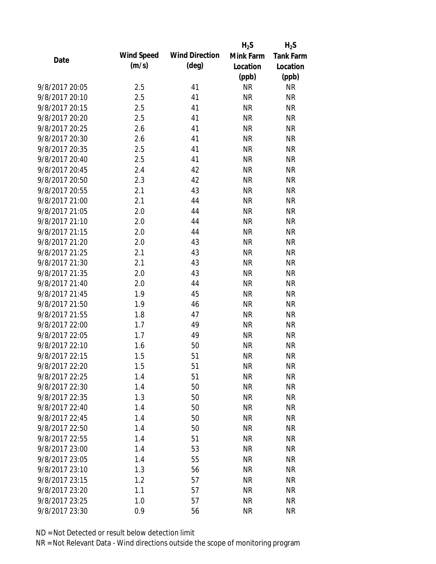|                |                   |                       | $H_2S$    | $H_2S$           |
|----------------|-------------------|-----------------------|-----------|------------------|
| Date           | <b>Wind Speed</b> | <b>Wind Direction</b> | Mink Farm | <b>Tank Farm</b> |
|                | (m/s)             | $(\text{deg})$        | Location  | Location         |
|                |                   |                       | (ppb)     | (ppb)            |
| 9/8/2017 20:05 | 2.5               | 41                    | <b>NR</b> | <b>NR</b>        |
| 9/8/2017 20:10 | 2.5               | 41                    | <b>NR</b> | <b>NR</b>        |
| 9/8/2017 20:15 | 2.5               | 41                    | <b>NR</b> | <b>NR</b>        |
| 9/8/2017 20:20 | 2.5               | 41                    | <b>NR</b> | <b>NR</b>        |
| 9/8/2017 20:25 | 2.6               | 41                    | <b>NR</b> | <b>NR</b>        |
| 9/8/2017 20:30 | 2.6               | 41                    | <b>NR</b> | <b>NR</b>        |
| 9/8/2017 20:35 | 2.5               | 41                    | <b>NR</b> | <b>NR</b>        |
| 9/8/2017 20:40 | 2.5               | 41                    | <b>NR</b> | <b>NR</b>        |
| 9/8/2017 20:45 | 2.4               | 42                    | <b>NR</b> | <b>NR</b>        |
| 9/8/2017 20:50 | 2.3               | 42                    | <b>NR</b> | <b>NR</b>        |
| 9/8/2017 20:55 | 2.1               | 43                    | <b>NR</b> | <b>NR</b>        |
| 9/8/2017 21:00 | 2.1               | 44                    | <b>NR</b> | <b>NR</b>        |
| 9/8/2017 21:05 | 2.0               | 44                    | <b>NR</b> | <b>NR</b>        |
| 9/8/2017 21:10 | 2.0               | 44                    | <b>NR</b> | <b>NR</b>        |
| 9/8/2017 21:15 | 2.0               | 44                    | <b>NR</b> | <b>NR</b>        |
| 9/8/2017 21:20 | 2.0               | 43                    | <b>NR</b> | <b>NR</b>        |
| 9/8/2017 21:25 | 2.1               | 43                    | <b>NR</b> | <b>NR</b>        |
| 9/8/2017 21:30 | 2.1               | 43                    | <b>NR</b> | <b>NR</b>        |
| 9/8/2017 21:35 | 2.0               | 43                    | <b>NR</b> | <b>NR</b>        |
| 9/8/2017 21:40 | 2.0               | 44                    | <b>NR</b> | <b>NR</b>        |
| 9/8/2017 21:45 | 1.9               | 45                    | <b>NR</b> | <b>NR</b>        |
| 9/8/2017 21:50 | 1.9               | 46                    | <b>NR</b> | <b>NR</b>        |
| 9/8/2017 21:55 | 1.8               | 47                    | <b>NR</b> | <b>NR</b>        |
| 9/8/2017 22:00 | 1.7               | 49                    | <b>NR</b> | <b>NR</b>        |
| 9/8/2017 22:05 | 1.7               | 49                    | <b>NR</b> | <b>NR</b>        |
| 9/8/2017 22:10 | 1.6               | 50                    | <b>NR</b> | <b>NR</b>        |
| 9/8/2017 22:15 | 1.5               | 51                    | <b>NR</b> | <b>NR</b>        |
| 9/8/2017 22:20 | 1.5               | 51                    | <b>NR</b> | <b>NR</b>        |
| 9/8/2017 22:25 | 1.4               | 51                    | <b>NR</b> | <b>NR</b>        |
| 9/8/2017 22:30 | 1.4               | 50                    | <b>NR</b> | <b>NR</b>        |
| 9/8/2017 22:35 | 1.3               | 50                    | <b>NR</b> | <b>NR</b>        |
| 9/8/2017 22:40 | 1.4               | 50                    | <b>NR</b> | <b>NR</b>        |
| 9/8/2017 22:45 | 1.4               | 50                    | <b>NR</b> | <b>NR</b>        |
| 9/8/2017 22:50 | 1.4               | 50                    | <b>NR</b> | <b>NR</b>        |
| 9/8/2017 22:55 | 1.4               | 51                    | <b>NR</b> | <b>NR</b>        |
| 9/8/2017 23:00 | 1.4               | 53                    | <b>NR</b> | <b>NR</b>        |
| 9/8/2017 23:05 | 1.4               | 55                    | <b>NR</b> | <b>NR</b>        |
| 9/8/2017 23:10 | 1.3               | 56                    | <b>NR</b> | <b>NR</b>        |
| 9/8/2017 23:15 | 1.2               | 57                    | <b>NR</b> | <b>NR</b>        |
| 9/8/2017 23:20 | 1.1               | 57                    | NR        | <b>NR</b>        |
| 9/8/2017 23:25 | 1.0               | 57                    | <b>NR</b> | <b>NR</b>        |
| 9/8/2017 23:30 | 0.9               | 56                    | <b>NR</b> | <b>NR</b>        |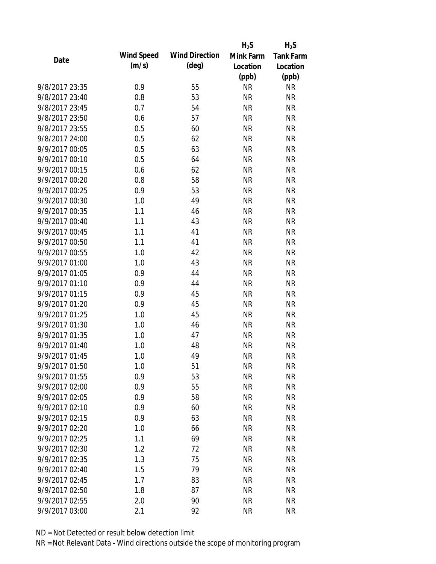|                |                   |                       | $H_2S$    | $H_2S$           |
|----------------|-------------------|-----------------------|-----------|------------------|
| Date           | <b>Wind Speed</b> | <b>Wind Direction</b> | Mink Farm | <b>Tank Farm</b> |
|                | (m/s)             | $(\text{deg})$        | Location  | Location         |
|                |                   |                       | (ppb)     | (ppb)            |
| 9/8/2017 23:35 | 0.9               | 55                    | <b>NR</b> | <b>NR</b>        |
| 9/8/2017 23:40 | 0.8               | 53                    | <b>NR</b> | <b>NR</b>        |
| 9/8/2017 23:45 | 0.7               | 54                    | <b>NR</b> | <b>NR</b>        |
| 9/8/2017 23:50 | 0.6               | 57                    | <b>NR</b> | <b>NR</b>        |
| 9/8/2017 23:55 | 0.5               | 60                    | <b>NR</b> | <b>NR</b>        |
| 9/8/2017 24:00 | 0.5               | 62                    | <b>NR</b> | <b>NR</b>        |
| 9/9/2017 00:05 | 0.5               | 63                    | <b>NR</b> | <b>NR</b>        |
| 9/9/2017 00:10 | 0.5               | 64                    | <b>NR</b> | <b>NR</b>        |
| 9/9/2017 00:15 | 0.6               | 62                    | <b>NR</b> | <b>NR</b>        |
| 9/9/2017 00:20 | 0.8               | 58                    | <b>NR</b> | <b>NR</b>        |
| 9/9/2017 00:25 | 0.9               | 53                    | <b>NR</b> | <b>NR</b>        |
| 9/9/2017 00:30 | 1.0               | 49                    | <b>NR</b> | <b>NR</b>        |
| 9/9/2017 00:35 | 1.1               | 46                    | <b>NR</b> | <b>NR</b>        |
| 9/9/2017 00:40 | 1.1               | 43                    | <b>NR</b> | <b>NR</b>        |
| 9/9/2017 00:45 | 1.1               | 41                    | <b>NR</b> | <b>NR</b>        |
| 9/9/2017 00:50 | 1.1               | 41                    | <b>NR</b> | <b>NR</b>        |
| 9/9/2017 00:55 | 1.0               | 42                    | <b>NR</b> | <b>NR</b>        |
| 9/9/2017 01:00 | 1.0               | 43                    | <b>NR</b> | <b>NR</b>        |
| 9/9/2017 01:05 | 0.9               | 44                    | <b>NR</b> | <b>NR</b>        |
| 9/9/2017 01:10 | 0.9               | 44                    | <b>NR</b> | <b>NR</b>        |
| 9/9/2017 01:15 | 0.9               | 45                    | <b>NR</b> | <b>NR</b>        |
| 9/9/2017 01:20 | 0.9               | 45                    | <b>NR</b> | <b>NR</b>        |
| 9/9/2017 01:25 | 1.0               | 45                    | <b>NR</b> | <b>NR</b>        |
| 9/9/2017 01:30 | 1.0               | 46                    | <b>NR</b> | <b>NR</b>        |
| 9/9/2017 01:35 | 1.0               | 47                    | <b>NR</b> | <b>NR</b>        |
| 9/9/2017 01:40 | 1.0               | 48                    | <b>NR</b> | <b>NR</b>        |
| 9/9/2017 01:45 | 1.0               | 49                    | <b>NR</b> | <b>NR</b>        |
| 9/9/2017 01:50 | 1.0               | 51                    | <b>NR</b> | <b>NR</b>        |
| 9/9/2017 01:55 | 0.9               | 53                    | <b>NR</b> | <b>NR</b>        |
| 9/9/2017 02:00 | 0.9               | 55                    | <b>NR</b> | <b>NR</b>        |
| 9/9/2017 02:05 | 0.9               | 58                    | <b>NR</b> | <b>NR</b>        |
| 9/9/2017 02:10 | 0.9               | 60                    | <b>NR</b> | <b>NR</b>        |
| 9/9/2017 02:15 | 0.9               | 63                    | <b>NR</b> | <b>NR</b>        |
| 9/9/2017 02:20 | 1.0               | 66                    | <b>NR</b> | <b>NR</b>        |
| 9/9/2017 02:25 | 1.1               | 69                    | <b>NR</b> | <b>NR</b>        |
| 9/9/2017 02:30 | 1.2               | 72                    | <b>NR</b> | <b>NR</b>        |
| 9/9/2017 02:35 | 1.3               | 75                    | <b>NR</b> | <b>NR</b>        |
| 9/9/2017 02:40 | 1.5               | 79                    | <b>NR</b> | <b>NR</b>        |
| 9/9/2017 02:45 | 1.7               | 83                    | <b>NR</b> | <b>NR</b>        |
| 9/9/2017 02:50 | 1.8               | 87                    | <b>NR</b> | <b>NR</b>        |
| 9/9/2017 02:55 | 2.0               | 90                    | <b>NR</b> | <b>NR</b>        |
| 9/9/2017 03:00 | 2.1               | 92                    | <b>NR</b> | <b>NR</b>        |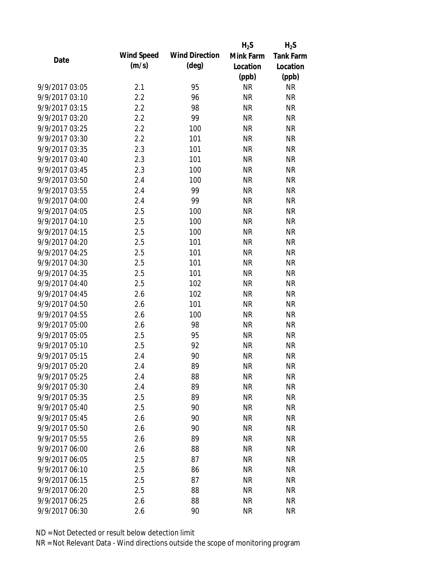|                |                   |                       | $H_2S$    | $H_2S$           |
|----------------|-------------------|-----------------------|-----------|------------------|
| Date           | <b>Wind Speed</b> | <b>Wind Direction</b> | Mink Farm | <b>Tank Farm</b> |
|                | (m/s)             | $(\text{deg})$        | Location  | Location         |
|                |                   |                       | (ppb)     | (ppb)            |
| 9/9/2017 03:05 | 2.1               | 95                    | <b>NR</b> | <b>NR</b>        |
| 9/9/2017 03:10 | 2.2               | 96                    | <b>NR</b> | <b>NR</b>        |
| 9/9/2017 03:15 | 2.2               | 98                    | <b>NR</b> | <b>NR</b>        |
| 9/9/2017 03:20 | 2.2               | 99                    | <b>NR</b> | <b>NR</b>        |
| 9/9/2017 03:25 | 2.2               | 100                   | <b>NR</b> | <b>NR</b>        |
| 9/9/2017 03:30 | 2.2               | 101                   | <b>NR</b> | <b>NR</b>        |
| 9/9/2017 03:35 | 2.3               | 101                   | <b>NR</b> | <b>NR</b>        |
| 9/9/2017 03:40 | 2.3               | 101                   | <b>NR</b> | <b>NR</b>        |
| 9/9/2017 03:45 | 2.3               | 100                   | <b>NR</b> | <b>NR</b>        |
| 9/9/2017 03:50 | 2.4               | 100                   | <b>NR</b> | <b>NR</b>        |
| 9/9/2017 03:55 | 2.4               | 99                    | <b>NR</b> | <b>NR</b>        |
| 9/9/2017 04:00 | 2.4               | 99                    | <b>NR</b> | <b>NR</b>        |
| 9/9/2017 04:05 | 2.5               | 100                   | <b>NR</b> | <b>NR</b>        |
| 9/9/2017 04:10 | 2.5               | 100                   | <b>NR</b> | <b>NR</b>        |
| 9/9/2017 04:15 | 2.5               | 100                   | <b>NR</b> | <b>NR</b>        |
| 9/9/2017 04:20 | 2.5               | 101                   | <b>NR</b> | <b>NR</b>        |
| 9/9/2017 04:25 | 2.5               | 101                   | <b>NR</b> | <b>NR</b>        |
| 9/9/2017 04:30 | 2.5               | 101                   | <b>NR</b> | <b>NR</b>        |
| 9/9/2017 04:35 | 2.5               | 101                   | <b>NR</b> | <b>NR</b>        |
| 9/9/2017 04:40 | 2.5               | 102                   | <b>NR</b> | <b>NR</b>        |
| 9/9/2017 04:45 | 2.6               | 102                   | <b>NR</b> | <b>NR</b>        |
| 9/9/2017 04:50 | 2.6               | 101                   | <b>NR</b> | <b>NR</b>        |
| 9/9/2017 04:55 | 2.6               | 100                   | <b>NR</b> | <b>NR</b>        |
| 9/9/2017 05:00 | 2.6               | 98                    | <b>NR</b> | <b>NR</b>        |
| 9/9/2017 05:05 | 2.5               | 95                    | <b>NR</b> | <b>NR</b>        |
| 9/9/2017 05:10 | 2.5               | 92                    | <b>NR</b> | <b>NR</b>        |
| 9/9/2017 05:15 | 2.4               | 90                    | <b>NR</b> | <b>NR</b>        |
| 9/9/2017 05:20 | 2.4               | 89                    | <b>NR</b> | <b>NR</b>        |
| 9/9/2017 05:25 | 2.4               | 88                    | <b>NR</b> | <b>NR</b>        |
| 9/9/2017 05:30 | 2.4               | 89                    | <b>NR</b> | <b>NR</b>        |
| 9/9/2017 05:35 | 2.5               | 89                    | <b>NR</b> | <b>NR</b>        |
| 9/9/2017 05:40 | 2.5               | 90                    | <b>NR</b> | <b>NR</b>        |
| 9/9/2017 05:45 | 2.6               | 90                    | <b>NR</b> | <b>NR</b>        |
| 9/9/2017 05:50 | 2.6               | 90                    | <b>NR</b> | <b>NR</b>        |
| 9/9/2017 05:55 | 2.6               | 89                    | <b>NR</b> | <b>NR</b>        |
| 9/9/2017 06:00 | 2.6               | 88                    | <b>NR</b> | <b>NR</b>        |
| 9/9/2017 06:05 | 2.5               | 87                    | <b>NR</b> | <b>NR</b>        |
| 9/9/2017 06:10 | 2.5               | 86                    | <b>NR</b> | <b>NR</b>        |
| 9/9/2017 06:15 | 2.5               | 87                    | <b>NR</b> | <b>NR</b>        |
| 9/9/2017 06:20 | 2.5               | 88                    | ΝR        | <b>NR</b>        |
| 9/9/2017 06:25 | 2.6               | 88                    | <b>NR</b> | <b>NR</b>        |
| 9/9/2017 06:30 | 2.6               | 90                    | <b>NR</b> | <b>NR</b>        |
|                |                   |                       |           |                  |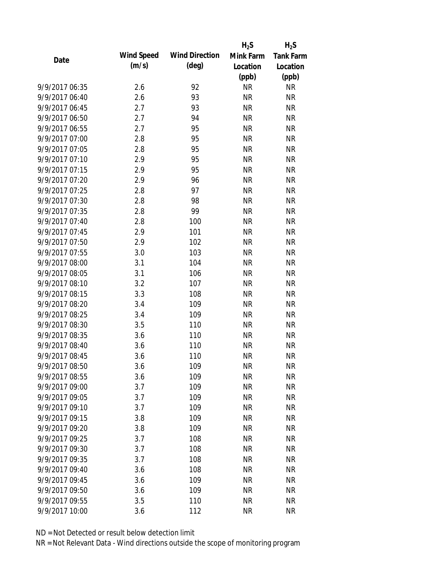|                |                   |                       | $H_2S$    | $H_2S$           |
|----------------|-------------------|-----------------------|-----------|------------------|
| Date           | <b>Wind Speed</b> | <b>Wind Direction</b> | Mink Farm | <b>Tank Farm</b> |
|                | (m/s)             | $(\text{deg})$        | Location  | Location         |
|                |                   |                       | (ppb)     | (ppb)            |
| 9/9/2017 06:35 | 2.6               | 92                    | <b>NR</b> | <b>NR</b>        |
| 9/9/2017 06:40 | 2.6               | 93                    | <b>NR</b> | <b>NR</b>        |
| 9/9/2017 06:45 | 2.7               | 93                    | <b>NR</b> | <b>NR</b>        |
| 9/9/2017 06:50 | 2.7               | 94                    | <b>NR</b> | <b>NR</b>        |
| 9/9/2017 06:55 | 2.7               | 95                    | <b>NR</b> | <b>NR</b>        |
| 9/9/2017 07:00 | 2.8               | 95                    | <b>NR</b> | <b>NR</b>        |
| 9/9/2017 07:05 | 2.8               | 95                    | <b>NR</b> | <b>NR</b>        |
| 9/9/2017 07:10 | 2.9               | 95                    | <b>NR</b> | <b>NR</b>        |
| 9/9/2017 07:15 | 2.9               | 95                    | <b>NR</b> | <b>NR</b>        |
| 9/9/2017 07:20 | 2.9               | 96                    | <b>NR</b> | <b>NR</b>        |
| 9/9/2017 07:25 | 2.8               | 97                    | <b>NR</b> | <b>NR</b>        |
| 9/9/2017 07:30 | 2.8               | 98                    | <b>NR</b> | <b>NR</b>        |
| 9/9/2017 07:35 | 2.8               | 99                    | <b>NR</b> | <b>NR</b>        |
| 9/9/2017 07:40 | 2.8               | 100                   | <b>NR</b> | <b>NR</b>        |
| 9/9/2017 07:45 | 2.9               | 101                   | <b>NR</b> | <b>NR</b>        |
| 9/9/2017 07:50 | 2.9               | 102                   | <b>NR</b> | <b>NR</b>        |
| 9/9/2017 07:55 | 3.0               | 103                   | <b>NR</b> | <b>NR</b>        |
| 9/9/2017 08:00 | 3.1               | 104                   | <b>NR</b> | <b>NR</b>        |
| 9/9/2017 08:05 | 3.1               | 106                   | <b>NR</b> | <b>NR</b>        |
| 9/9/2017 08:10 | 3.2               | 107                   | <b>NR</b> | <b>NR</b>        |
| 9/9/2017 08:15 | 3.3               | 108                   | <b>NR</b> | <b>NR</b>        |
| 9/9/2017 08:20 | 3.4               | 109                   | <b>NR</b> | <b>NR</b>        |
| 9/9/2017 08:25 | 3.4               | 109                   | <b>NR</b> | <b>NR</b>        |
| 9/9/2017 08:30 | 3.5               | 110                   | <b>NR</b> | <b>NR</b>        |
| 9/9/2017 08:35 | 3.6               | 110                   | <b>NR</b> | <b>NR</b>        |
| 9/9/2017 08:40 | 3.6               | 110                   | <b>NR</b> | <b>NR</b>        |
| 9/9/2017 08:45 | 3.6               | 110                   | <b>NR</b> | <b>NR</b>        |
| 9/9/2017 08:50 | 3.6               | 109                   | NR        | <b>NR</b>        |
| 9/9/2017 08:55 | 3.6               | 109                   | <b>NR</b> | <b>NR</b>        |
| 9/9/2017 09:00 | 3.7               | 109                   | <b>NR</b> | <b>NR</b>        |
| 9/9/2017 09:05 | 3.7               | 109                   | <b>NR</b> | <b>NR</b>        |
| 9/9/2017 09:10 | 3.7               | 109                   | <b>NR</b> | <b>NR</b>        |
| 9/9/2017 09:15 | 3.8               | 109                   | <b>NR</b> | <b>NR</b>        |
| 9/9/2017 09:20 | 3.8               | 109                   | <b>NR</b> | <b>NR</b>        |
| 9/9/2017 09:25 | 3.7               | 108                   | <b>NR</b> | <b>NR</b>        |
| 9/9/2017 09:30 | 3.7               | 108                   | <b>NR</b> | <b>NR</b>        |
| 9/9/2017 09:35 | 3.7               | 108                   | <b>NR</b> | <b>NR</b>        |
| 9/9/2017 09:40 | 3.6               | 108                   | <b>NR</b> | <b>NR</b>        |
| 9/9/2017 09:45 | 3.6               | 109                   | <b>NR</b> | <b>NR</b>        |
| 9/9/2017 09:50 | 3.6               | 109                   | <b>NR</b> | <b>NR</b>        |
| 9/9/2017 09:55 | 3.5               | 110                   | <b>NR</b> | <b>NR</b>        |
| 9/9/2017 10:00 | 3.6               | 112                   | <b>NR</b> | <b>NR</b>        |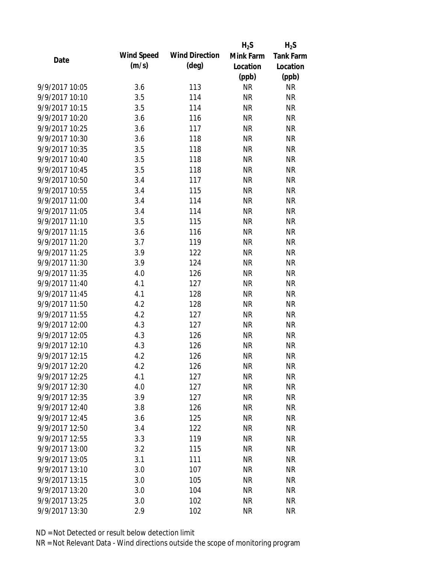|                |                   |                       | $H_2S$    | $H_2S$           |
|----------------|-------------------|-----------------------|-----------|------------------|
| Date           | <b>Wind Speed</b> | <b>Wind Direction</b> | Mink Farm | <b>Tank Farm</b> |
|                | (m/s)             | $(\text{deg})$        | Location  | Location         |
|                |                   |                       | (ppb)     | (ppb)            |
| 9/9/2017 10:05 | 3.6               | 113                   | <b>NR</b> | <b>NR</b>        |
| 9/9/2017 10:10 | 3.5               | 114                   | <b>NR</b> | <b>NR</b>        |
| 9/9/2017 10:15 | 3.5               | 114                   | <b>NR</b> | <b>NR</b>        |
| 9/9/2017 10:20 | 3.6               | 116                   | <b>NR</b> | <b>NR</b>        |
| 9/9/2017 10:25 | 3.6               | 117                   | <b>NR</b> | <b>NR</b>        |
| 9/9/2017 10:30 | 3.6               | 118                   | <b>NR</b> | <b>NR</b>        |
| 9/9/2017 10:35 | 3.5               | 118                   | <b>NR</b> | <b>NR</b>        |
| 9/9/2017 10:40 | 3.5               | 118                   | <b>NR</b> | <b>NR</b>        |
| 9/9/2017 10:45 | 3.5               | 118                   | <b>NR</b> | <b>NR</b>        |
| 9/9/2017 10:50 | 3.4               | 117                   | <b>NR</b> | <b>NR</b>        |
| 9/9/2017 10:55 | 3.4               | 115                   | <b>NR</b> | <b>NR</b>        |
| 9/9/2017 11:00 | 3.4               | 114                   | <b>NR</b> | <b>NR</b>        |
| 9/9/2017 11:05 | 3.4               | 114                   | <b>NR</b> | <b>NR</b>        |
| 9/9/2017 11:10 | 3.5               | 115                   | <b>NR</b> | <b>NR</b>        |
| 9/9/2017 11:15 | 3.6               | 116                   | <b>NR</b> | <b>NR</b>        |
| 9/9/2017 11:20 | 3.7               | 119                   | <b>NR</b> | <b>NR</b>        |
| 9/9/2017 11:25 | 3.9               | 122                   | <b>NR</b> | <b>NR</b>        |
| 9/9/2017 11:30 | 3.9               | 124                   | <b>NR</b> | <b>NR</b>        |
| 9/9/2017 11:35 | 4.0               | 126                   | <b>NR</b> | <b>NR</b>        |
| 9/9/2017 11:40 | 4.1               | 127                   | <b>NR</b> | <b>NR</b>        |
| 9/9/2017 11:45 | 4.1               | 128                   | <b>NR</b> | <b>NR</b>        |
| 9/9/2017 11:50 | 4.2               | 128                   | <b>NR</b> | <b>NR</b>        |
| 9/9/2017 11:55 | 4.2               | 127                   | <b>NR</b> | <b>NR</b>        |
| 9/9/2017 12:00 | 4.3               | 127                   | <b>NR</b> | <b>NR</b>        |
| 9/9/2017 12:05 | 4.3               | 126                   | <b>NR</b> | <b>NR</b>        |
| 9/9/2017 12:10 | 4.3               | 126                   | <b>NR</b> | <b>NR</b>        |
| 9/9/2017 12:15 | 4.2               | 126                   | <b>NR</b> | <b>NR</b>        |
| 9/9/2017 12:20 | 4.2               | 126                   | <b>NR</b> | <b>NR</b>        |
| 9/9/2017 12:25 | 4.1               | 127                   | <b>NR</b> | <b>NR</b>        |
| 9/9/2017 12:30 | 4.0               | 127                   | <b>NR</b> | <b>NR</b>        |
| 9/9/2017 12:35 | 3.9               | 127                   | <b>NR</b> | <b>NR</b>        |
| 9/9/2017 12:40 | 3.8               | 126                   | <b>NR</b> | <b>NR</b>        |
| 9/9/2017 12:45 | 3.6               | 125                   | <b>NR</b> | <b>NR</b>        |
| 9/9/2017 12:50 | 3.4               | 122                   | <b>NR</b> | <b>NR</b>        |
| 9/9/2017 12:55 | 3.3               | 119                   | <b>NR</b> | <b>NR</b>        |
| 9/9/2017 13:00 | 3.2               | 115                   | <b>NR</b> | <b>NR</b>        |
| 9/9/2017 13:05 | 3.1               | 111                   | <b>NR</b> | <b>NR</b>        |
| 9/9/2017 13:10 | 3.0               | 107                   | <b>NR</b> | <b>NR</b>        |
| 9/9/2017 13:15 | 3.0               | 105                   | <b>NR</b> | <b>NR</b>        |
| 9/9/2017 13:20 | 3.0               | 104                   | <b>NR</b> | <b>NR</b>        |
| 9/9/2017 13:25 | 3.0               | 102                   | <b>NR</b> | <b>NR</b>        |
| 9/9/2017 13:30 | 2.9               | 102                   | <b>NR</b> | <b>NR</b>        |
|                |                   |                       |           |                  |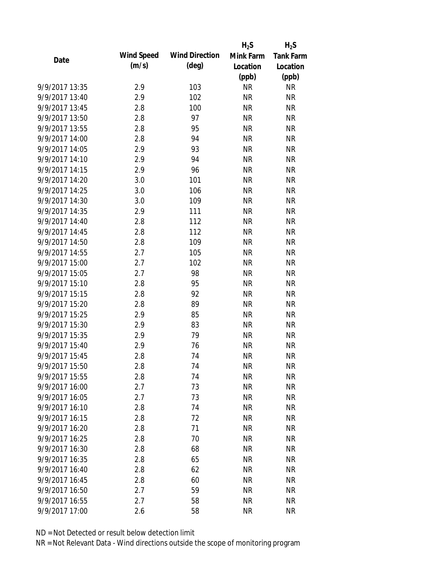|                |                   |                       | $H_2S$    | $H_2S$           |
|----------------|-------------------|-----------------------|-----------|------------------|
| Date           | <b>Wind Speed</b> | <b>Wind Direction</b> | Mink Farm | <b>Tank Farm</b> |
|                | (m/s)             | $(\text{deg})$        | Location  | Location         |
|                |                   |                       | (ppb)     | (ppb)            |
| 9/9/2017 13:35 | 2.9               | 103                   | <b>NR</b> | <b>NR</b>        |
| 9/9/2017 13:40 | 2.9               | 102                   | <b>NR</b> | <b>NR</b>        |
| 9/9/2017 13:45 | 2.8               | 100                   | <b>NR</b> | <b>NR</b>        |
| 9/9/2017 13:50 | 2.8               | 97                    | <b>NR</b> | <b>NR</b>        |
| 9/9/2017 13:55 | 2.8               | 95                    | <b>NR</b> | <b>NR</b>        |
| 9/9/2017 14:00 | 2.8               | 94                    | <b>NR</b> | <b>NR</b>        |
| 9/9/2017 14:05 | 2.9               | 93                    | <b>NR</b> | <b>NR</b>        |
| 9/9/2017 14:10 | 2.9               | 94                    | <b>NR</b> | <b>NR</b>        |
| 9/9/2017 14:15 | 2.9               | 96                    | <b>NR</b> | <b>NR</b>        |
| 9/9/2017 14:20 | 3.0               | 101                   | <b>NR</b> | <b>NR</b>        |
| 9/9/2017 14:25 | 3.0               | 106                   | <b>NR</b> | <b>NR</b>        |
| 9/9/2017 14:30 | 3.0               | 109                   | <b>NR</b> | <b>NR</b>        |
| 9/9/2017 14:35 | 2.9               | 111                   | <b>NR</b> | <b>NR</b>        |
| 9/9/2017 14:40 | 2.8               | 112                   | <b>NR</b> | <b>NR</b>        |
| 9/9/2017 14:45 | 2.8               | 112                   | <b>NR</b> | <b>NR</b>        |
| 9/9/2017 14:50 | 2.8               | 109                   | <b>NR</b> | <b>NR</b>        |
| 9/9/2017 14:55 | 2.7               | 105                   | <b>NR</b> | <b>NR</b>        |
| 9/9/2017 15:00 | 2.7               | 102                   | <b>NR</b> | <b>NR</b>        |
| 9/9/2017 15:05 | 2.7               | 98                    | <b>NR</b> | <b>NR</b>        |
| 9/9/2017 15:10 | 2.8               | 95                    | <b>NR</b> | <b>NR</b>        |
| 9/9/2017 15:15 | 2.8               | 92                    | <b>NR</b> | <b>NR</b>        |
| 9/9/2017 15:20 | 2.8               | 89                    | <b>NR</b> | <b>NR</b>        |
| 9/9/2017 15:25 | 2.9               | 85                    | <b>NR</b> | <b>NR</b>        |
| 9/9/2017 15:30 | 2.9               | 83                    | <b>NR</b> | <b>NR</b>        |
| 9/9/2017 15:35 | 2.9               | 79                    | <b>NR</b> | <b>NR</b>        |
| 9/9/2017 15:40 | 2.9               | 76                    | <b>NR</b> | <b>NR</b>        |
| 9/9/2017 15:45 | 2.8               | 74                    | <b>NR</b> | <b>NR</b>        |
| 9/9/2017 15:50 | 2.8               | 74                    | NR        | <b>NR</b>        |
| 9/9/2017 15:55 | 2.8               | 74                    | <b>NR</b> | <b>NR</b>        |
| 9/9/2017 16:00 | 2.7               | 73                    | <b>NR</b> | <b>NR</b>        |
| 9/9/2017 16:05 | 2.7               | 73                    | <b>NR</b> | <b>NR</b>        |
| 9/9/2017 16:10 | 2.8               | 74                    | <b>NR</b> | <b>NR</b>        |
| 9/9/2017 16:15 | 2.8               | 72                    | <b>NR</b> | <b>NR</b>        |
| 9/9/2017 16:20 | 2.8               | 71                    | <b>NR</b> | <b>NR</b>        |
| 9/9/2017 16:25 | 2.8               | 70                    | <b>NR</b> | <b>NR</b>        |
| 9/9/2017 16:30 | 2.8               | 68                    | <b>NR</b> | <b>NR</b>        |
| 9/9/2017 16:35 | 2.8               | 65                    | <b>NR</b> | <b>NR</b>        |
| 9/9/2017 16:40 | 2.8               | 62                    | <b>NR</b> | <b>NR</b>        |
| 9/9/2017 16:45 | 2.8               | 60                    | <b>NR</b> | <b>NR</b>        |
| 9/9/2017 16:50 | 2.7               | 59                    | <b>NR</b> | <b>NR</b>        |
| 9/9/2017 16:55 | 2.7               | 58                    | <b>NR</b> | <b>NR</b>        |
| 9/9/2017 17:00 | 2.6               | 58                    | <b>NR</b> | <b>NR</b>        |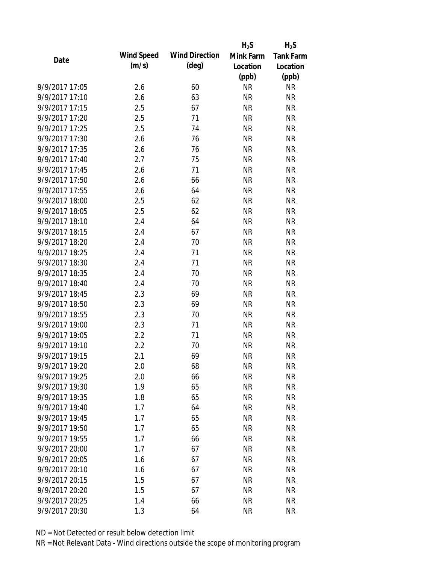|                |                   |                       | $H_2S$    | $H_2S$           |
|----------------|-------------------|-----------------------|-----------|------------------|
| Date           | <b>Wind Speed</b> | <b>Wind Direction</b> | Mink Farm | <b>Tank Farm</b> |
|                | (m/s)             | $(\text{deg})$        | Location  | Location         |
|                |                   |                       | (ppb)     | (ppb)            |
| 9/9/2017 17:05 | 2.6               | 60                    | <b>NR</b> | <b>NR</b>        |
| 9/9/2017 17:10 | 2.6               | 63                    | <b>NR</b> | <b>NR</b>        |
| 9/9/2017 17:15 | 2.5               | 67                    | <b>NR</b> | <b>NR</b>        |
| 9/9/2017 17:20 | 2.5               | 71                    | <b>NR</b> | <b>NR</b>        |
| 9/9/2017 17:25 | 2.5               | 74                    | <b>NR</b> | <b>NR</b>        |
| 9/9/2017 17:30 | 2.6               | 76                    | <b>NR</b> | <b>NR</b>        |
| 9/9/2017 17:35 | 2.6               | 76                    | <b>NR</b> | <b>NR</b>        |
| 9/9/2017 17:40 | 2.7               | 75                    | <b>NR</b> | <b>NR</b>        |
| 9/9/2017 17:45 | 2.6               | 71                    | <b>NR</b> | <b>NR</b>        |
| 9/9/2017 17:50 | 2.6               | 66                    | <b>NR</b> | <b>NR</b>        |
| 9/9/2017 17:55 | 2.6               | 64                    | <b>NR</b> | <b>NR</b>        |
| 9/9/2017 18:00 | 2.5               | 62                    | <b>NR</b> | <b>NR</b>        |
| 9/9/2017 18:05 | 2.5               | 62                    | <b>NR</b> | <b>NR</b>        |
| 9/9/2017 18:10 | 2.4               | 64                    | <b>NR</b> | <b>NR</b>        |
| 9/9/2017 18:15 | 2.4               | 67                    | <b>NR</b> | <b>NR</b>        |
| 9/9/2017 18:20 | 2.4               | 70                    | <b>NR</b> | <b>NR</b>        |
| 9/9/2017 18:25 | 2.4               | 71                    | <b>NR</b> | <b>NR</b>        |
| 9/9/2017 18:30 | 2.4               | 71                    | <b>NR</b> | <b>NR</b>        |
| 9/9/2017 18:35 | 2.4               | 70                    | <b>NR</b> | <b>NR</b>        |
| 9/9/2017 18:40 | 2.4               | 70                    | <b>NR</b> | <b>NR</b>        |
| 9/9/2017 18:45 | 2.3               | 69                    | <b>NR</b> | <b>NR</b>        |
| 9/9/2017 18:50 | 2.3               | 69                    | <b>NR</b> | <b>NR</b>        |
| 9/9/2017 18:55 | 2.3               | 70                    | <b>NR</b> | <b>NR</b>        |
| 9/9/2017 19:00 | 2.3               | 71                    | <b>NR</b> | <b>NR</b>        |
| 9/9/2017 19:05 | 2.2               | 71                    | <b>NR</b> | <b>NR</b>        |
| 9/9/2017 19:10 | 2.2               | 70                    | <b>NR</b> | <b>NR</b>        |
| 9/9/2017 19:15 | 2.1               | 69                    | <b>NR</b> | <b>NR</b>        |
| 9/9/2017 19:20 | 2.0               | 68                    | <b>NR</b> | <b>NR</b>        |
| 9/9/2017 19:25 | 2.0               | 66                    | <b>NR</b> | <b>NR</b>        |
| 9/9/2017 19:30 | 1.9               | 65                    | <b>NR</b> | <b>NR</b>        |
| 9/9/2017 19:35 | 1.8               | 65                    | <b>NR</b> | <b>NR</b>        |
| 9/9/2017 19:40 | 1.7               | 64                    | <b>NR</b> | <b>NR</b>        |
| 9/9/2017 19:45 | 1.7               | 65                    | <b>NR</b> | <b>NR</b>        |
| 9/9/2017 19:50 | 1.7               | 65                    | <b>NR</b> | <b>NR</b>        |
| 9/9/2017 19:55 | 1.7               | 66                    | <b>NR</b> | <b>NR</b>        |
| 9/9/2017 20:00 | 1.7               | 67                    | <b>NR</b> | <b>NR</b>        |
| 9/9/2017 20:05 | 1.6               | 67                    | <b>NR</b> | <b>NR</b>        |
| 9/9/2017 20:10 | 1.6               | 67                    | <b>NR</b> | <b>NR</b>        |
| 9/9/2017 20:15 | 1.5               | 67                    | <b>NR</b> | <b>NR</b>        |
| 9/9/2017 20:20 | 1.5               | 67                    | <b>NR</b> | <b>NR</b>        |
| 9/9/2017 20:25 | 1.4               | 66                    | <b>NR</b> | <b>NR</b>        |
| 9/9/2017 20:30 | 1.3               | 64                    | <b>NR</b> | <b>NR</b>        |
|                |                   |                       |           |                  |